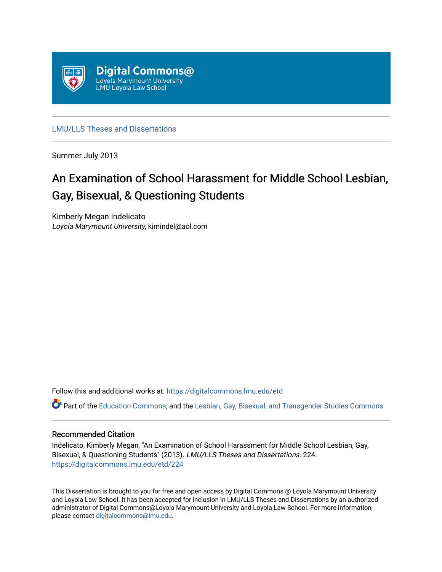

[LMU/LLS Theses and Dissertations](https://digitalcommons.lmu.edu/etd)

Summer July 2013

# An Examination of School Harassment for Middle School Lesbian, Gay, Bisexual, & Questioning Students

Kimberly Megan Indelicato Loyola Marymount University, kimindel@aol.com

Follow this and additional works at: [https://digitalcommons.lmu.edu/etd](https://digitalcommons.lmu.edu/etd?utm_source=digitalcommons.lmu.edu%2Fetd%2F224&utm_medium=PDF&utm_campaign=PDFCoverPages) 

Part of the [Education Commons](http://network.bepress.com/hgg/discipline/784?utm_source=digitalcommons.lmu.edu%2Fetd%2F224&utm_medium=PDF&utm_campaign=PDFCoverPages), and the [Lesbian, Gay, Bisexual, and Transgender Studies Commons](http://network.bepress.com/hgg/discipline/560?utm_source=digitalcommons.lmu.edu%2Fetd%2F224&utm_medium=PDF&utm_campaign=PDFCoverPages)

# Recommended Citation

Indelicato, Kimberly Megan, "An Examination of School Harassment for Middle School Lesbian, Gay, Bisexual, & Questioning Students" (2013). LMU/LLS Theses and Dissertations. 224. [https://digitalcommons.lmu.edu/etd/224](https://digitalcommons.lmu.edu/etd/224?utm_source=digitalcommons.lmu.edu%2Fetd%2F224&utm_medium=PDF&utm_campaign=PDFCoverPages)

This Dissertation is brought to you for free and open access by Digital Commons @ Loyola Marymount University and Loyola Law School. It has been accepted for inclusion in LMU/LLS Theses and Dissertations by an authorized administrator of Digital Commons@Loyola Marymount University and Loyola Law School. For more information, please contact [digitalcommons@lmu.edu](mailto:digitalcommons@lmu.edu).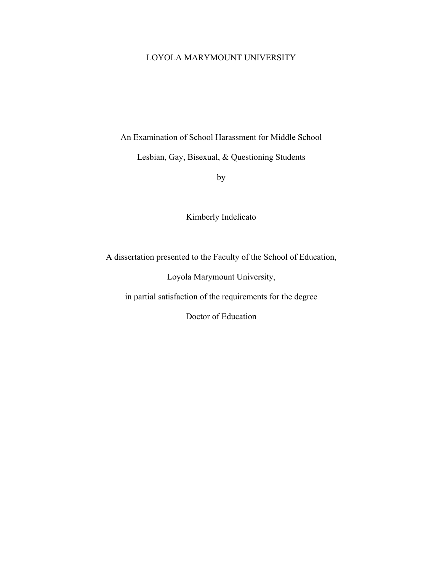# LOYOLA MARYMOUNT UNIVERSITY

An Examination of School Harassment for Middle School

Lesbian, Gay, Bisexual, & Questioning Students

by

Kimberly Indelicato

A dissertation presented to the Faculty of the School of Education,

Loyola Marymount University,

in partial satisfaction of the requirements for the degree

Doctor of Education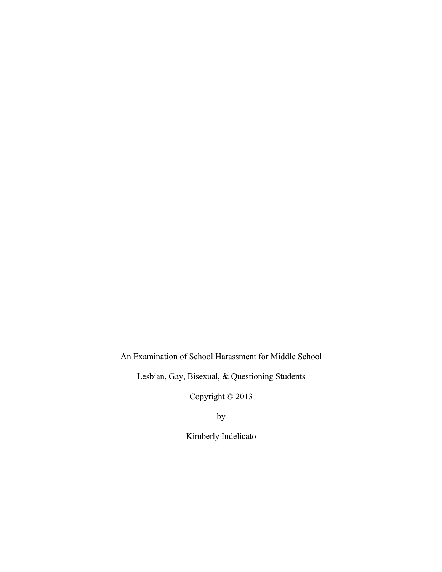An Examination of School Harassment for Middle School

Lesbian, Gay, Bisexual, & Questioning Students

Copyright © 2013

by

Kimberly Indelicato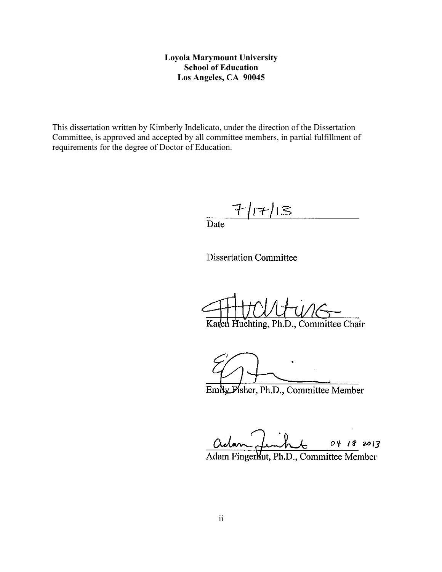# **Loyola Marymount University School of Education Los Angeles, CA 90045**

This dissertation written by Kimberly Indelicato, under the direction of the Dissertation Committee, is approved and accepted by all committee members, in partial fulfillment of requirements for the degree of Doctor of Education.

 $7/17/13$ 

 $\frac{1}{\text{Date}}$ 

**Dissertation Committee** 

Karlen Huchting, Ph.D., Committee Chair

EmNy Pisher, Ph.D., Committee Member

04 18 2013

Adam Fingerlut, Ph.D., Committee Member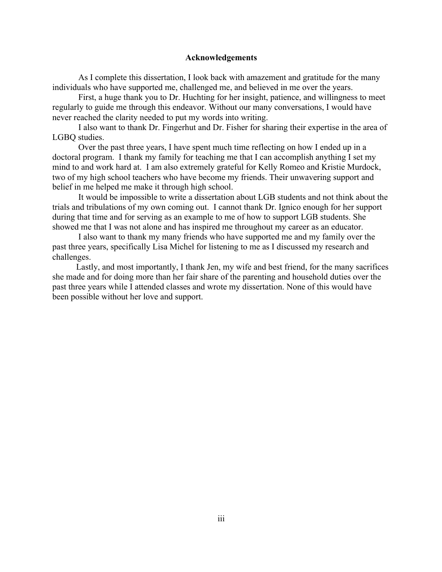#### **Acknowledgements**

As I complete this dissertation, I look back with amazement and gratitude for the many individuals who have supported me, challenged me, and believed in me over the years.

 First, a huge thank you to Dr. Huchting for her insight, patience, and willingness to meet regularly to guide me through this endeavor. Without our many conversations, I would have never reached the clarity needed to put my words into writing.

 I also want to thank Dr. Fingerhut and Dr. Fisher for sharing their expertise in the area of LGBQ studies.

 Over the past three years, I have spent much time reflecting on how I ended up in a doctoral program. I thank my family for teaching me that I can accomplish anything I set my mind to and work hard at. I am also extremely grateful for Kelly Romeo and Kristie Murdock, two of my high school teachers who have become my friends. Their unwavering support and belief in me helped me make it through high school.

 It would be impossible to write a dissertation about LGB students and not think about the trials and tribulations of my own coming out. I cannot thank Dr. Ignico enough for her support during that time and for serving as an example to me of how to support LGB students. She showed me that I was not alone and has inspired me throughout my career as an educator.

 I also want to thank my many friends who have supported me and my family over the past three years, specifically Lisa Michel for listening to me as I discussed my research and challenges.

 Lastly, and most importantly, I thank Jen, my wife and best friend, for the many sacrifices she made and for doing more than her fair share of the parenting and household duties over the past three years while I attended classes and wrote my dissertation. None of this would have been possible without her love and support.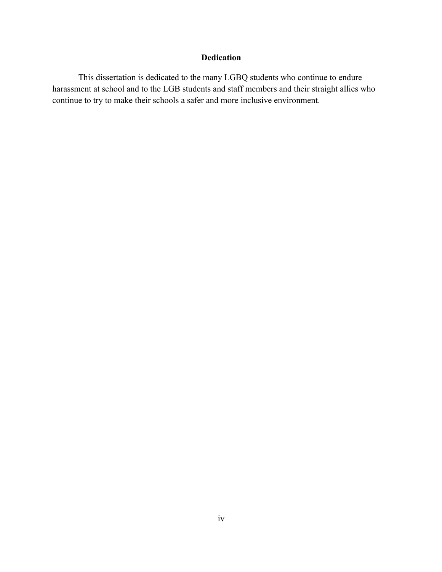# **Dedication**

This dissertation is dedicated to the many LGBQ students who continue to endure harassment at school and to the LGB students and staff members and their straight allies who continue to try to make their schools a safer and more inclusive environment.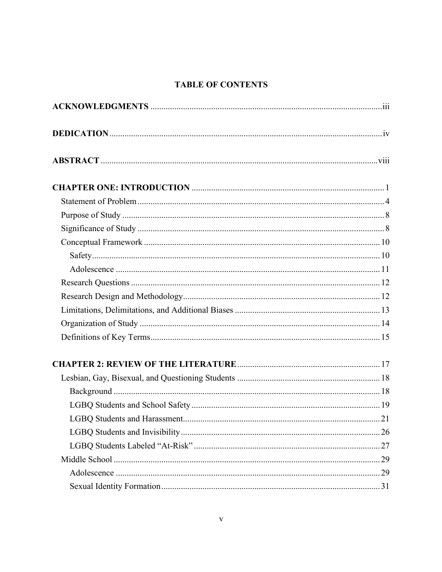# **TABLE OF CONTENTS**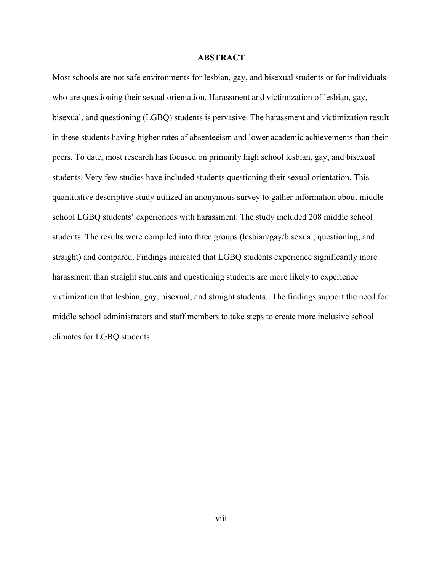#### **ABSTRACT**

Most schools are not safe environments for lesbian, gay, and bisexual students or for individuals who are questioning their sexual orientation. Harassment and victimization of lesbian, gay, bisexual, and questioning (LGBQ) students is pervasive. The harassment and victimization result in these students having higher rates of absenteeism and lower academic achievements than their peers. To date, most research has focused on primarily high school lesbian, gay, and bisexual students. Very few studies have included students questioning their sexual orientation. This quantitative descriptive study utilized an anonymous survey to gather information about middle school LGBQ students' experiences with harassment. The study included 208 middle school students. The results were compiled into three groups (lesbian/gay/bisexual, questioning, and straight) and compared. Findings indicated that LGBQ students experience significantly more harassment than straight students and questioning students are more likely to experience victimization that lesbian, gay, bisexual, and straight students. The findings support the need for middle school administrators and staff members to take steps to create more inclusive school climates for LGBQ students.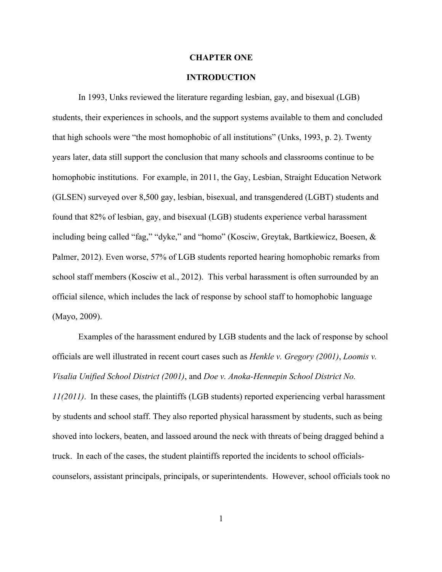#### **CHAPTER ONE**

# **INTRODUCTION**

In 1993, Unks reviewed the literature regarding lesbian, gay, and bisexual (LGB) students, their experiences in schools, and the support systems available to them and concluded that high schools were "the most homophobic of all institutions" (Unks, 1993, p. 2). Twenty years later, data still support the conclusion that many schools and classrooms continue to be homophobic institutions. For example, in 2011, the Gay, Lesbian, Straight Education Network (GLSEN) surveyed over 8,500 gay, lesbian, bisexual, and transgendered (LGBT) students and found that 82% of lesbian, gay, and bisexual (LGB) students experience verbal harassment including being called "fag," "dyke," and "homo" (Kosciw, Greytak, Bartkiewicz, Boesen, & Palmer, 2012). Even worse, 57% of LGB students reported hearing homophobic remarks from school staff members (Kosciw et al., 2012). This verbal harassment is often surrounded by an official silence, which includes the lack of response by school staff to homophobic language (Mayo, 2009).

Examples of the harassment endured by LGB students and the lack of response by school officials are well illustrated in recent court cases such as *Henkle v. Gregory (2001)*, *Loomis v. Visalia Unified School District (2001)*, and *Doe v. Anoka-Hennepin School District No. 11(2011)*. In these cases, the plaintiffs (LGB students) reported experiencing verbal harassment by students and school staff. They also reported physical harassment by students, such as being shoved into lockers, beaten, and lassoed around the neck with threats of being dragged behind a truck. In each of the cases, the student plaintiffs reported the incidents to school officialscounselors, assistant principals, principals, or superintendents. However, school officials took no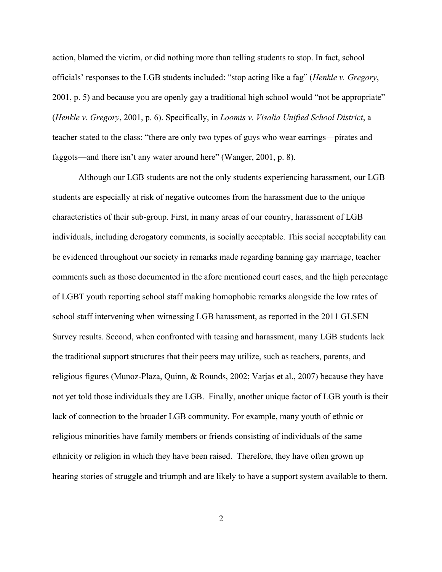action, blamed the victim, or did nothing more than telling students to stop. In fact, school officials' responses to the LGB students included: "stop acting like a fag" (*Henkle v. Gregory*, 2001, p. 5) and because you are openly gay a traditional high school would "not be appropriate" (*Henkle v. Gregory*, 2001, p. 6). Specifically, in *Loomis v. Visalia Unified School District*, a teacher stated to the class: "there are only two types of guys who wear earrings—pirates and faggots—and there isn't any water around here" (Wanger, 2001, p. 8).

Although our LGB students are not the only students experiencing harassment, our LGB students are especially at risk of negative outcomes from the harassment due to the unique characteristics of their sub-group. First, in many areas of our country, harassment of LGB individuals, including derogatory comments, is socially acceptable. This social acceptability can be evidenced throughout our society in remarks made regarding banning gay marriage, teacher comments such as those documented in the afore mentioned court cases, and the high percentage of LGBT youth reporting school staff making homophobic remarks alongside the low rates of school staff intervening when witnessing LGB harassment, as reported in the 2011 GLSEN Survey results. Second, when confronted with teasing and harassment, many LGB students lack the traditional support structures that their peers may utilize, such as teachers, parents, and religious figures (Munoz-Plaza, Quinn, & Rounds, 2002; Varjas et al., 2007) because they have not yet told those individuals they are LGB. Finally, another unique factor of LGB youth is their lack of connection to the broader LGB community. For example, many youth of ethnic or religious minorities have family members or friends consisting of individuals of the same ethnicity or religion in which they have been raised. Therefore, they have often grown up hearing stories of struggle and triumph and are likely to have a support system available to them.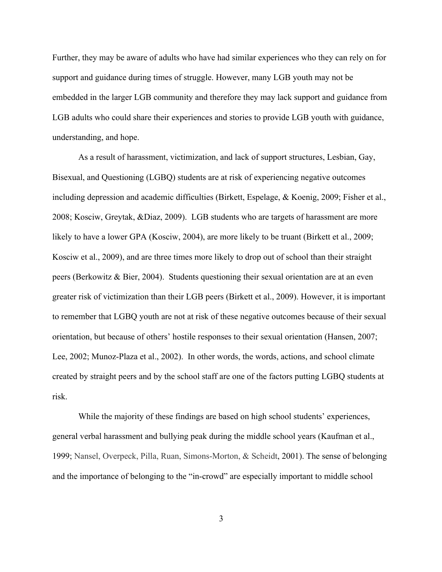Further, they may be aware of adults who have had similar experiences who they can rely on for support and guidance during times of struggle. However, many LGB youth may not be embedded in the larger LGB community and therefore they may lack support and guidance from LGB adults who could share their experiences and stories to provide LGB youth with guidance, understanding, and hope.

As a result of harassment, victimization, and lack of support structures, Lesbian, Gay, Bisexual, and Questioning (LGBQ) students are at risk of experiencing negative outcomes including depression and academic difficulties (Birkett, Espelage, & Koenig, 2009; Fisher et al., 2008; Kosciw, Greytak, &Diaz, 2009). LGB students who are targets of harassment are more likely to have a lower GPA (Kosciw, 2004), are more likely to be truant (Birkett et al., 2009; Kosciw et al., 2009), and are three times more likely to drop out of school than their straight peers (Berkowitz  $\&$  Bier, 2004). Students questioning their sexual orientation are at an even greater risk of victimization than their LGB peers (Birkett et al., 2009). However, it is important to remember that LGBQ youth are not at risk of these negative outcomes because of their sexual orientation, but because of others' hostile responses to their sexual orientation (Hansen, 2007; Lee, 2002; Munoz-Plaza et al., 2002). In other words, the words, actions, and school climate created by straight peers and by the school staff are one of the factors putting LGBQ students at risk.

While the majority of these findings are based on high school students' experiences, general verbal harassment and bullying peak during the middle school years (Kaufman et al., 1999; Nansel, Overpeck, Pilla, Ruan, Simons-Morton, & Scheidt, 2001). The sense of belonging and the importance of belonging to the "in-crowd" are especially important to middle school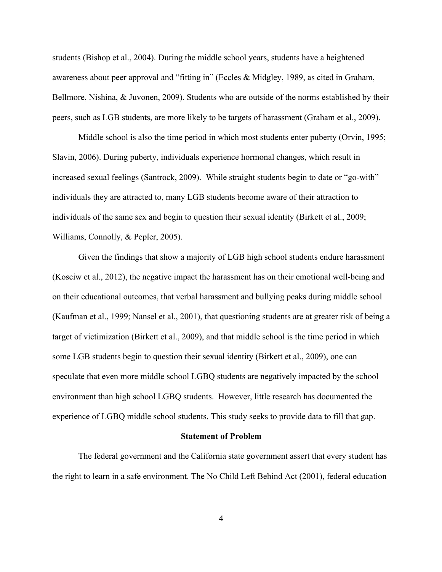students (Bishop et al., 2004). During the middle school years, students have a heightened awareness about peer approval and "fitting in" (Eccles & Midgley, 1989, as cited in Graham, Bellmore, Nishina, & Juvonen, 2009). Students who are outside of the norms established by their peers, such as LGB students, are more likely to be targets of harassment (Graham et al., 2009).

Middle school is also the time period in which most students enter puberty (Orvin, 1995; Slavin, 2006). During puberty, individuals experience hormonal changes, which result in increased sexual feelings (Santrock, 2009). While straight students begin to date or "go-with" individuals they are attracted to, many LGB students become aware of their attraction to individuals of the same sex and begin to question their sexual identity (Birkett et al., 2009; Williams, Connolly, & Pepler, 2005).

Given the findings that show a majority of LGB high school students endure harassment (Kosciw et al., 2012), the negative impact the harassment has on their emotional well-being and on their educational outcomes, that verbal harassment and bullying peaks during middle school (Kaufman et al., 1999; Nansel et al., 2001), that questioning students are at greater risk of being a target of victimization (Birkett et al., 2009), and that middle school is the time period in which some LGB students begin to question their sexual identity (Birkett et al., 2009), one can speculate that even more middle school LGBQ students are negatively impacted by the school environment than high school LGBQ students. However, little research has documented the experience of LGBQ middle school students. This study seeks to provide data to fill that gap.

#### **Statement of Problem**

The federal government and the California state government assert that every student has the right to learn in a safe environment. The No Child Left Behind Act (2001), federal education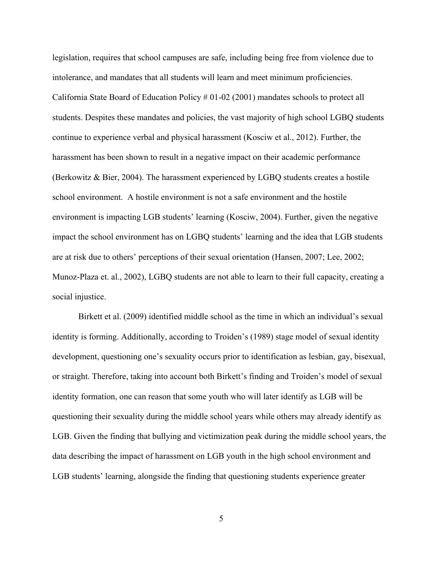legislation, requires that school campuses are safe, including being free from violence due to intolerance, and mandates that all students will learn and meet minimum proficiencies. California State Board of Education Policy # 01-02 (2001) mandates schools to protect all students. Despites these mandates and policies, the vast majority of high school LGBQ students continue to experience verbal and physical harassment (Kosciw et al., 2012). Further, the harassment has been shown to result in a negative impact on their academic performance (Berkowitz & Bier, 2004). The harassment experienced by LGBQ students creates a hostile school environment. A hostile environment is not a safe environment and the hostile environment is impacting LGB students' learning (Kosciw, 2004). Further, given the negative impact the school environment has on LGBQ students' learning and the idea that LGB students are at risk due to others' perceptions of their sexual orientation (Hansen, 2007; Lee, 2002; Munoz-Plaza et. al., 2002), LGBQ students are not able to learn to their full capacity, creating a social injustice.

Birkett et al. (2009) identified middle school as the time in which an individual's sexual identity is forming. Additionally, according to Troiden's (1989) stage model of sexual identity development, questioning one's sexuality occurs prior to identification as lesbian, gay, bisexual, or straight. Therefore, taking into account both Birkett's finding and Troiden's model of sexual identity formation, one can reason that some youth who will later identify as LGB will be questioning their sexuality during the middle school years while others may already identify as LGB. Given the finding that bullying and victimization peak during the middle school years, the data describing the impact of harassment on LGB youth in the high school environment and LGB students' learning, alongside the finding that questioning students experience greater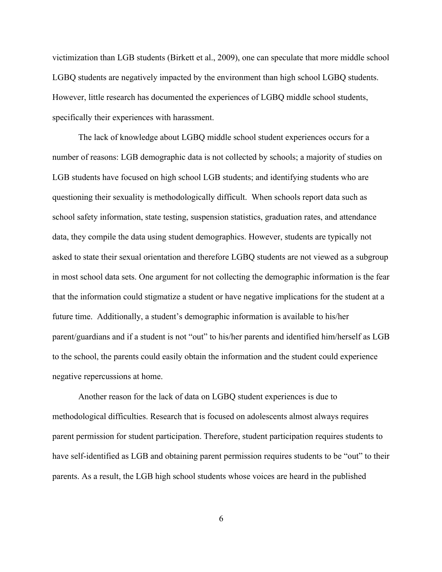victimization than LGB students (Birkett et al., 2009), one can speculate that more middle school LGBQ students are negatively impacted by the environment than high school LGBQ students. However, little research has documented the experiences of LGBQ middle school students, specifically their experiences with harassment.

The lack of knowledge about LGBQ middle school student experiences occurs for a number of reasons: LGB demographic data is not collected by schools; a majority of studies on LGB students have focused on high school LGB students; and identifying students who are questioning their sexuality is methodologically difficult. When schools report data such as school safety information, state testing, suspension statistics, graduation rates, and attendance data, they compile the data using student demographics. However, students are typically not asked to state their sexual orientation and therefore LGBQ students are not viewed as a subgroup in most school data sets. One argument for not collecting the demographic information is the fear that the information could stigmatize a student or have negative implications for the student at a future time. Additionally, a student's demographic information is available to his/her parent/guardians and if a student is not "out" to his/her parents and identified him/herself as LGB to the school, the parents could easily obtain the information and the student could experience negative repercussions at home.

Another reason for the lack of data on LGBQ student experiences is due to methodological difficulties. Research that is focused on adolescents almost always requires parent permission for student participation. Therefore, student participation requires students to have self-identified as LGB and obtaining parent permission requires students to be "out" to their parents. As a result, the LGB high school students whose voices are heard in the published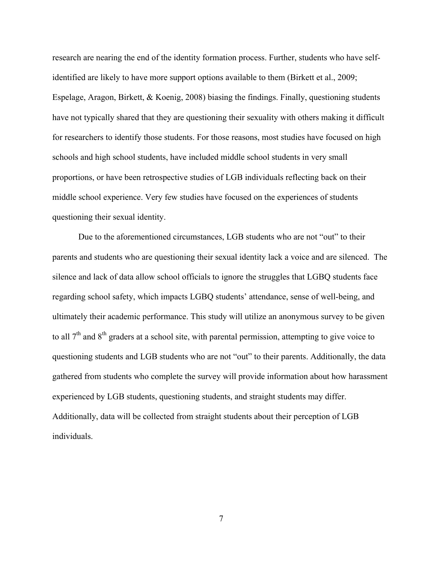research are nearing the end of the identity formation process. Further, students who have selfidentified are likely to have more support options available to them (Birkett et al., 2009; Espelage, Aragon, Birkett, & Koenig, 2008) biasing the findings. Finally, questioning students have not typically shared that they are questioning their sexuality with others making it difficult for researchers to identify those students. For those reasons, most studies have focused on high schools and high school students, have included middle school students in very small proportions, or have been retrospective studies of LGB individuals reflecting back on their middle school experience. Very few studies have focused on the experiences of students questioning their sexual identity.

Due to the aforementioned circumstances, LGB students who are not "out" to their parents and students who are questioning their sexual identity lack a voice and are silenced. The silence and lack of data allow school officials to ignore the struggles that LGBQ students face regarding school safety, which impacts LGBQ students' attendance, sense of well-being, and ultimately their academic performance. This study will utilize an anonymous survey to be given to all  $7<sup>th</sup>$  and  $8<sup>th</sup>$  graders at a school site, with parental permission, attempting to give voice to questioning students and LGB students who are not "out" to their parents. Additionally, the data gathered from students who complete the survey will provide information about how harassment experienced by LGB students, questioning students, and straight students may differ. Additionally, data will be collected from straight students about their perception of LGB individuals.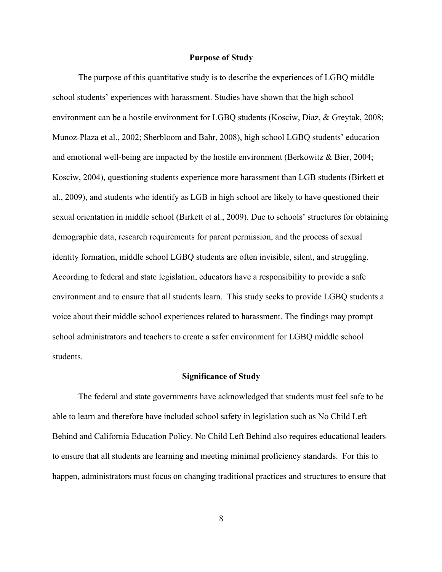# **Purpose of Study**

The purpose of this quantitative study is to describe the experiences of LGBQ middle school students' experiences with harassment. Studies have shown that the high school environment can be a hostile environment for LGBQ students (Kosciw, Diaz, & Greytak, 2008; Munoz-Plaza et al., 2002; Sherbloom and Bahr, 2008), high school LGBQ students' education and emotional well-being are impacted by the hostile environment (Berkowitz & Bier, 2004; Kosciw, 2004), questioning students experience more harassment than LGB students (Birkett et al., 2009), and students who identify as LGB in high school are likely to have questioned their sexual orientation in middle school (Birkett et al., 2009). Due to schools' structures for obtaining demographic data, research requirements for parent permission, and the process of sexual identity formation, middle school LGBQ students are often invisible, silent, and struggling. According to federal and state legislation, educators have a responsibility to provide a safe environment and to ensure that all students learn. This study seeks to provide LGBQ students a voice about their middle school experiences related to harassment. The findings may prompt school administrators and teachers to create a safer environment for LGBQ middle school students.

#### **Significance of Study**

The federal and state governments have acknowledged that students must feel safe to be able to learn and therefore have included school safety in legislation such as No Child Left Behind and California Education Policy. No Child Left Behind also requires educational leaders to ensure that all students are learning and meeting minimal proficiency standards. For this to happen, administrators must focus on changing traditional practices and structures to ensure that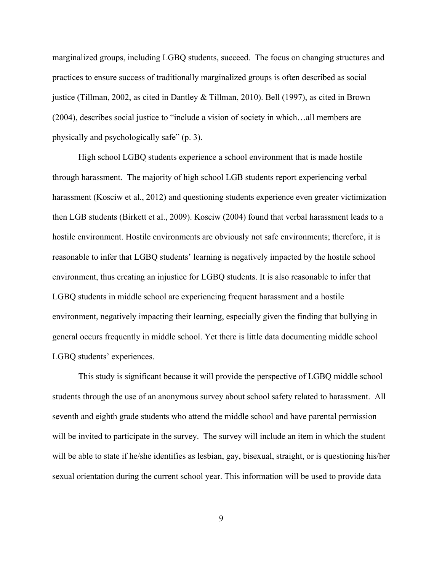marginalized groups, including LGBQ students, succeed. The focus on changing structures and practices to ensure success of traditionally marginalized groups is often described as social justice (Tillman, 2002, as cited in Dantley & Tillman, 2010). Bell (1997), as cited in Brown (2004), describes social justice to "include a vision of society in which…all members are physically and psychologically safe" (p. 3).

High school LGBQ students experience a school environment that is made hostile through harassment. The majority of high school LGB students report experiencing verbal harassment (Kosciw et al., 2012) and questioning students experience even greater victimization then LGB students (Birkett et al., 2009). Kosciw (2004) found that verbal harassment leads to a hostile environment. Hostile environments are obviously not safe environments; therefore, it is reasonable to infer that LGBQ students' learning is negatively impacted by the hostile school environment, thus creating an injustice for LGBQ students. It is also reasonable to infer that LGBQ students in middle school are experiencing frequent harassment and a hostile environment, negatively impacting their learning, especially given the finding that bullying in general occurs frequently in middle school. Yet there is little data documenting middle school LGBQ students' experiences.

This study is significant because it will provide the perspective of LGBQ middle school students through the use of an anonymous survey about school safety related to harassment. All seventh and eighth grade students who attend the middle school and have parental permission will be invited to participate in the survey. The survey will include an item in which the student will be able to state if he/she identifies as lesbian, gay, bisexual, straight, or is questioning his/her sexual orientation during the current school year. This information will be used to provide data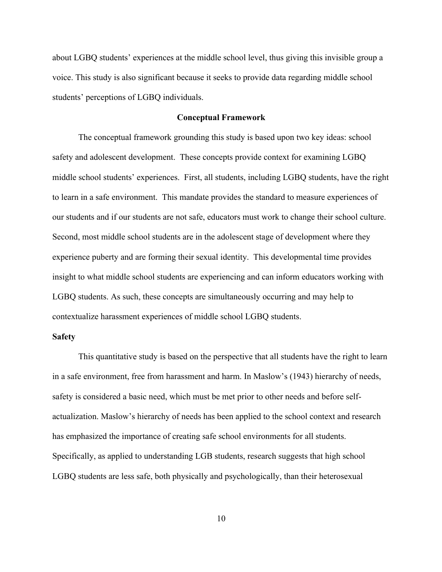about LGBQ students' experiences at the middle school level, thus giving this invisible group a voice. This study is also significant because it seeks to provide data regarding middle school students' perceptions of LGBQ individuals.

#### **Conceptual Framework**

The conceptual framework grounding this study is based upon two key ideas: school safety and adolescent development. These concepts provide context for examining LGBQ middle school students' experiences. First, all students, including LGBQ students, have the right to learn in a safe environment. This mandate provides the standard to measure experiences of our students and if our students are not safe, educators must work to change their school culture. Second, most middle school students are in the adolescent stage of development where they experience puberty and are forming their sexual identity. This developmental time provides insight to what middle school students are experiencing and can inform educators working with LGBQ students. As such, these concepts are simultaneously occurring and may help to contextualize harassment experiences of middle school LGBQ students.

### **Safety**

This quantitative study is based on the perspective that all students have the right to learn in a safe environment, free from harassment and harm. In Maslow's (1943) hierarchy of needs, safety is considered a basic need, which must be met prior to other needs and before selfactualization. Maslow's hierarchy of needs has been applied to the school context and research has emphasized the importance of creating safe school environments for all students. Specifically, as applied to understanding LGB students, research suggests that high school LGBQ students are less safe, both physically and psychologically, than their heterosexual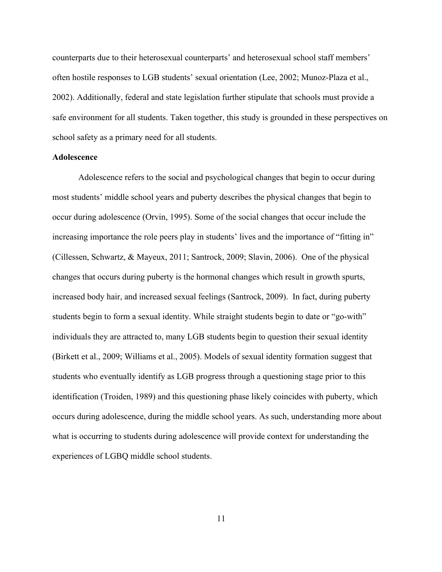counterparts due to their heterosexual counterparts' and heterosexual school staff members' often hostile responses to LGB students' sexual orientation (Lee, 2002; Munoz-Plaza et al., 2002). Additionally, federal and state legislation further stipulate that schools must provide a safe environment for all students. Taken together, this study is grounded in these perspectives on school safety as a primary need for all students.

#### **Adolescence**

Adolescence refers to the social and psychological changes that begin to occur during most students' middle school years and puberty describes the physical changes that begin to occur during adolescence (Orvin, 1995). Some of the social changes that occur include the increasing importance the role peers play in students' lives and the importance of "fitting in" (Cillessen, Schwartz, & Mayeux, 2011; Santrock, 2009; Slavin, 2006). One of the physical changes that occurs during puberty is the hormonal changes which result in growth spurts, increased body hair, and increased sexual feelings (Santrock, 2009). In fact, during puberty students begin to form a sexual identity. While straight students begin to date or "go-with" individuals they are attracted to, many LGB students begin to question their sexual identity (Birkett et al., 2009; Williams et al., 2005). Models of sexual identity formation suggest that students who eventually identify as LGB progress through a questioning stage prior to this identification (Troiden, 1989) and this questioning phase likely coincides with puberty, which occurs during adolescence, during the middle school years. As such, understanding more about what is occurring to students during adolescence will provide context for understanding the experiences of LGBQ middle school students.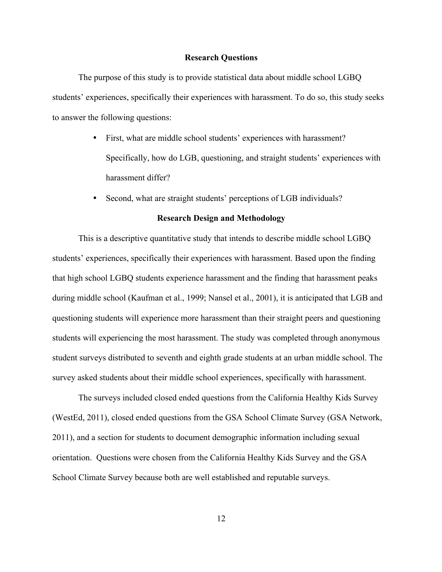#### **Research Questions**

The purpose of this study is to provide statistical data about middle school LGBQ students' experiences, specifically their experiences with harassment. To do so, this study seeks to answer the following questions:

- First, what are middle school students' experiences with harassment? Specifically, how do LGB, questioning, and straight students' experiences with harassment differ?
- Second, what are straight students' perceptions of LGB individuals?

### **Research Design and Methodology**

This is a descriptive quantitative study that intends to describe middle school LGBQ students' experiences, specifically their experiences with harassment. Based upon the finding that high school LGBQ students experience harassment and the finding that harassment peaks during middle school (Kaufman et al., 1999; Nansel et al., 2001), it is anticipated that LGB and questioning students will experience more harassment than their straight peers and questioning students will experiencing the most harassment. The study was completed through anonymous student surveys distributed to seventh and eighth grade students at an urban middle school. The survey asked students about their middle school experiences, specifically with harassment.

The surveys included closed ended questions from the California Healthy Kids Survey (WestEd, 2011), closed ended questions from the GSA School Climate Survey (GSA Network, 2011), and a section for students to document demographic information including sexual orientation. Questions were chosen from the California Healthy Kids Survey and the GSA School Climate Survey because both are well established and reputable surveys.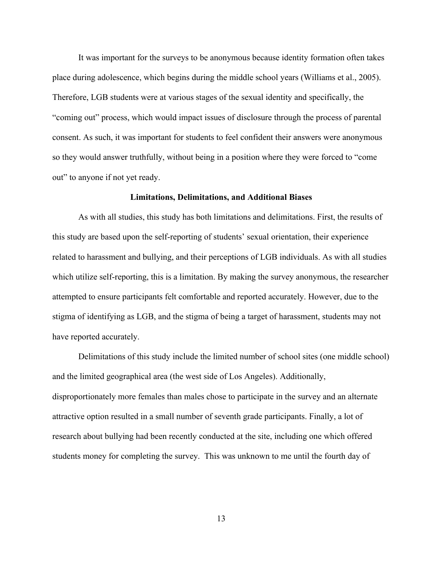It was important for the surveys to be anonymous because identity formation often takes place during adolescence, which begins during the middle school years (Williams et al., 2005). Therefore, LGB students were at various stages of the sexual identity and specifically, the "coming out" process, which would impact issues of disclosure through the process of parental consent. As such, it was important for students to feel confident their answers were anonymous so they would answer truthfully, without being in a position where they were forced to "come out" to anyone if not yet ready.

#### **Limitations, Delimitations, and Additional Biases**

As with all studies, this study has both limitations and delimitations. First, the results of this study are based upon the self-reporting of students' sexual orientation, their experience related to harassment and bullying, and their perceptions of LGB individuals. As with all studies which utilize self-reporting, this is a limitation. By making the survey anonymous, the researcher attempted to ensure participants felt comfortable and reported accurately. However, due to the stigma of identifying as LGB, and the stigma of being a target of harassment, students may not have reported accurately.

Delimitations of this study include the limited number of school sites (one middle school) and the limited geographical area (the west side of Los Angeles). Additionally, disproportionately more females than males chose to participate in the survey and an alternate attractive option resulted in a small number of seventh grade participants. Finally, a lot of research about bullying had been recently conducted at the site, including one which offered students money for completing the survey. This was unknown to me until the fourth day of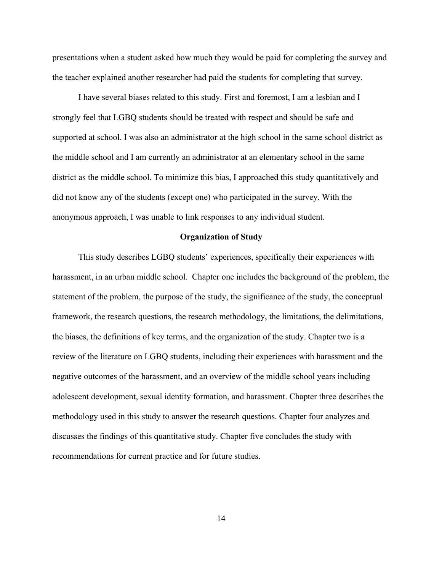presentations when a student asked how much they would be paid for completing the survey and the teacher explained another researcher had paid the students for completing that survey.

I have several biases related to this study. First and foremost, I am a lesbian and I strongly feel that LGBQ students should be treated with respect and should be safe and supported at school. I was also an administrator at the high school in the same school district as the middle school and I am currently an administrator at an elementary school in the same district as the middle school. To minimize this bias, I approached this study quantitatively and did not know any of the students (except one) who participated in the survey. With the anonymous approach, I was unable to link responses to any individual student.

#### **Organization of Study**

This study describes LGBQ students' experiences, specifically their experiences with harassment, in an urban middle school. Chapter one includes the background of the problem, the statement of the problem, the purpose of the study, the significance of the study, the conceptual framework, the research questions, the research methodology, the limitations, the delimitations, the biases, the definitions of key terms, and the organization of the study. Chapter two is a review of the literature on LGBQ students, including their experiences with harassment and the negative outcomes of the harassment, and an overview of the middle school years including adolescent development, sexual identity formation, and harassment. Chapter three describes the methodology used in this study to answer the research questions. Chapter four analyzes and discusses the findings of this quantitative study. Chapter five concludes the study with recommendations for current practice and for future studies.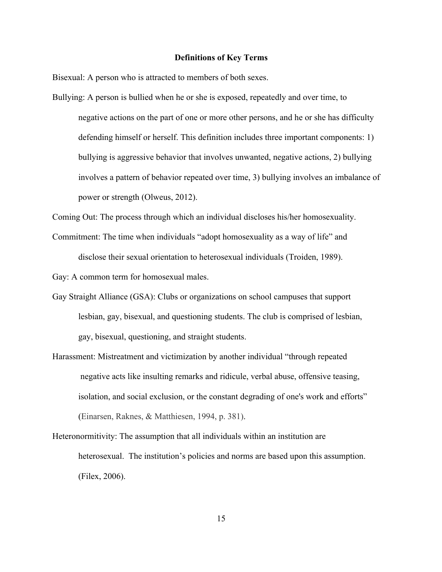#### **Definitions of Key Terms**

Bisexual: A person who is attracted to members of both sexes.

Bullying: A person is bullied when he or she is exposed, repeatedly and over time, to negative actions on the part of one or more other persons, and he or she has difficulty defending himself or herself. This definition includes three important components: 1) bullying is aggressive behavior that involves unwanted, negative actions, 2) bullying involves a pattern of behavior repeated over time, 3) bullying involves an imbalance of power or strength (Olweus, 2012).

Coming Out: The process through which an individual discloses his/her homosexuality.

Commitment: The time when individuals "adopt homosexuality as a way of life" and disclose their sexual orientation to heterosexual individuals (Troiden, 1989).

Gay: A common term for homosexual males.

- Gay Straight Alliance (GSA): Clubs or organizations on school campuses that support lesbian, gay, bisexual, and questioning students. The club is comprised of lesbian, gay, bisexual, questioning, and straight students.
- Harassment: Mistreatment and victimization by another individual "through repeated negative acts like insulting remarks and ridicule, verbal abuse, offensive teasing, isolation, and social exclusion, or the constant degrading of one's work and efforts" (Einarsen, Raknes, & Matthiesen, 1994, p. 381).
- Heteronormitivity: The assumption that all individuals within an institution are heterosexual. The institution's policies and norms are based upon this assumption. (Filex, 2006).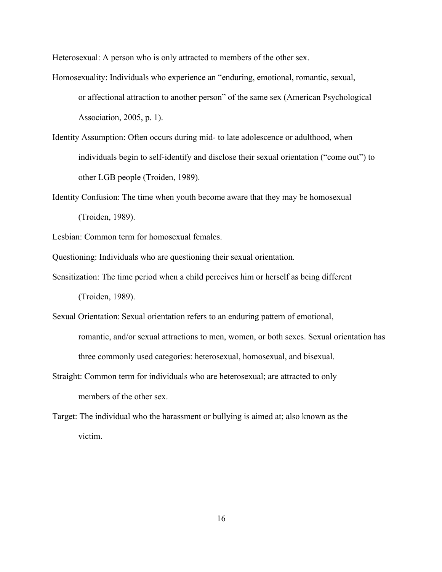Heterosexual: A person who is only attracted to members of the other sex.

- Homosexuality: Individuals who experience an "enduring, emotional, romantic, sexual, or affectional attraction to another person" of the same sex (American Psychological Association, 2005, p. 1).
- Identity Assumption: Often occurs during mid- to late adolescence or adulthood, when individuals begin to self-identify and disclose their sexual orientation ("come out") to other LGB people (Troiden, 1989).
- Identity Confusion: The time when youth become aware that they may be homosexual (Troiden, 1989).

Lesbian: Common term for homosexual females.

Questioning: Individuals who are questioning their sexual orientation.

- Sensitization: The time period when a child perceives him or herself as being different (Troiden, 1989).
- Sexual Orientation: Sexual orientation refers to an enduring pattern of emotional, romantic, and/or sexual attractions to men, women, or both sexes. Sexual orientation has three commonly used categories: heterosexual, homosexual, and bisexual.
- Straight: Common term for individuals who are heterosexual; are attracted to only members of the other sex.
- Target: The individual who the harassment or bullying is aimed at; also known as the victim.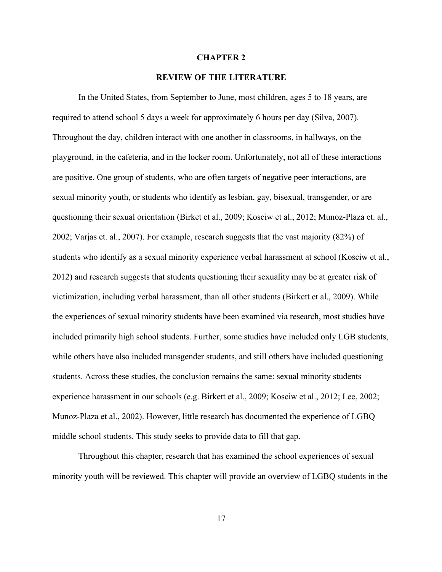#### **CHAPTER 2**

# **REVIEW OF THE LITERATURE**

In the United States, from September to June, most children, ages 5 to 18 years, are required to attend school 5 days a week for approximately 6 hours per day (Silva, 2007). Throughout the day, children interact with one another in classrooms, in hallways, on the playground, in the cafeteria, and in the locker room. Unfortunately, not all of these interactions are positive. One group of students, who are often targets of negative peer interactions, are sexual minority youth, or students who identify as lesbian, gay, bisexual, transgender, or are questioning their sexual orientation (Birket et al., 2009; Kosciw et al., 2012; Munoz-Plaza et. al., 2002; Varjas et. al., 2007). For example, research suggests that the vast majority (82%) of students who identify as a sexual minority experience verbal harassment at school (Kosciw et al., 2012) and research suggests that students questioning their sexuality may be at greater risk of victimization, including verbal harassment, than all other students (Birkett et al., 2009). While the experiences of sexual minority students have been examined via research, most studies have included primarily high school students. Further, some studies have included only LGB students, while others have also included transgender students, and still others have included questioning students. Across these studies, the conclusion remains the same: sexual minority students experience harassment in our schools (e.g. Birkett et al., 2009; Kosciw et al., 2012; Lee, 2002; Munoz-Plaza et al., 2002). However, little research has documented the experience of LGBQ middle school students. This study seeks to provide data to fill that gap.

Throughout this chapter, research that has examined the school experiences of sexual minority youth will be reviewed. This chapter will provide an overview of LGBQ students in the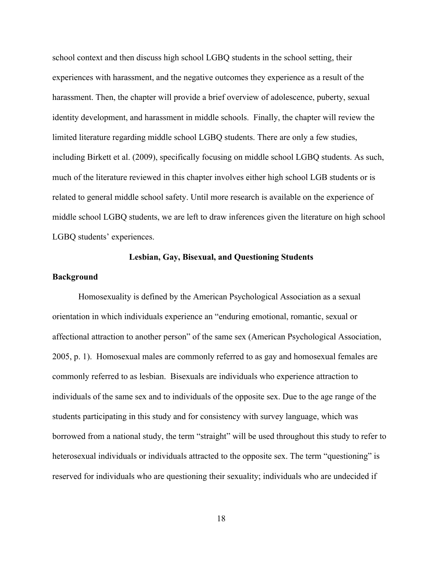school context and then discuss high school LGBQ students in the school setting, their experiences with harassment, and the negative outcomes they experience as a result of the harassment. Then, the chapter will provide a brief overview of adolescence, puberty, sexual identity development, and harassment in middle schools. Finally, the chapter will review the limited literature regarding middle school LGBQ students. There are only a few studies, including Birkett et al. (2009), specifically focusing on middle school LGBQ students. As such, much of the literature reviewed in this chapter involves either high school LGB students or is related to general middle school safety. Until more research is available on the experience of middle school LGBQ students, we are left to draw inferences given the literature on high school LGBQ students' experiences.

# **Lesbian, Gay, Bisexual, and Questioning Students**

#### **Background**

Homosexuality is defined by the American Psychological Association as a sexual orientation in which individuals experience an "enduring emotional, romantic, sexual or affectional attraction to another person" of the same sex (American Psychological Association, 2005, p. 1). Homosexual males are commonly referred to as gay and homosexual females are commonly referred to as lesbian. Bisexuals are individuals who experience attraction to individuals of the same sex and to individuals of the opposite sex. Due to the age range of the students participating in this study and for consistency with survey language, which was borrowed from a national study, the term "straight" will be used throughout this study to refer to heterosexual individuals or individuals attracted to the opposite sex. The term "questioning" is reserved for individuals who are questioning their sexuality; individuals who are undecided if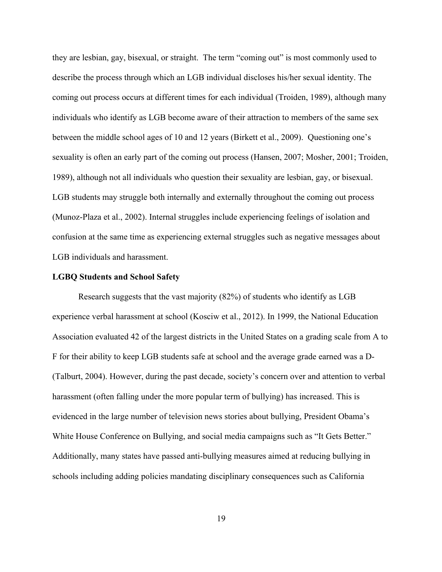they are lesbian, gay, bisexual, or straight. The term "coming out" is most commonly used to describe the process through which an LGB individual discloses his/her sexual identity. The coming out process occurs at different times for each individual (Troiden, 1989), although many individuals who identify as LGB become aware of their attraction to members of the same sex between the middle school ages of 10 and 12 years (Birkett et al., 2009). Questioning one's sexuality is often an early part of the coming out process (Hansen, 2007; Mosher, 2001; Troiden, 1989), although not all individuals who question their sexuality are lesbian, gay, or bisexual. LGB students may struggle both internally and externally throughout the coming out process (Munoz-Plaza et al., 2002). Internal struggles include experiencing feelings of isolation and confusion at the same time as experiencing external struggles such as negative messages about LGB individuals and harassment.

#### **LGBQ Students and School Safety**

Research suggests that the vast majority (82%) of students who identify as LGB experience verbal harassment at school (Kosciw et al., 2012). In 1999, the National Education Association evaluated 42 of the largest districts in the United States on a grading scale from A to F for their ability to keep LGB students safe at school and the average grade earned was a D- (Talburt, 2004). However, during the past decade, society's concern over and attention to verbal harassment (often falling under the more popular term of bullying) has increased. This is evidenced in the large number of television news stories about bullying, President Obama's White House Conference on Bullying, and social media campaigns such as "It Gets Better." Additionally, many states have passed anti-bullying measures aimed at reducing bullying in schools including adding policies mandating disciplinary consequences such as California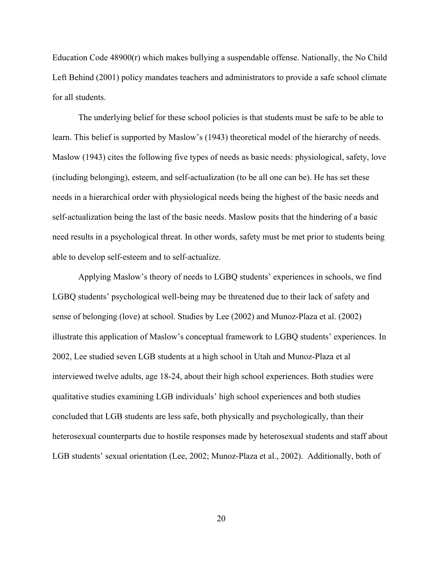Education Code 48900(r) which makes bullying a suspendable offense. Nationally, the No Child Left Behind (2001) policy mandates teachers and administrators to provide a safe school climate for all students.

The underlying belief for these school policies is that students must be safe to be able to learn. This belief is supported by Maslow's (1943) theoretical model of the hierarchy of needs. Maslow (1943) cites the following five types of needs as basic needs: physiological, safety, love (including belonging), esteem, and self-actualization (to be all one can be). He has set these needs in a hierarchical order with physiological needs being the highest of the basic needs and self-actualization being the last of the basic needs. Maslow posits that the hindering of a basic need results in a psychological threat. In other words, safety must be met prior to students being able to develop self-esteem and to self-actualize.

Applying Maslow's theory of needs to LGBQ students' experiences in schools, we find LGBQ students' psychological well-being may be threatened due to their lack of safety and sense of belonging (love) at school. Studies by Lee (2002) and Munoz-Plaza et al. (2002) illustrate this application of Maslow's conceptual framework to LGBQ students' experiences. In 2002, Lee studied seven LGB students at a high school in Utah and Munoz-Plaza et al interviewed twelve adults, age 18-24, about their high school experiences. Both studies were qualitative studies examining LGB individuals' high school experiences and both studies concluded that LGB students are less safe, both physically and psychologically, than their heterosexual counterparts due to hostile responses made by heterosexual students and staff about LGB students' sexual orientation (Lee, 2002; Munoz-Plaza et al., 2002). Additionally, both of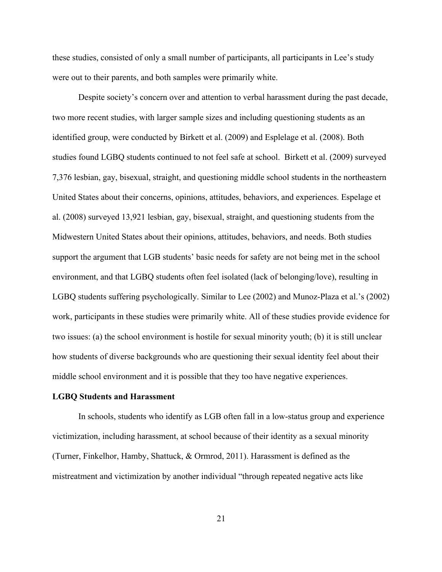these studies, consisted of only a small number of participants, all participants in Lee's study were out to their parents, and both samples were primarily white.

Despite society's concern over and attention to verbal harassment during the past decade, two more recent studies, with larger sample sizes and including questioning students as an identified group, were conducted by Birkett et al. (2009) and Esplelage et al. (2008). Both studies found LGBQ students continued to not feel safe at school. Birkett et al. (2009) surveyed 7,376 lesbian, gay, bisexual, straight, and questioning middle school students in the northeastern United States about their concerns, opinions, attitudes, behaviors, and experiences. Espelage et al. (2008) surveyed 13,921 lesbian, gay, bisexual, straight, and questioning students from the Midwestern United States about their opinions, attitudes, behaviors, and needs. Both studies support the argument that LGB students' basic needs for safety are not being met in the school environment, and that LGBQ students often feel isolated (lack of belonging/love), resulting in LGBQ students suffering psychologically. Similar to Lee (2002) and Munoz-Plaza et al.'s (2002) work, participants in these studies were primarily white. All of these studies provide evidence for two issues: (a) the school environment is hostile for sexual minority youth; (b) it is still unclear how students of diverse backgrounds who are questioning their sexual identity feel about their middle school environment and it is possible that they too have negative experiences.

#### **LGBQ Students and Harassment**

In schools, students who identify as LGB often fall in a low-status group and experience victimization, including harassment, at school because of their identity as a sexual minority (Turner, Finkelhor, Hamby, Shattuck, & Ormrod, 2011). Harassment is defined as the mistreatment and victimization by another individual "through repeated negative acts like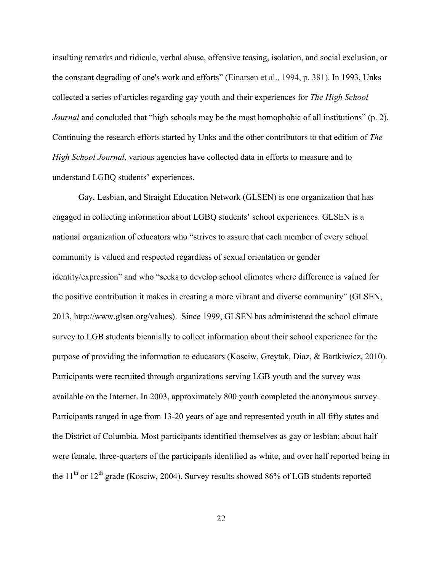insulting remarks and ridicule, verbal abuse, offensive teasing, isolation, and social exclusion, or the constant degrading of one's work and efforts" (Einarsen et al., 1994, p. 381). In 1993, Unks collected a series of articles regarding gay youth and their experiences for *The High School Journal* and concluded that "high schools may be the most homophobic of all institutions" (p. 2). Continuing the research efforts started by Unks and the other contributors to that edition of *The High School Journal*, various agencies have collected data in efforts to measure and to understand LGBQ students' experiences.

Gay, Lesbian, and Straight Education Network (GLSEN) is one organization that has engaged in collecting information about LGBQ students' school experiences. GLSEN is a national organization of educators who "strives to assure that each member of every school community is valued and respected regardless of sexual orientation or gender identity/expression" and who "seeks to develop school climates where difference is valued for the positive contribution it makes in creating a more vibrant and diverse community" (GLSEN, 2013, http://www.glsen.org/values). Since 1999, GLSEN has administered the school climate survey to LGB students biennially to collect information about their school experience for the purpose of providing the information to educators (Kosciw, Greytak, Diaz, & Bartkiwicz, 2010). Participants were recruited through organizations serving LGB youth and the survey was available on the Internet. In 2003, approximately 800 youth completed the anonymous survey. Participants ranged in age from 13-20 years of age and represented youth in all fifty states and the District of Columbia. Most participants identified themselves as gay or lesbian; about half were female, three-quarters of the participants identified as white, and over half reported being in the  $11<sup>th</sup>$  or  $12<sup>th</sup>$  grade (Kosciw, 2004). Survey results showed 86% of LGB students reported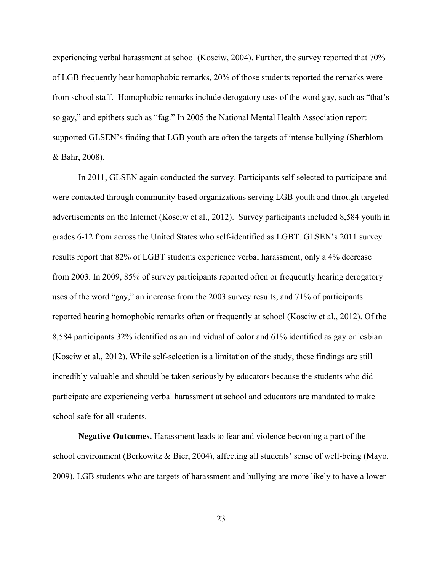experiencing verbal harassment at school (Kosciw, 2004). Further, the survey reported that 70% of LGB frequently hear homophobic remarks, 20% of those students reported the remarks were from school staff. Homophobic remarks include derogatory uses of the word gay, such as "that's so gay," and epithets such as "fag." In 2005 the National Mental Health Association report supported GLSEN's finding that LGB youth are often the targets of intense bullying (Sherblom & Bahr, 2008).

In 2011, GLSEN again conducted the survey. Participants self-selected to participate and were contacted through community based organizations serving LGB youth and through targeted advertisements on the Internet (Kosciw et al., 2012). Survey participants included 8,584 youth in grades 6-12 from across the United States who self-identified as LGBT. GLSEN's 2011 survey results report that 82% of LGBT students experience verbal harassment, only a 4% decrease from 2003. In 2009, 85% of survey participants reported often or frequently hearing derogatory uses of the word "gay," an increase from the 2003 survey results, and 71% of participants reported hearing homophobic remarks often or frequently at school (Kosciw et al., 2012). Of the 8,584 participants 32% identified as an individual of color and 61% identified as gay or lesbian (Kosciw et al., 2012). While self-selection is a limitation of the study, these findings are still incredibly valuable and should be taken seriously by educators because the students who did participate are experiencing verbal harassment at school and educators are mandated to make school safe for all students.

**Negative Outcomes.** Harassment leads to fear and violence becoming a part of the school environment (Berkowitz & Bier, 2004), affecting all students' sense of well-being (Mayo, 2009). LGB students who are targets of harassment and bullying are more likely to have a lower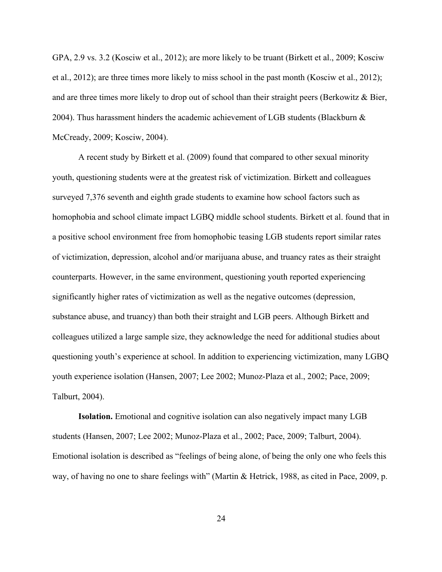GPA, 2.9 vs. 3.2 (Kosciw et al., 2012); are more likely to be truant (Birkett et al., 2009; Kosciw et al., 2012); are three times more likely to miss school in the past month (Kosciw et al., 2012); and are three times more likely to drop out of school than their straight peers (Berkowitz  $\&$  Bier, 2004). Thus harassment hinders the academic achievement of LGB students (Blackburn  $\&$ McCready, 2009; Kosciw, 2004).

A recent study by Birkett et al. (2009) found that compared to other sexual minority youth, questioning students were at the greatest risk of victimization. Birkett and colleagues surveyed 7,376 seventh and eighth grade students to examine how school factors such as homophobia and school climate impact LGBQ middle school students. Birkett et al. found that in a positive school environment free from homophobic teasing LGB students report similar rates of victimization, depression, alcohol and/or marijuana abuse, and truancy rates as their straight counterparts. However, in the same environment, questioning youth reported experiencing significantly higher rates of victimization as well as the negative outcomes (depression, substance abuse, and truancy) than both their straight and LGB peers. Although Birkett and colleagues utilized a large sample size, they acknowledge the need for additional studies about questioning youth's experience at school. In addition to experiencing victimization, many LGBQ youth experience isolation (Hansen, 2007; Lee 2002; Munoz-Plaza et al., 2002; Pace, 2009; Talburt, 2004).

**Isolation.** Emotional and cognitive isolation can also negatively impact many LGB students (Hansen, 2007; Lee 2002; Munoz-Plaza et al., 2002; Pace, 2009; Talburt, 2004). Emotional isolation is described as "feelings of being alone, of being the only one who feels this way, of having no one to share feelings with" (Martin & Hetrick, 1988, as cited in Pace, 2009, p.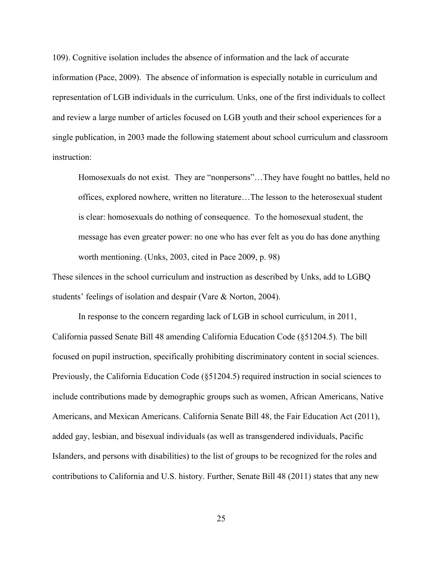109). Cognitive isolation includes the absence of information and the lack of accurate information (Pace, 2009). The absence of information is especially notable in curriculum and representation of LGB individuals in the curriculum. Unks, one of the first individuals to collect and review a large number of articles focused on LGB youth and their school experiences for a single publication, in 2003 made the following statement about school curriculum and classroom instruction:

Homosexuals do not exist. They are "nonpersons"…They have fought no battles, held no offices, explored nowhere, written no literature…The lesson to the heterosexual student is clear: homosexuals do nothing of consequence. To the homosexual student, the message has even greater power: no one who has ever felt as you do has done anything worth mentioning. (Unks, 2003, cited in Pace 2009, p. 98)

These silences in the school curriculum and instruction as described by Unks, add to LGBQ students' feelings of isolation and despair (Vare & Norton, 2004).

In response to the concern regarding lack of LGB in school curriculum, in 2011, California passed Senate Bill 48 amending California Education Code (§51204.5). The bill focused on pupil instruction, specifically prohibiting discriminatory content in social sciences. Previously, the California Education Code (§51204.5) required instruction in social sciences to include contributions made by demographic groups such as women, African Americans, Native Americans, and Mexican Americans. California Senate Bill 48, the Fair Education Act (2011), added gay, lesbian, and bisexual individuals (as well as transgendered individuals, Pacific Islanders, and persons with disabilities) to the list of groups to be recognized for the roles and contributions to California and U.S. history. Further, Senate Bill 48 (2011) states that any new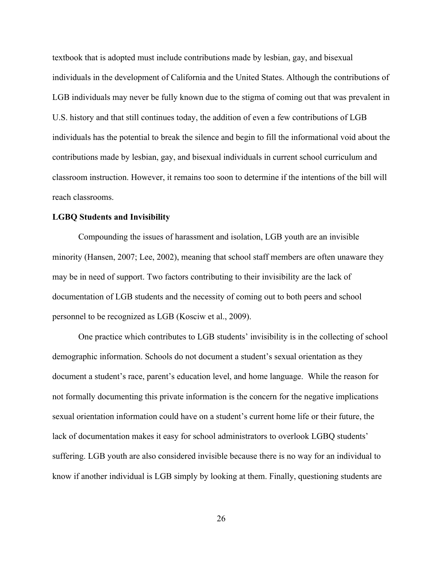textbook that is adopted must include contributions made by lesbian, gay, and bisexual individuals in the development of California and the United States. Although the contributions of LGB individuals may never be fully known due to the stigma of coming out that was prevalent in U.S. history and that still continues today, the addition of even a few contributions of LGB individuals has the potential to break the silence and begin to fill the informational void about the contributions made by lesbian, gay, and bisexual individuals in current school curriculum and classroom instruction. However, it remains too soon to determine if the intentions of the bill will reach classrooms.

#### **LGBQ Students and Invisibility**

Compounding the issues of harassment and isolation, LGB youth are an invisible minority (Hansen, 2007; Lee, 2002), meaning that school staff members are often unaware they may be in need of support. Two factors contributing to their invisibility are the lack of documentation of LGB students and the necessity of coming out to both peers and school personnel to be recognized as LGB (Kosciw et al., 2009).

One practice which contributes to LGB students' invisibility is in the collecting of school demographic information. Schools do not document a student's sexual orientation as they document a student's race, parent's education level, and home language. While the reason for not formally documenting this private information is the concern for the negative implications sexual orientation information could have on a student's current home life or their future, the lack of documentation makes it easy for school administrators to overlook LGBQ students' suffering. LGB youth are also considered invisible because there is no way for an individual to know if another individual is LGB simply by looking at them. Finally, questioning students are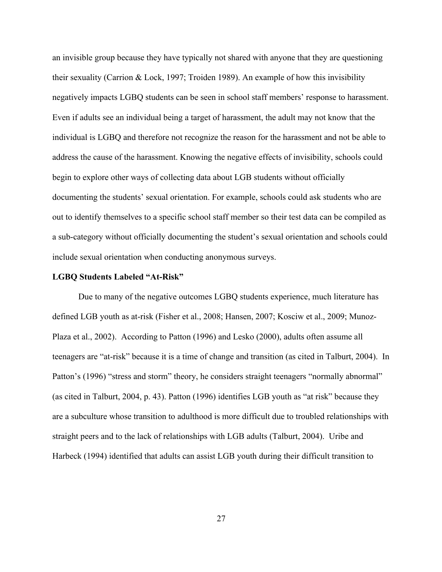an invisible group because they have typically not shared with anyone that they are questioning their sexuality (Carrion & Lock, 1997; Troiden 1989). An example of how this invisibility negatively impacts LGBQ students can be seen in school staff members' response to harassment. Even if adults see an individual being a target of harassment, the adult may not know that the individual is LGBQ and therefore not recognize the reason for the harassment and not be able to address the cause of the harassment. Knowing the negative effects of invisibility, schools could begin to explore other ways of collecting data about LGB students without officially documenting the students' sexual orientation. For example, schools could ask students who are out to identify themselves to a specific school staff member so their test data can be compiled as a sub-category without officially documenting the student's sexual orientation and schools could include sexual orientation when conducting anonymous surveys.

### **LGBQ Students Labeled "At-Risk"**

Due to many of the negative outcomes LGBQ students experience, much literature has defined LGB youth as at-risk (Fisher et al., 2008; Hansen, 2007; Kosciw et al., 2009; Munoz-Plaza et al., 2002). According to Patton (1996) and Lesko (2000), adults often assume all teenagers are "at-risk" because it is a time of change and transition (as cited in Talburt, 2004). In Patton's (1996) "stress and storm" theory, he considers straight teenagers "normally abnormal" (as cited in Talburt, 2004, p. 43). Patton (1996) identifies LGB youth as "at risk" because they are a subculture whose transition to adulthood is more difficult due to troubled relationships with straight peers and to the lack of relationships with LGB adults (Talburt, 2004). Uribe and Harbeck (1994) identified that adults can assist LGB youth during their difficult transition to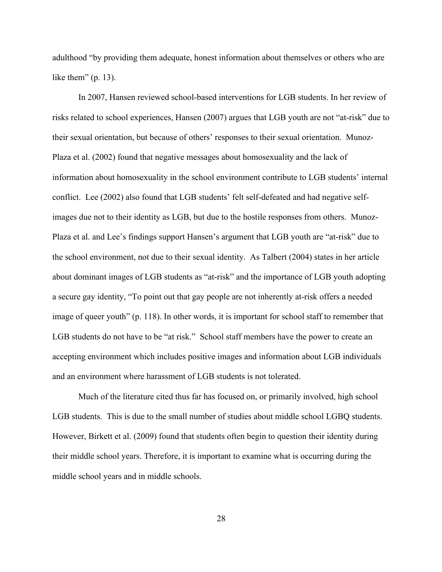adulthood "by providing them adequate, honest information about themselves or others who are like them"  $(p. 13)$ .

In 2007, Hansen reviewed school-based interventions for LGB students. In her review of risks related to school experiences, Hansen (2007) argues that LGB youth are not "at-risk" due to their sexual orientation, but because of others' responses to their sexual orientation. Munoz-Plaza et al. (2002) found that negative messages about homosexuality and the lack of information about homosexuality in the school environment contribute to LGB students' internal conflict. Lee (2002) also found that LGB students' felt self-defeated and had negative selfimages due not to their identity as LGB, but due to the hostile responses from others. Munoz-Plaza et al. and Lee's findings support Hansen's argument that LGB youth are "at-risk" due to the school environment, not due to their sexual identity. As Talbert (2004) states in her article about dominant images of LGB students as "at-risk" and the importance of LGB youth adopting a secure gay identity, "To point out that gay people are not inherently at-risk offers a needed image of queer youth" (p. 118). In other words, it is important for school staff to remember that LGB students do not have to be "at risk." School staff members have the power to create an accepting environment which includes positive images and information about LGB individuals and an environment where harassment of LGB students is not tolerated.

Much of the literature cited thus far has focused on, or primarily involved, high school LGB students. This is due to the small number of studies about middle school LGBQ students. However, Birkett et al. (2009) found that students often begin to question their identity during their middle school years. Therefore, it is important to examine what is occurring during the middle school years and in middle schools.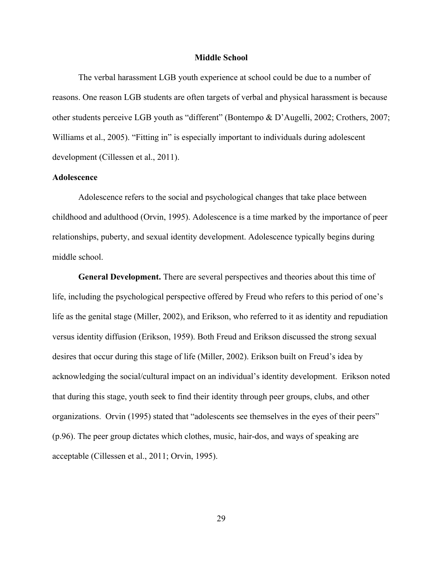#### **Middle School**

The verbal harassment LGB youth experience at school could be due to a number of reasons. One reason LGB students are often targets of verbal and physical harassment is because other students perceive LGB youth as "different" (Bontempo & D'Augelli, 2002; Crothers, 2007; Williams et al., 2005). "Fitting in" is especially important to individuals during adolescent development (Cillessen et al., 2011).

# **Adolescence**

Adolescence refers to the social and psychological changes that take place between childhood and adulthood (Orvin, 1995). Adolescence is a time marked by the importance of peer relationships, puberty, and sexual identity development. Adolescence typically begins during middle school.

**General Development.** There are several perspectives and theories about this time of life, including the psychological perspective offered by Freud who refers to this period of one's life as the genital stage (Miller, 2002), and Erikson, who referred to it as identity and repudiation versus identity diffusion (Erikson, 1959). Both Freud and Erikson discussed the strong sexual desires that occur during this stage of life (Miller, 2002). Erikson built on Freud's idea by acknowledging the social/cultural impact on an individual's identity development. Erikson noted that during this stage, youth seek to find their identity through peer groups, clubs, and other organizations. Orvin (1995) stated that "adolescents see themselves in the eyes of their peers" (p.96). The peer group dictates which clothes, music, hair-dos, and ways of speaking are acceptable (Cillessen et al., 2011; Orvin, 1995).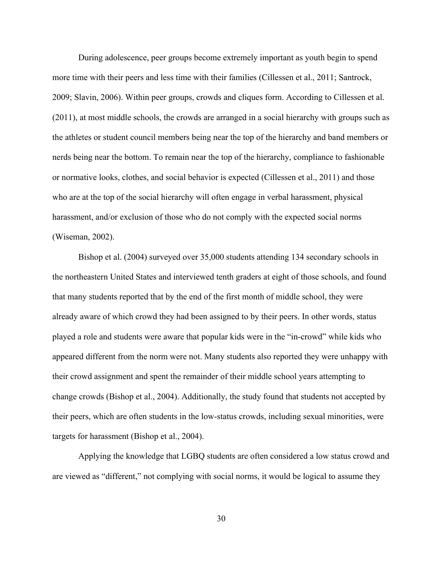During adolescence, peer groups become extremely important as youth begin to spend more time with their peers and less time with their families (Cillessen et al., 2011; Santrock, 2009; Slavin, 2006). Within peer groups, crowds and cliques form. According to Cillessen et al. (2011), at most middle schools, the crowds are arranged in a social hierarchy with groups such as the athletes or student council members being near the top of the hierarchy and band members or nerds being near the bottom. To remain near the top of the hierarchy, compliance to fashionable or normative looks, clothes, and social behavior is expected (Cillessen et al., 2011) and those who are at the top of the social hierarchy will often engage in verbal harassment, physical harassment, and/or exclusion of those who do not comply with the expected social norms (Wiseman, 2002).

Bishop et al. (2004) surveyed over 35,000 students attending 134 secondary schools in the northeastern United States and interviewed tenth graders at eight of those schools, and found that many students reported that by the end of the first month of middle school, they were already aware of which crowd they had been assigned to by their peers. In other words, status played a role and students were aware that popular kids were in the "in-crowd" while kids who appeared different from the norm were not. Many students also reported they were unhappy with their crowd assignment and spent the remainder of their middle school years attempting to change crowds (Bishop et al., 2004). Additionally, the study found that students not accepted by their peers, which are often students in the low-status crowds, including sexual minorities, were targets for harassment (Bishop et al., 2004).

Applying the knowledge that LGBQ students are often considered a low status crowd and are viewed as "different," not complying with social norms, it would be logical to assume they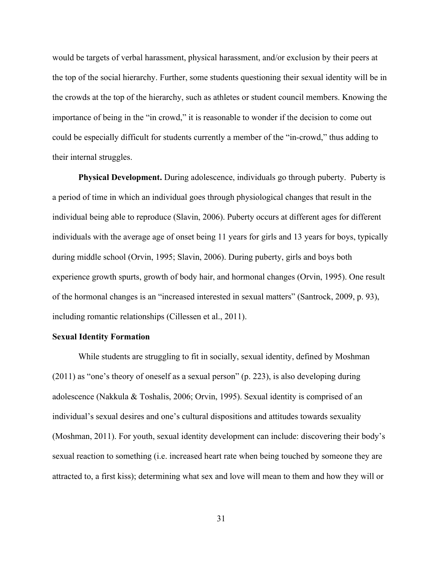would be targets of verbal harassment, physical harassment, and/or exclusion by their peers at the top of the social hierarchy. Further, some students questioning their sexual identity will be in the crowds at the top of the hierarchy, such as athletes or student council members. Knowing the importance of being in the "in crowd," it is reasonable to wonder if the decision to come out could be especially difficult for students currently a member of the "in-crowd," thus adding to their internal struggles.

**Physical Development.** During adolescence, individuals go through puberty. Puberty is a period of time in which an individual goes through physiological changes that result in the individual being able to reproduce (Slavin, 2006). Puberty occurs at different ages for different individuals with the average age of onset being 11 years for girls and 13 years for boys, typically during middle school (Orvin, 1995; Slavin, 2006). During puberty, girls and boys both experience growth spurts, growth of body hair, and hormonal changes (Orvin, 1995). One result of the hormonal changes is an "increased interested in sexual matters" (Santrock, 2009, p. 93), including romantic relationships (Cillessen et al., 2011).

### **Sexual Identity Formation**

While students are struggling to fit in socially, sexual identity, defined by Moshman (2011) as "one's theory of oneself as a sexual person" (p. 223), is also developing during adolescence (Nakkula & Toshalis, 2006; Orvin, 1995). Sexual identity is comprised of an individual's sexual desires and one's cultural dispositions and attitudes towards sexuality (Moshman, 2011). For youth, sexual identity development can include: discovering their body's sexual reaction to something (i.e. increased heart rate when being touched by someone they are attracted to, a first kiss); determining what sex and love will mean to them and how they will or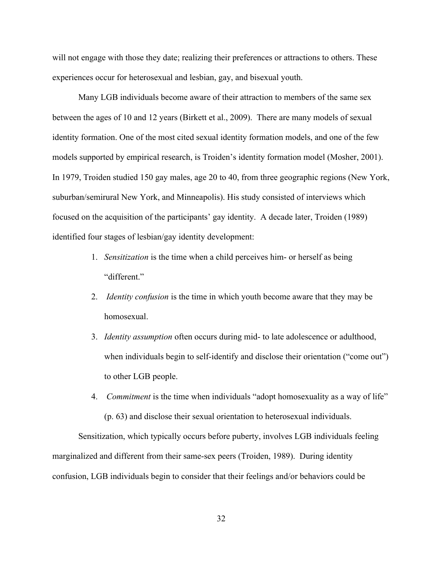will not engage with those they date; realizing their preferences or attractions to others. These experiences occur for heterosexual and lesbian, gay, and bisexual youth.

Many LGB individuals become aware of their attraction to members of the same sex between the ages of 10 and 12 years (Birkett et al., 2009). There are many models of sexual identity formation. One of the most cited sexual identity formation models, and one of the few models supported by empirical research, is Troiden's identity formation model (Mosher, 2001). In 1979, Troiden studied 150 gay males, age 20 to 40, from three geographic regions (New York, suburban/semirural New York, and Minneapolis). His study consisted of interviews which focused on the acquisition of the participants' gay identity. A decade later, Troiden (1989) identified four stages of lesbian/gay identity development:

- 1. *Sensitization* is the time when a child perceives him- or herself as being "different."
- 2. *Identity confusion* is the time in which youth become aware that they may be homosexual.
- 3. *Identity assumption* often occurs during mid- to late adolescence or adulthood, when individuals begin to self-identify and disclose their orientation ("come out") to other LGB people.
- 4. *Commitment* is the time when individuals "adopt homosexuality as a way of life" (p. 63) and disclose their sexual orientation to heterosexual individuals.

Sensitization, which typically occurs before puberty, involves LGB individuals feeling marginalized and different from their same-sex peers (Troiden, 1989). During identity confusion, LGB individuals begin to consider that their feelings and/or behaviors could be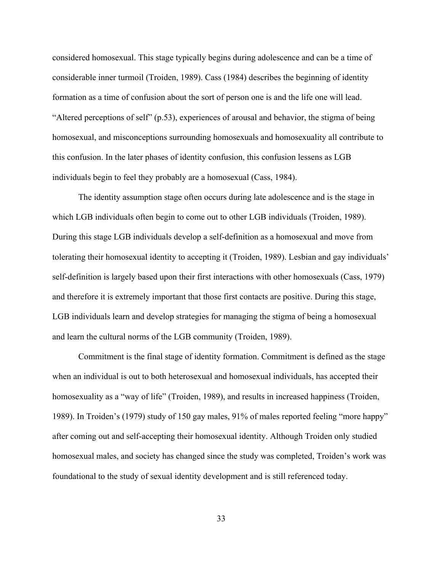considered homosexual. This stage typically begins during adolescence and can be a time of considerable inner turmoil (Troiden, 1989). Cass (1984) describes the beginning of identity formation as a time of confusion about the sort of person one is and the life one will lead. "Altered perceptions of self" (p.53), experiences of arousal and behavior, the stigma of being homosexual, and misconceptions surrounding homosexuals and homosexuality all contribute to this confusion. In the later phases of identity confusion, this confusion lessens as LGB individuals begin to feel they probably are a homosexual (Cass, 1984).

The identity assumption stage often occurs during late adolescence and is the stage in which LGB individuals often begin to come out to other LGB individuals (Troiden, 1989). During this stage LGB individuals develop a self-definition as a homosexual and move from tolerating their homosexual identity to accepting it (Troiden, 1989). Lesbian and gay individuals' self-definition is largely based upon their first interactions with other homosexuals (Cass, 1979) and therefore it is extremely important that those first contacts are positive. During this stage, LGB individuals learn and develop strategies for managing the stigma of being a homosexual and learn the cultural norms of the LGB community (Troiden, 1989).

Commitment is the final stage of identity formation. Commitment is defined as the stage when an individual is out to both heterosexual and homosexual individuals, has accepted their homosexuality as a "way of life" (Troiden, 1989), and results in increased happiness (Troiden, 1989). In Troiden's (1979) study of 150 gay males, 91% of males reported feeling "more happy" after coming out and self-accepting their homosexual identity. Although Troiden only studied homosexual males, and society has changed since the study was completed, Troiden's work was foundational to the study of sexual identity development and is still referenced today.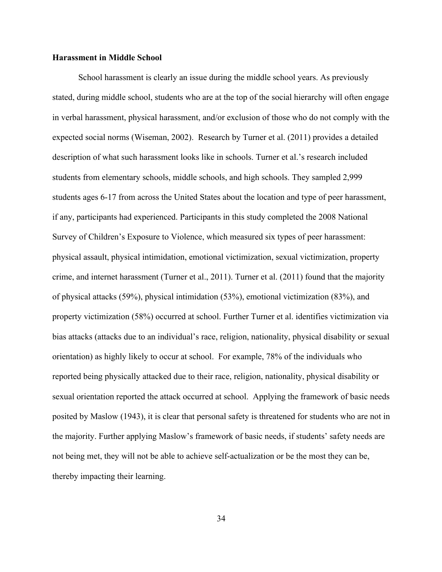# **Harassment in Middle School**

School harassment is clearly an issue during the middle school years. As previously stated, during middle school, students who are at the top of the social hierarchy will often engage in verbal harassment, physical harassment, and/or exclusion of those who do not comply with the expected social norms (Wiseman, 2002). Research by Turner et al. (2011) provides a detailed description of what such harassment looks like in schools. Turner et al.'s research included students from elementary schools, middle schools, and high schools. They sampled 2,999 students ages 6-17 from across the United States about the location and type of peer harassment, if any, participants had experienced. Participants in this study completed the 2008 National Survey of Children's Exposure to Violence, which measured six types of peer harassment: physical assault, physical intimidation, emotional victimization, sexual victimization, property crime, and internet harassment (Turner et al., 2011). Turner et al. (2011) found that the majority of physical attacks (59%), physical intimidation (53%), emotional victimization (83%), and property victimization (58%) occurred at school. Further Turner et al. identifies victimization via bias attacks (attacks due to an individual's race, religion, nationality, physical disability or sexual orientation) as highly likely to occur at school. For example, 78% of the individuals who reported being physically attacked due to their race, religion, nationality, physical disability or sexual orientation reported the attack occurred at school. Applying the framework of basic needs posited by Maslow (1943), it is clear that personal safety is threatened for students who are not in the majority. Further applying Maslow's framework of basic needs, if students' safety needs are not being met, they will not be able to achieve self-actualization or be the most they can be, thereby impacting their learning.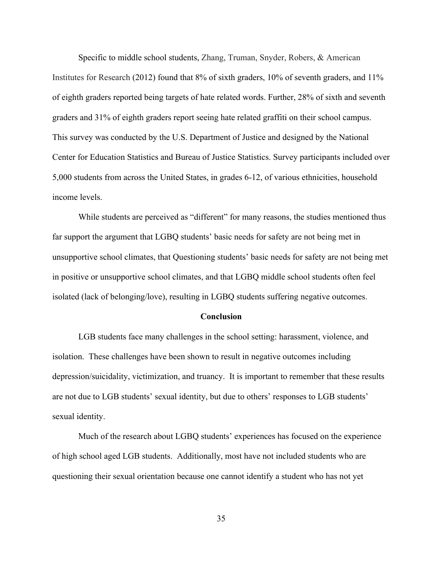Specific to middle school students, Zhang, Truman, Snyder, Robers, & American Institutes for Research (2012) found that 8% of sixth graders, 10% of seventh graders, and 11% of eighth graders reported being targets of hate related words. Further, 28% of sixth and seventh graders and 31% of eighth graders report seeing hate related graffiti on their school campus. This survey was conducted by the U.S. Department of Justice and designed by the National Center for Education Statistics and Bureau of Justice Statistics. Survey participants included over 5,000 students from across the United States, in grades 6-12, of various ethnicities, household income levels.

While students are perceived as "different" for many reasons, the studies mentioned thus far support the argument that LGBQ students' basic needs for safety are not being met in unsupportive school climates, that Questioning students' basic needs for safety are not being met in positive or unsupportive school climates, and that LGBQ middle school students often feel isolated (lack of belonging/love), resulting in LGBQ students suffering negative outcomes.

#### **Conclusion**

LGB students face many challenges in the school setting: harassment, violence, and isolation. These challenges have been shown to result in negative outcomes including depression/suicidality, victimization, and truancy. It is important to remember that these results are not due to LGB students' sexual identity, but due to others' responses to LGB students' sexual identity.

Much of the research about LGBQ students' experiences has focused on the experience of high school aged LGB students. Additionally, most have not included students who are questioning their sexual orientation because one cannot identify a student who has not yet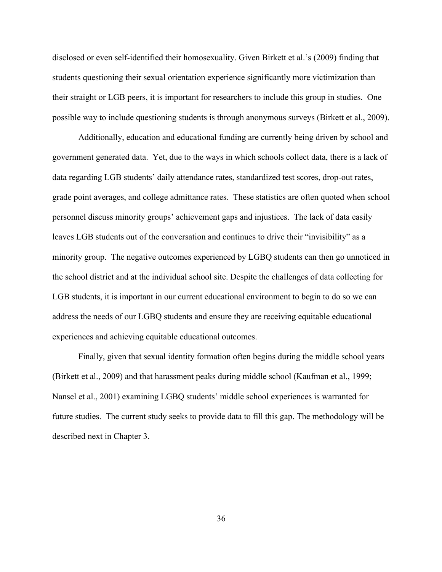disclosed or even self-identified their homosexuality. Given Birkett et al.'s (2009) finding that students questioning their sexual orientation experience significantly more victimization than their straight or LGB peers, it is important for researchers to include this group in studies. One possible way to include questioning students is through anonymous surveys (Birkett et al., 2009).

Additionally, education and educational funding are currently being driven by school and government generated data. Yet, due to the ways in which schools collect data, there is a lack of data regarding LGB students' daily attendance rates, standardized test scores, drop-out rates, grade point averages, and college admittance rates. These statistics are often quoted when school personnel discuss minority groups' achievement gaps and injustices. The lack of data easily leaves LGB students out of the conversation and continues to drive their "invisibility" as a minority group. The negative outcomes experienced by LGBQ students can then go unnoticed in the school district and at the individual school site. Despite the challenges of data collecting for LGB students, it is important in our current educational environment to begin to do so we can address the needs of our LGBQ students and ensure they are receiving equitable educational experiences and achieving equitable educational outcomes.

Finally, given that sexual identity formation often begins during the middle school years (Birkett et al., 2009) and that harassment peaks during middle school (Kaufman et al., 1999; Nansel et al., 2001) examining LGBQ students' middle school experiences is warranted for future studies. The current study seeks to provide data to fill this gap. The methodology will be described next in Chapter 3.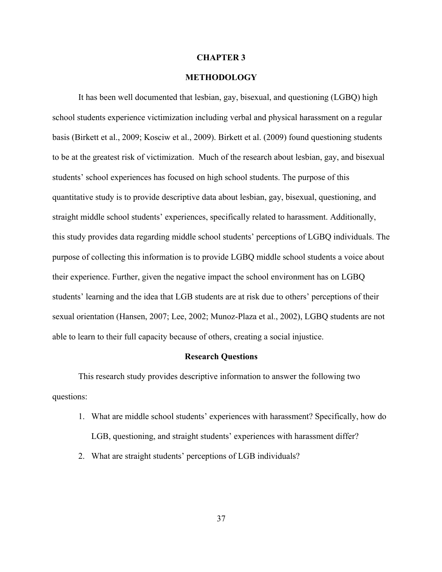#### **CHAPTER 3**

## **METHODOLOGY**

It has been well documented that lesbian, gay, bisexual, and questioning (LGBQ) high school students experience victimization including verbal and physical harassment on a regular basis (Birkett et al., 2009; Kosciw et al., 2009). Birkett et al. (2009) found questioning students to be at the greatest risk of victimization. Much of the research about lesbian, gay, and bisexual students' school experiences has focused on high school students. The purpose of this quantitative study is to provide descriptive data about lesbian, gay, bisexual, questioning, and straight middle school students' experiences, specifically related to harassment. Additionally, this study provides data regarding middle school students' perceptions of LGBQ individuals. The purpose of collecting this information is to provide LGBQ middle school students a voice about their experience. Further, given the negative impact the school environment has on LGBQ students' learning and the idea that LGB students are at risk due to others' perceptions of their sexual orientation (Hansen, 2007; Lee, 2002; Munoz-Plaza et al., 2002), LGBQ students are not able to learn to their full capacity because of others, creating a social injustice.

# **Research Questions**

This research study provides descriptive information to answer the following two questions:

- 1. What are middle school students' experiences with harassment? Specifically, how do LGB, questioning, and straight students' experiences with harassment differ?
- 2. What are straight students' perceptions of LGB individuals?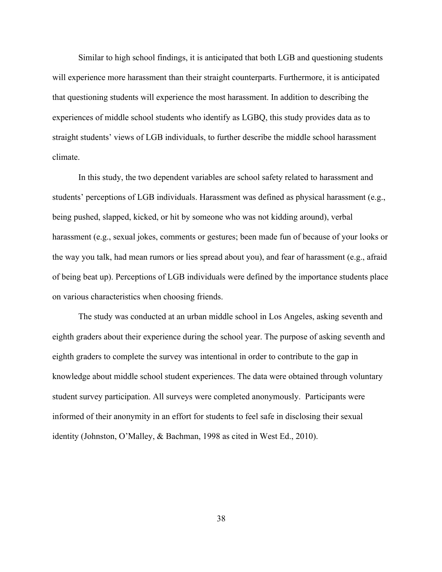Similar to high school findings, it is anticipated that both LGB and questioning students will experience more harassment than their straight counterparts. Furthermore, it is anticipated that questioning students will experience the most harassment. In addition to describing the experiences of middle school students who identify as LGBQ, this study provides data as to straight students' views of LGB individuals, to further describe the middle school harassment climate.

In this study, the two dependent variables are school safety related to harassment and students' perceptions of LGB individuals. Harassment was defined as physical harassment (e.g., being pushed, slapped, kicked, or hit by someone who was not kidding around), verbal harassment (e.g., sexual jokes, comments or gestures; been made fun of because of your looks or the way you talk, had mean rumors or lies spread about you), and fear of harassment (e.g., afraid of being beat up). Perceptions of LGB individuals were defined by the importance students place on various characteristics when choosing friends.

The study was conducted at an urban middle school in Los Angeles, asking seventh and eighth graders about their experience during the school year. The purpose of asking seventh and eighth graders to complete the survey was intentional in order to contribute to the gap in knowledge about middle school student experiences. The data were obtained through voluntary student survey participation. All surveys were completed anonymously. Participants were informed of their anonymity in an effort for students to feel safe in disclosing their sexual identity (Johnston, O'Malley, & Bachman, 1998 as cited in West Ed., 2010).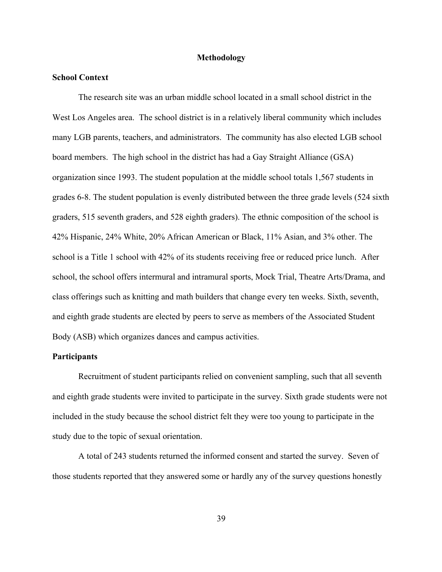# **Methodology**

## **School Context**

The research site was an urban middle school located in a small school district in the West Los Angeles area. The school district is in a relatively liberal community which includes many LGB parents, teachers, and administrators. The community has also elected LGB school board members. The high school in the district has had a Gay Straight Alliance (GSA) organization since 1993. The student population at the middle school totals 1,567 students in grades 6-8. The student population is evenly distributed between the three grade levels (524 sixth graders, 515 seventh graders, and 528 eighth graders). The ethnic composition of the school is 42% Hispanic, 24% White, 20% African American or Black, 11% Asian, and 3% other. The school is a Title 1 school with 42% of its students receiving free or reduced price lunch. After school, the school offers intermural and intramural sports, Mock Trial, Theatre Arts/Drama, and class offerings such as knitting and math builders that change every ten weeks. Sixth, seventh, and eighth grade students are elected by peers to serve as members of the Associated Student Body (ASB) which organizes dances and campus activities.

# **Participants**

Recruitment of student participants relied on convenient sampling, such that all seventh and eighth grade students were invited to participate in the survey. Sixth grade students were not included in the study because the school district felt they were too young to participate in the study due to the topic of sexual orientation.

A total of 243 students returned the informed consent and started the survey. Seven of those students reported that they answered some or hardly any of the survey questions honestly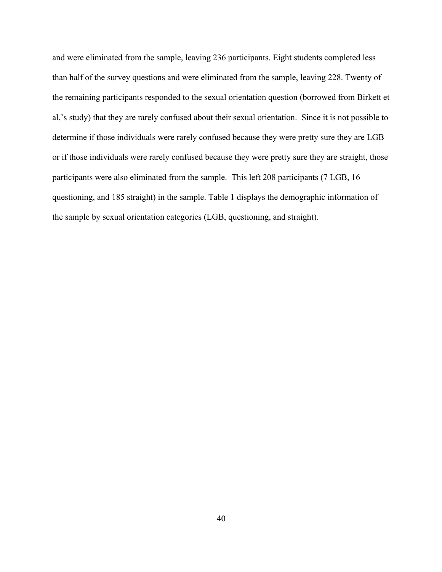and were eliminated from the sample, leaving 236 participants. Eight students completed less than half of the survey questions and were eliminated from the sample, leaving 228. Twenty of the remaining participants responded to the sexual orientation question (borrowed from Birkett et al.'s study) that they are rarely confused about their sexual orientation. Since it is not possible to determine if those individuals were rarely confused because they were pretty sure they are LGB or if those individuals were rarely confused because they were pretty sure they are straight, those participants were also eliminated from the sample. This left 208 participants (7 LGB, 16 questioning, and 185 straight) in the sample. Table 1 displays the demographic information of the sample by sexual orientation categories (LGB, questioning, and straight).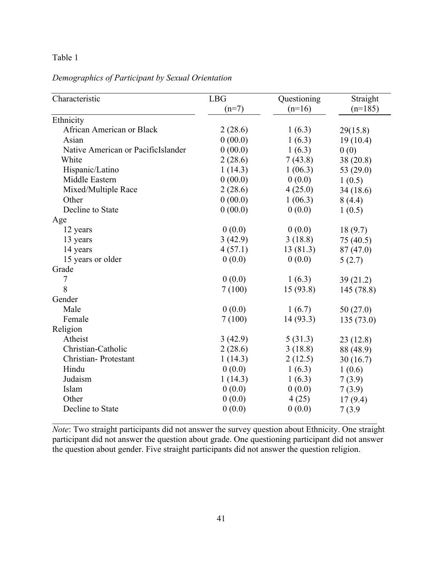| Demographics of Participant by Sexual Orientation |  |
|---------------------------------------------------|--|
|---------------------------------------------------|--|

| Characteristic                     | <b>LBG</b> | Questioning | Straight    |
|------------------------------------|------------|-------------|-------------|
|                                    | $(n=7)$    | $(n=16)$    | $(n=185)$   |
| Ethnicity                          |            |             |             |
| African American or Black          | 2(28.6)    | 1(6.3)      | 29(15.8)    |
| Asian                              | 0(00.0)    | 1(6.3)      | 19(10.4)    |
| Native American or PacificIslander | 0(00.0)    | 1(6.3)      | 0(0)        |
| White                              | 2(28.6)    | 7(43.8)     | 38 (20.8)   |
| Hispanic/Latino                    | 1(14.3)    | 1(06.3)     | 53 $(29.0)$ |
| Middle Eastern                     | 0(00.0)    | 0(0.0)      | 1(0.5)      |
| Mixed/Multiple Race                | 2(28.6)    | 4(25.0)     | 34(18.6)    |
| Other                              | 0(00.0)    | 1(06.3)     | 8(4.4)      |
| Decline to State                   | 0(00.0)    | 0(0.0)      | 1(0.5)      |
| Age                                |            |             |             |
| 12 years                           | 0(0.0)     | 0(0.0)      | 18(9.7)     |
| 13 years                           | 3(42.9)    | 3(18.8)     | 75 (40.5)   |
| 14 years                           | 4(57.1)    | 13(81.3)    | 87 (47.0)   |
| 15 years or older                  | 0(0.0)     | 0(0.0)      | 5(2.7)      |
| Grade                              |            |             |             |
| 7                                  | 0(0.0)     | 1(6.3)      | 39(21.2)    |
| 8                                  | 7(100)     | 15(93.8)    | 145 (78.8)  |
| Gender                             |            |             |             |
| Male                               | 0(0.0)     | 1(6.7)      | 50(27.0)    |
| Female                             | 7(100)     | 14(93.3)    | 135(73.0)   |
| Religion                           |            |             |             |
| Atheist                            | 3(42.9)    | 5(31.3)     | 23(12.8)    |
| Christian-Catholic                 | 2(28.6)    | 3(18.8)     | 88 (48.9)   |
| Christian-Protestant               | 1(14.3)    | 2(12.5)     | 30(16.7)    |
| Hindu                              | 0(0.0)     | 1(6.3)      | 1(0.6)      |
| Judaism                            | 1(14.3)    | 1(6.3)      | 7(3.9)      |
| Islam                              | 0(0.0)     | 0(0.0)      | 7(3.9)      |
| Other                              | 0(0.0)     | 4(25)       | 17(9.4)     |
| Decline to State                   | 0(0.0)     | 0(0.0)      | 7(3.9)      |
|                                    |            |             |             |

*Note*: Two straight participants did not answer the survey question about Ethnicity. One straight participant did not answer the question about grade. One questioning participant did not answer the question about gender. Five straight participants did not answer the question religion.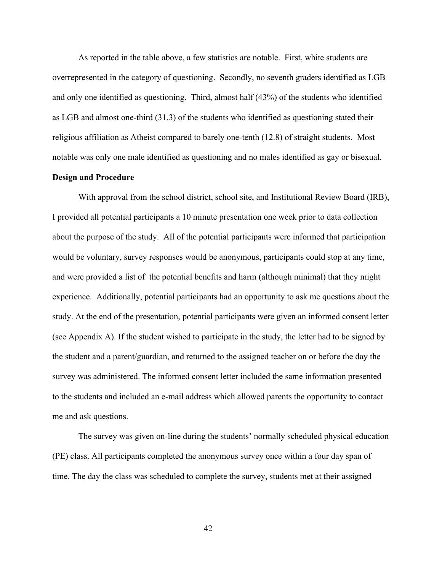As reported in the table above, a few statistics are notable. First, white students are overrepresented in the category of questioning. Secondly, no seventh graders identified as LGB and only one identified as questioning. Third, almost half (43%) of the students who identified as LGB and almost one-third (31.3) of the students who identified as questioning stated their religious affiliation as Atheist compared to barely one-tenth (12.8) of straight students. Most notable was only one male identified as questioning and no males identified as gay or bisexual.

# **Design and Procedure**

With approval from the school district, school site, and Institutional Review Board (IRB), I provided all potential participants a 10 minute presentation one week prior to data collection about the purpose of the study. All of the potential participants were informed that participation would be voluntary, survey responses would be anonymous, participants could stop at any time, and were provided a list of the potential benefits and harm (although minimal) that they might experience. Additionally, potential participants had an opportunity to ask me questions about the study. At the end of the presentation, potential participants were given an informed consent letter (see Appendix A). If the student wished to participate in the study, the letter had to be signed by the student and a parent/guardian, and returned to the assigned teacher on or before the day the survey was administered. The informed consent letter included the same information presented to the students and included an e-mail address which allowed parents the opportunity to contact me and ask questions.

The survey was given on-line during the students' normally scheduled physical education (PE) class. All participants completed the anonymous survey once within a four day span of time. The day the class was scheduled to complete the survey, students met at their assigned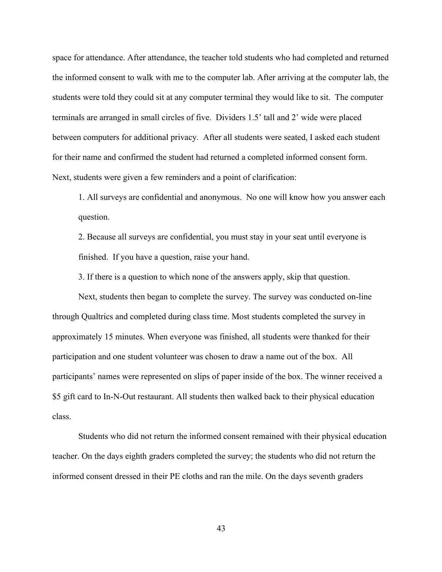space for attendance. After attendance, the teacher told students who had completed and returned the informed consent to walk with me to the computer lab. After arriving at the computer lab, the students were told they could sit at any computer terminal they would like to sit. The computer terminals are arranged in small circles of five. Dividers 1.5' tall and 2' wide were placed between computers for additional privacy. After all students were seated, I asked each student for their name and confirmed the student had returned a completed informed consent form. Next, students were given a few reminders and a point of clarification:

1. All surveys are confidential and anonymous. No one will know how you answer each question.

2. Because all surveys are confidential, you must stay in your seat until everyone is finished. If you have a question, raise your hand.

3. If there is a question to which none of the answers apply, skip that question.

Next, students then began to complete the survey. The survey was conducted on-line through Qualtrics and completed during class time. Most students completed the survey in approximately 15 minutes. When everyone was finished, all students were thanked for their participation and one student volunteer was chosen to draw a name out of the box. All participants' names were represented on slips of paper inside of the box. The winner received a \$5 gift card to In-N-Out restaurant. All students then walked back to their physical education class.

Students who did not return the informed consent remained with their physical education teacher. On the days eighth graders completed the survey; the students who did not return the informed consent dressed in their PE cloths and ran the mile. On the days seventh graders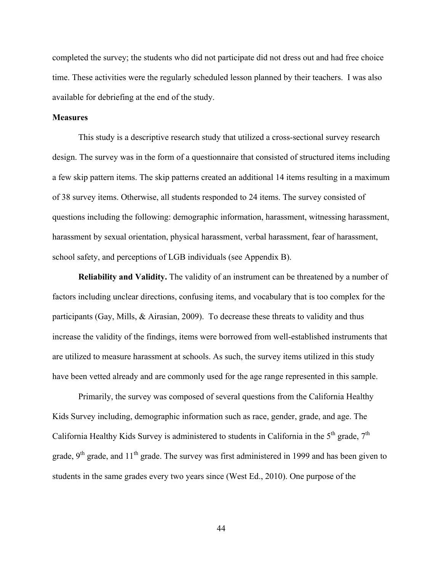completed the survey; the students who did not participate did not dress out and had free choice time. These activities were the regularly scheduled lesson planned by their teachers. I was also available for debriefing at the end of the study.

# **Measures**

This study is a descriptive research study that utilized a cross-sectional survey research design. The survey was in the form of a questionnaire that consisted of structured items including a few skip pattern items. The skip patterns created an additional 14 items resulting in a maximum of 38 survey items. Otherwise, all students responded to 24 items. The survey consisted of questions including the following: demographic information, harassment, witnessing harassment, harassment by sexual orientation, physical harassment, verbal harassment, fear of harassment, school safety, and perceptions of LGB individuals (see Appendix B).

**Reliability and Validity.** The validity of an instrument can be threatened by a number of factors including unclear directions, confusing items, and vocabulary that is too complex for the participants (Gay, Mills, & Airasian, 2009). To decrease these threats to validity and thus increase the validity of the findings, items were borrowed from well-established instruments that are utilized to measure harassment at schools. As such, the survey items utilized in this study have been vetted already and are commonly used for the age range represented in this sample.

Primarily, the survey was composed of several questions from the California Healthy Kids Survey including, demographic information such as race, gender, grade, and age. The California Healthy Kids Survey is administered to students in California in the  $5<sup>th</sup>$  grade,  $7<sup>th</sup>$ grade,  $9<sup>th</sup>$  grade, and  $11<sup>th</sup>$  grade. The survey was first administered in 1999 and has been given to students in the same grades every two years since (West Ed., 2010). One purpose of the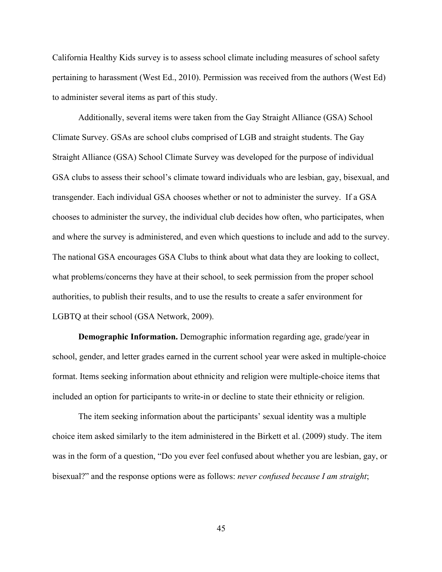California Healthy Kids survey is to assess school climate including measures of school safety pertaining to harassment (West Ed., 2010). Permission was received from the authors (West Ed) to administer several items as part of this study.

Additionally, several items were taken from the Gay Straight Alliance (GSA) School Climate Survey. GSAs are school clubs comprised of LGB and straight students. The Gay Straight Alliance (GSA) School Climate Survey was developed for the purpose of individual GSA clubs to assess their school's climate toward individuals who are lesbian, gay, bisexual, and transgender. Each individual GSA chooses whether or not to administer the survey. If a GSA chooses to administer the survey, the individual club decides how often, who participates, when and where the survey is administered, and even which questions to include and add to the survey. The national GSA encourages GSA Clubs to think about what data they are looking to collect, what problems/concerns they have at their school, to seek permission from the proper school authorities, to publish their results, and to use the results to create a safer environment for LGBTQ at their school (GSA Network, 2009).

**Demographic Information.** Demographic information regarding age, grade/year in school, gender, and letter grades earned in the current school year were asked in multiple-choice format. Items seeking information about ethnicity and religion were multiple-choice items that included an option for participants to write-in or decline to state their ethnicity or religion.

The item seeking information about the participants' sexual identity was a multiple choice item asked similarly to the item administered in the Birkett et al. (2009) study. The item was in the form of a question, "Do you ever feel confused about whether you are lesbian, gay, or bisexual?" and the response options were as follows: *never confused because I am straight*;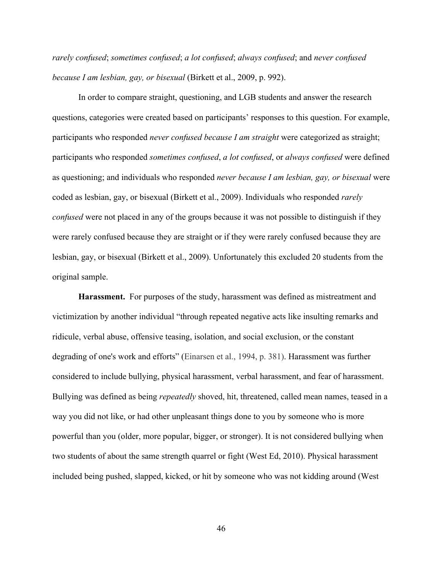*rarely confused*; *sometimes confused*; *a lot confused*; *always confused*; and *never confused because I am lesbian, gay, or bisexual* (Birkett et al., 2009, p. 992).

In order to compare straight, questioning, and LGB students and answer the research questions, categories were created based on participants' responses to this question. For example, participants who responded *never confused because I am straight* were categorized as straight; participants who responded *sometimes confused*, *a lot confused*, or *always confused* were defined as questioning; and individuals who responded *never because I am lesbian, gay, or bisexual* were coded as lesbian, gay, or bisexual (Birkett et al., 2009). Individuals who responded *rarely confused* were not placed in any of the groups because it was not possible to distinguish if they were rarely confused because they are straight or if they were rarely confused because they are lesbian, gay, or bisexual (Birkett et al., 2009). Unfortunately this excluded 20 students from the original sample.

**Harassment.** For purposes of the study, harassment was defined as mistreatment and victimization by another individual "through repeated negative acts like insulting remarks and ridicule, verbal abuse, offensive teasing, isolation, and social exclusion, or the constant degrading of one's work and efforts" (Einarsen et al., 1994, p. 381). Harassment was further considered to include bullying, physical harassment, verbal harassment, and fear of harassment. Bullying was defined as being *repeatedly* shoved, hit, threatened, called mean names, teased in a way you did not like, or had other unpleasant things done to you by someone who is more powerful than you (older, more popular, bigger, or stronger). It is not considered bullying when two students of about the same strength quarrel or fight (West Ed, 2010). Physical harassment included being pushed, slapped, kicked, or hit by someone who was not kidding around (West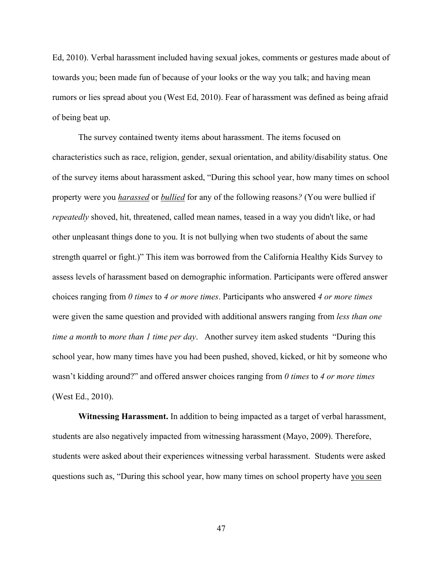Ed, 2010). Verbal harassment included having sexual jokes, comments or gestures made about of towards you; been made fun of because of your looks or the way you talk; and having mean rumors or lies spread about you (West Ed, 2010). Fear of harassment was defined as being afraid of being beat up.

The survey contained twenty items about harassment. The items focused on characteristics such as race, religion, gender, sexual orientation, and ability/disability status. One of the survey items about harassment asked, "During this school year, how many times on school property were you *harassed* or *bullied* for any of the following reasons*?* (You were bullied if *repeatedly* shoved, hit, threatened, called mean names, teased in a way you didn't like, or had other unpleasant things done to you. It is not bullying when two students of about the same strength quarrel or fight.)" This item was borrowed from the California Healthy Kids Survey to assess levels of harassment based on demographic information. Participants were offered answer choices ranging from *0 times* to *4 or more times*. Participants who answered *4 or more times* were given the same question and provided with additional answers ranging from *less than one time a month* to *more than 1 time per day*. Another survey item asked students "During this school year, how many times have you had been pushed, shoved, kicked, or hit by someone who wasn't kidding around?" and offered answer choices ranging from *0 times* to *4 or more times* (West Ed., 2010).

**Witnessing Harassment.** In addition to being impacted as a target of verbal harassment, students are also negatively impacted from witnessing harassment (Mayo, 2009). Therefore, students were asked about their experiences witnessing verbal harassment. Students were asked questions such as, "During this school year, how many times on school property have you seen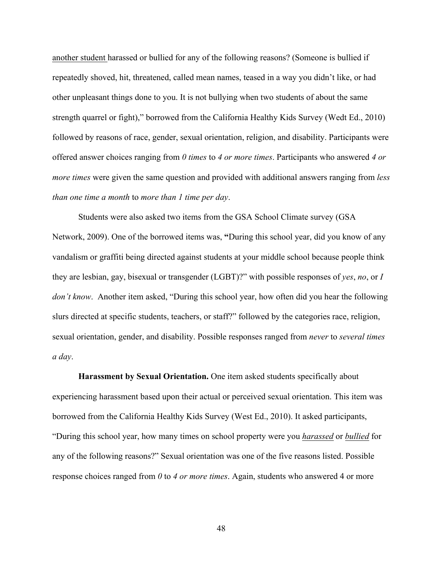another student harassed or bullied for any of the following reasons? (Someone is bullied if repeatedly shoved, hit, threatened, called mean names, teased in a way you didn't like, or had other unpleasant things done to you. It is not bullying when two students of about the same strength quarrel or fight)," borrowed from the California Healthy Kids Survey (Wedt Ed., 2010) followed by reasons of race, gender, sexual orientation, religion, and disability. Participants were offered answer choices ranging from *0 times* to *4 or more times*. Participants who answered *4 or more times* were given the same question and provided with additional answers ranging from *less than one time a month* to *more than 1 time per day*.

Students were also asked two items from the GSA School Climate survey (GSA Network, 2009). One of the borrowed items was, **"**During this school year, did you know of any vandalism or graffiti being directed against students at your middle school because people think they are lesbian, gay, bisexual or transgender (LGBT)?" with possible responses of *yes*, *no*, or *I don't know*. Another item asked, "During this school year, how often did you hear the following slurs directed at specific students, teachers, or staff?" followed by the categories race, religion, sexual orientation, gender, and disability. Possible responses ranged from *never* to *several times a day*.

**Harassment by Sexual Orientation.** One item asked students specifically about experiencing harassment based upon their actual or perceived sexual orientation. This item was borrowed from the California Healthy Kids Survey (West Ed., 2010). It asked participants, "During this school year, how many times on school property were you *harassed* or *bullied* for any of the following reasons?" Sexual orientation was one of the five reasons listed. Possible response choices ranged from *0* to *4 or more times*. Again, students who answered 4 or more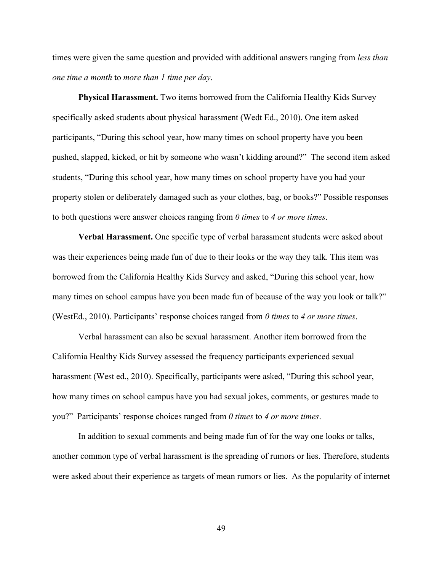times were given the same question and provided with additional answers ranging from *less than one time a month* to *more than 1 time per day*.

**Physical Harassment.** Two items borrowed from the California Healthy Kids Survey specifically asked students about physical harassment (Wedt Ed., 2010). One item asked participants, "During this school year, how many times on school property have you been pushed, slapped, kicked, or hit by someone who wasn't kidding around?" The second item asked students, "During this school year, how many times on school property have you had your property stolen or deliberately damaged such as your clothes, bag, or books?" Possible responses to both questions were answer choices ranging from *0 times* to *4 or more times*.

**Verbal Harassment.** One specific type of verbal harassment students were asked about was their experiences being made fun of due to their looks or the way they talk. This item was borrowed from the California Healthy Kids Survey and asked, "During this school year, how many times on school campus have you been made fun of because of the way you look or talk?" (WestEd., 2010). Participants' response choices ranged from *0 times* to *4 or more times*.

Verbal harassment can also be sexual harassment. Another item borrowed from the California Healthy Kids Survey assessed the frequency participants experienced sexual harassment (West ed., 2010). Specifically, participants were asked, "During this school year, how many times on school campus have you had sexual jokes, comments, or gestures made to you?" Participants' response choices ranged from *0 times* to *4 or more times*.

In addition to sexual comments and being made fun of for the way one looks or talks, another common type of verbal harassment is the spreading of rumors or lies. Therefore, students were asked about their experience as targets of mean rumors or lies. As the popularity of internet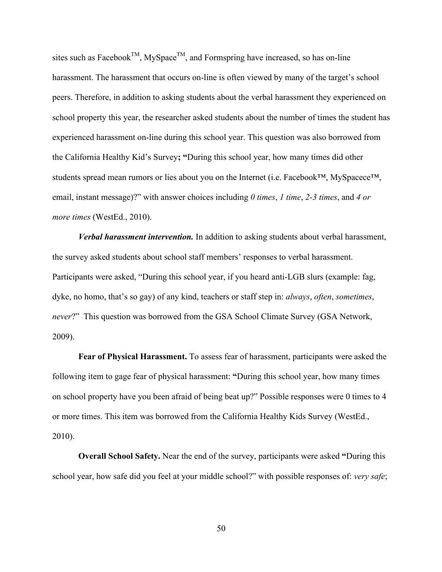sites such as Facebook<sup>TM</sup>, MySpace<sup>TM</sup>, and Formspring have increased, so has on-line harassment. The harassment that occurs on-line is often viewed by many of the target's school peers. Therefore, in addition to asking students about the verbal harassment they experienced on school property this year, the researcher asked students about the number of times the student has experienced harassment on-line during this school year. This question was also borrowed from the California Healthy Kid's Survey**; "**During this school year, how many times did other students spread mean rumors or lies about you on the Internet (i.e. Facebook™, MySpacece™, email, instant message)?" with answer choices including *0 times*, *1 time*, *2-3 times*, and *4 or more times* (WestEd., 2010).

*Verbal harassment intervention.* In addition to asking students about verbal harassment, the survey asked students about school staff members' responses to verbal harassment. Participants were asked, "During this school year, if you heard anti-LGB slurs (example: fag, dyke, no homo, that's so gay) of any kind, teachers or staff step in: *always*, *often*, *sometimes*, *never*?" This question was borrowed from the GSA School Climate Survey (GSA Network, 2009).

**Fear of Physical Harassment.** To assess fear of harassment, participants were asked the following item to gage fear of physical harassment: **"**During this school year, how many times on school property have you been afraid of being beat up?" Possible responses were 0 times to 4 or more times. This item was borrowed from the California Healthy Kids Survey (WestEd., 2010).

**Overall School Safety.** Near the end of the survey, participants were asked **"**During this school year, how safe did you feel at your middle school?" with possible responses of: *very safe*;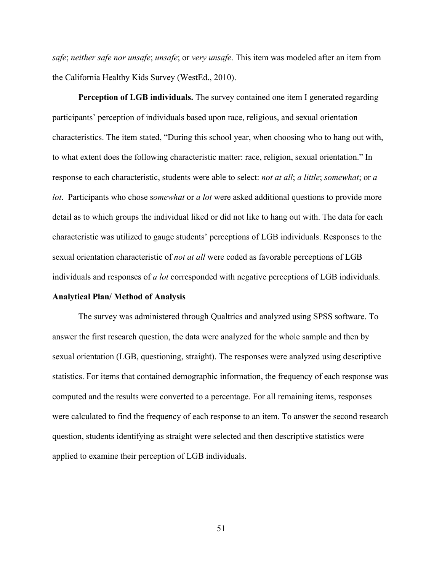*safe*; *neither safe nor unsafe*; *unsafe*; or *very unsafe*. This item was modeled after an item from the California Healthy Kids Survey (WestEd., 2010).

**Perception of LGB individuals.** The survey contained one item I generated regarding participants' perception of individuals based upon race, religious, and sexual orientation characteristics. The item stated, "During this school year, when choosing who to hang out with, to what extent does the following characteristic matter: race, religion, sexual orientation." In response to each characteristic, students were able to select: *not at all*; *a little*; *somewhat*; or *a lot*. Participants who chose s*omewhat* or *a lot* were asked additional questions to provide more detail as to which groups the individual liked or did not like to hang out with. The data for each characteristic was utilized to gauge students' perceptions of LGB individuals. Responses to the sexual orientation characteristic of *not at all* were coded as favorable perceptions of LGB individuals and responses of *a lot* corresponded with negative perceptions of LGB individuals.

# **Analytical Plan/ Method of Analysis**

The survey was administered through Qualtrics and analyzed using SPSS software. To answer the first research question, the data were analyzed for the whole sample and then by sexual orientation (LGB, questioning, straight). The responses were analyzed using descriptive statistics. For items that contained demographic information, the frequency of each response was computed and the results were converted to a percentage. For all remaining items, responses were calculated to find the frequency of each response to an item. To answer the second research question, students identifying as straight were selected and then descriptive statistics were applied to examine their perception of LGB individuals.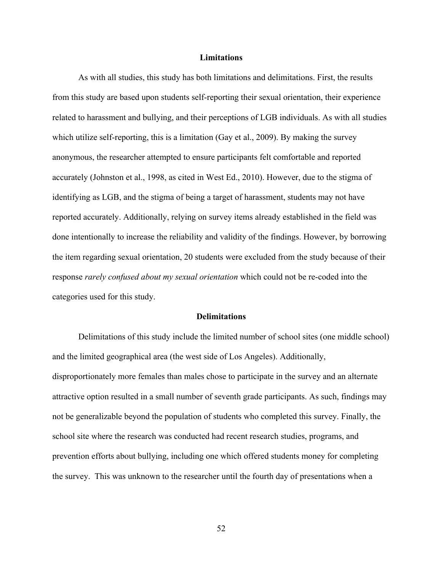#### **Limitations**

As with all studies, this study has both limitations and delimitations. First, the results from this study are based upon students self-reporting their sexual orientation, their experience related to harassment and bullying, and their perceptions of LGB individuals. As with all studies which utilize self-reporting, this is a limitation (Gay et al., 2009). By making the survey anonymous, the researcher attempted to ensure participants felt comfortable and reported accurately (Johnston et al., 1998, as cited in West Ed., 2010). However, due to the stigma of identifying as LGB, and the stigma of being a target of harassment, students may not have reported accurately. Additionally, relying on survey items already established in the field was done intentionally to increase the reliability and validity of the findings. However, by borrowing the item regarding sexual orientation, 20 students were excluded from the study because of their response *rarely confused about my sexual orientation* which could not be re-coded into the categories used for this study.

### **Delimitations**

Delimitations of this study include the limited number of school sites (one middle school) and the limited geographical area (the west side of Los Angeles). Additionally, disproportionately more females than males chose to participate in the survey and an alternate attractive option resulted in a small number of seventh grade participants. As such, findings may not be generalizable beyond the population of students who completed this survey. Finally, the school site where the research was conducted had recent research studies, programs, and prevention efforts about bullying, including one which offered students money for completing the survey. This was unknown to the researcher until the fourth day of presentations when a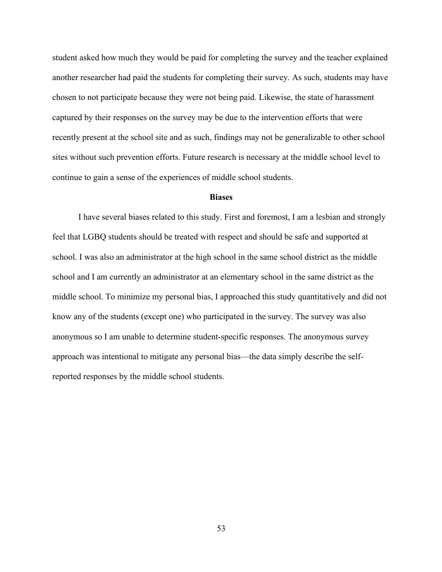student asked how much they would be paid for completing the survey and the teacher explained another researcher had paid the students for completing their survey. As such, students may have chosen to not participate because they were not being paid. Likewise, the state of harassment captured by their responses on the survey may be due to the intervention efforts that were recently present at the school site and as such, findings may not be generalizable to other school sites without such prevention efforts. Future research is necessary at the middle school level to continue to gain a sense of the experiences of middle school students.

### **Biases**

I have several biases related to this study. First and foremost, I am a lesbian and strongly feel that LGBQ students should be treated with respect and should be safe and supported at school. I was also an administrator at the high school in the same school district as the middle school and I am currently an administrator at an elementary school in the same district as the middle school. To minimize my personal bias, I approached this study quantitatively and did not know any of the students (except one) who participated in the survey. The survey was also anonymous so I am unable to determine student-specific responses. The anonymous survey approach was intentional to mitigate any personal bias—the data simply describe the selfreported responses by the middle school students.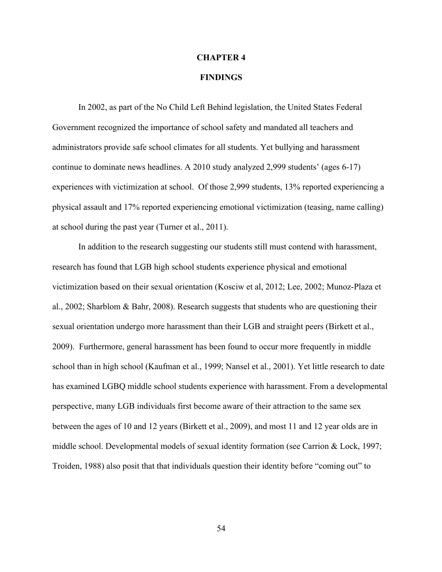#### **CHAPTER 4**

# **FINDINGS**

In 2002, as part of the No Child Left Behind legislation, the United States Federal Government recognized the importance of school safety and mandated all teachers and administrators provide safe school climates for all students. Yet bullying and harassment continue to dominate news headlines. A 2010 study analyzed 2,999 students' (ages 6-17) experiences with victimization at school. Of those 2,999 students, 13% reported experiencing a physical assault and 17% reported experiencing emotional victimization (teasing, name calling) at school during the past year (Turner et al., 2011).

In addition to the research suggesting our students still must contend with harassment, research has found that LGB high school students experience physical and emotional victimization based on their sexual orientation (Kosciw et al, 2012; Lee, 2002; Munoz-Plaza et al., 2002; Sharblom & Bahr, 2008). Research suggests that students who are questioning their sexual orientation undergo more harassment than their LGB and straight peers (Birkett et al., 2009). Furthermore, general harassment has been found to occur more frequently in middle school than in high school (Kaufman et al., 1999; Nansel et al., 2001). Yet little research to date has examined LGBQ middle school students experience with harassment. From a developmental perspective, many LGB individuals first become aware of their attraction to the same sex between the ages of 10 and 12 years (Birkett et al., 2009), and most 11 and 12 year olds are in middle school. Developmental models of sexual identity formation (see Carrion & Lock, 1997; Troiden, 1988) also posit that that individuals question their identity before "coming out" to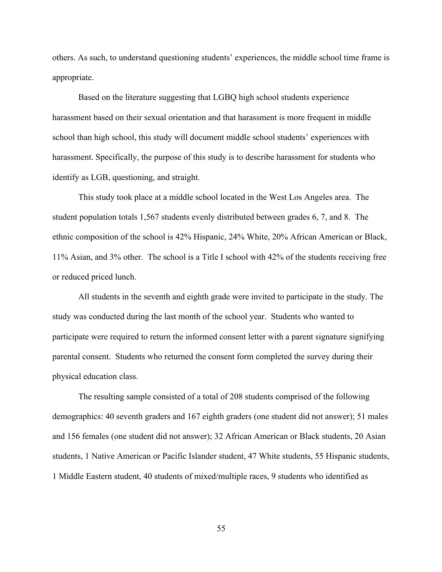others. As such, to understand questioning students' experiences, the middle school time frame is appropriate.

Based on the literature suggesting that LGBQ high school students experience harassment based on their sexual orientation and that harassment is more frequent in middle school than high school, this study will document middle school students' experiences with harassment. Specifically, the purpose of this study is to describe harassment for students who identify as LGB, questioning, and straight.

This study took place at a middle school located in the West Los Angeles area. The student population totals 1,567 students evenly distributed between grades 6, 7, and 8. The ethnic composition of the school is 42% Hispanic, 24% White, 20% African American or Black, 11% Asian, and 3% other. The school is a Title I school with 42% of the students receiving free or reduced priced lunch.

All students in the seventh and eighth grade were invited to participate in the study. The study was conducted during the last month of the school year. Students who wanted to participate were required to return the informed consent letter with a parent signature signifying parental consent. Students who returned the consent form completed the survey during their physical education class.

The resulting sample consisted of a total of 208 students comprised of the following demographics: 40 seventh graders and 167 eighth graders (one student did not answer); 51 males and 156 females (one student did not answer); 32 African American or Black students, 20 Asian students, 1 Native American or Pacific Islander student, 47 White students, 55 Hispanic students, 1 Middle Eastern student, 40 students of mixed/multiple races, 9 students who identified as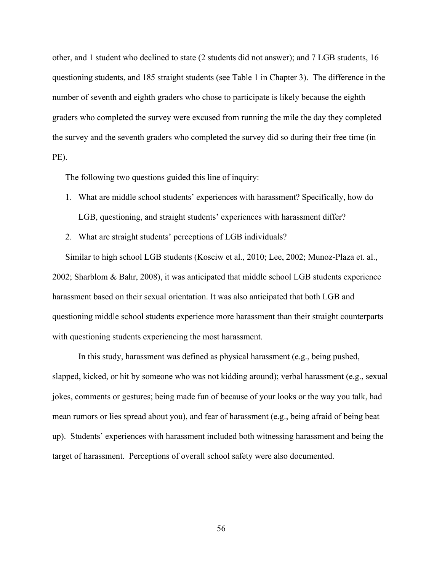other, and 1 student who declined to state (2 students did not answer); and 7 LGB students, 16 questioning students, and 185 straight students (see Table 1 in Chapter 3). The difference in the number of seventh and eighth graders who chose to participate is likely because the eighth graders who completed the survey were excused from running the mile the day they completed the survey and the seventh graders who completed the survey did so during their free time (in PE).

The following two questions guided this line of inquiry:

- 1. What are middle school students' experiences with harassment? Specifically, how do LGB, questioning, and straight students' experiences with harassment differ?
- 2. What are straight students' perceptions of LGB individuals?

Similar to high school LGB students (Kosciw et al., 2010; Lee, 2002; Munoz-Plaza et. al., 2002; Sharblom & Bahr, 2008), it was anticipated that middle school LGB students experience harassment based on their sexual orientation. It was also anticipated that both LGB and questioning middle school students experience more harassment than their straight counterparts with questioning students experiencing the most harassment.

In this study, harassment was defined as physical harassment (e.g., being pushed, slapped, kicked, or hit by someone who was not kidding around); verbal harassment (e.g., sexual jokes, comments or gestures; being made fun of because of your looks or the way you talk, had mean rumors or lies spread about you), and fear of harassment (e.g., being afraid of being beat up). Students' experiences with harassment included both witnessing harassment and being the target of harassment. Perceptions of overall school safety were also documented.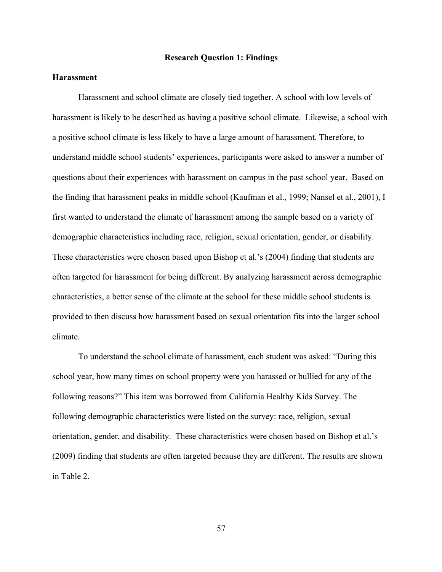### **Research Question 1: Findings**

# **Harassment**

Harassment and school climate are closely tied together. A school with low levels of harassment is likely to be described as having a positive school climate. Likewise, a school with a positive school climate is less likely to have a large amount of harassment. Therefore, to understand middle school students' experiences, participants were asked to answer a number of questions about their experiences with harassment on campus in the past school year. Based on the finding that harassment peaks in middle school (Kaufman et al., 1999; Nansel et al., 2001), I first wanted to understand the climate of harassment among the sample based on a variety of demographic characteristics including race, religion, sexual orientation, gender, or disability. These characteristics were chosen based upon Bishop et al.'s (2004) finding that students are often targeted for harassment for being different. By analyzing harassment across demographic characteristics, a better sense of the climate at the school for these middle school students is provided to then discuss how harassment based on sexual orientation fits into the larger school climate.

To understand the school climate of harassment, each student was asked: "During this school year, how many times on school property were you harassed or bullied for any of the following reasons?" This item was borrowed from California Healthy Kids Survey. The following demographic characteristics were listed on the survey: race, religion, sexual orientation, gender, and disability. These characteristics were chosen based on Bishop et al.'s (2009) finding that students are often targeted because they are different. The results are shown in Table 2.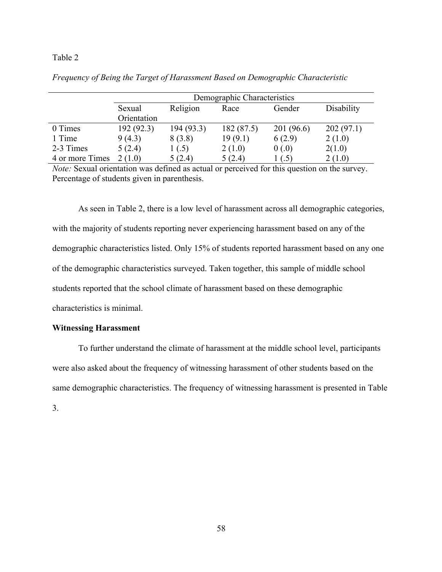|                 | Demographic Characteristics |           |            |           |            |
|-----------------|-----------------------------|-----------|------------|-----------|------------|
|                 | Sexual                      | Religion  | Race       | Gender    | Disability |
|                 | Orientation                 |           |            |           |            |
| 0 Times         | 192(92.3)                   | 194(93.3) | 182 (87.5) | 201(96.6) | 202(97.1)  |
| 1 Time          | 9(4.3)                      | 8(3.8)    | 19(9.1)    | 6(2.9)    | 2(1.0)     |
| 2-3 Times       | 5(2.4)                      | 1(.5)     | 2(1.0)     | 0(0.0)    | 2(1.0)     |
| 4 or more Times | 2(1.0)                      | 5(2.4)    | 5(2.4)     | ( .5 )    | 2(1.0)     |

*Frequency of Being the Target of Harassment Based on Demographic Characteristic*

*Note:* Sexual orientation was defined as actual or perceived for this question on the survey. Percentage of students given in parenthesis.

As seen in Table 2, there is a low level of harassment across all demographic categories, with the majority of students reporting never experiencing harassment based on any of the demographic characteristics listed. Only 15% of students reported harassment based on any one of the demographic characteristics surveyed. Taken together, this sample of middle school students reported that the school climate of harassment based on these demographic characteristics is minimal.

### **Witnessing Harassment**

To further understand the climate of harassment at the middle school level, participants were also asked about the frequency of witnessing harassment of other students based on the same demographic characteristics. The frequency of witnessing harassment is presented in Table 3.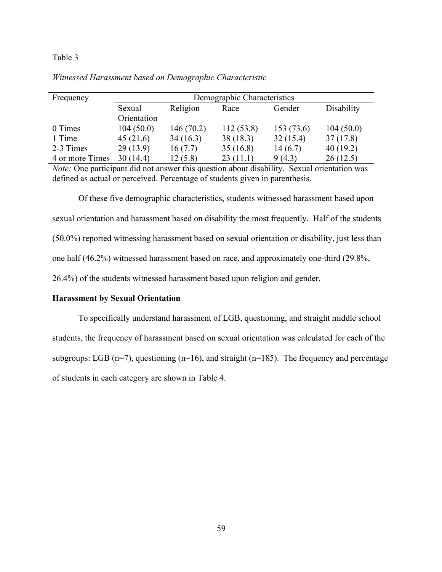| Frequency       | Demographic Characteristics |           |           |           |            |
|-----------------|-----------------------------|-----------|-----------|-----------|------------|
|                 | Sexual                      | Religion  | Race      | Gender    | Disability |
|                 | Orientation                 |           |           |           |            |
| 0 Times         | 104(50.0)                   | 146(70.2) | 112(53.8) | 153(73.6) | 104(50.0)  |
| 1 Time          | 45(21.6)                    | 34(16.3)  | 38(18.3)  | 32(15.4)  | 37(17.8)   |
| 2-3 Times       | 29(13.9)                    | 16(7.7)   | 35(16.8)  | 14(6.7)   | 40(19.2)   |
| 4 or more Times | 30(14.4)                    | 12(5.8)   | 23(11.1)  | 9(4.3)    | 26(12.5)   |

# *Witnessed Harassment based on Demographic Characteristic*

*Note:* One participant did not answer this question about disability. Sexual orientation was defined as actual or perceived. Percentage of students given in parenthesis.

Of these five demographic characteristics, students witnessed harassment based upon sexual orientation and harassment based on disability the most frequently. Half of the students (50.0%) reported witnessing harassment based on sexual orientation or disability, just less than one half (46.2%) witnessed harassment based on race, and approximately one-third (29.8%, 26.4%) of the students witnessed harassment based upon religion and gender.

# **Harassment by Sexual Orientation**

To specifically understand harassment of LGB, questioning, and straight middle school students, the frequency of harassment based on sexual orientation was calculated for each of the subgroups: LGB ( $n=7$ ), questioning ( $n=16$ ), and straight ( $n=185$ ). The frequency and percentage of students in each category are shown in Table 4.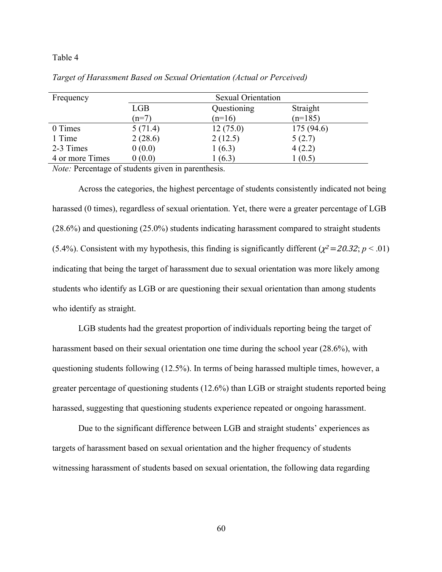| Frequency       |         | <b>Sexual Orientation</b> |           |  |  |
|-----------------|---------|---------------------------|-----------|--|--|
|                 | LGB     | Questioning               | Straight  |  |  |
|                 | $(n=7)$ | $(n=16)$                  | $(n=185)$ |  |  |
| 0 Times         | 5(71.4) | 12(75.0)                  | 175(94.6) |  |  |
| 1 Time          | 2(28.6) | 2(12.5)                   | 5(2.7)    |  |  |
| 2-3 Times       | 0(0.0)  | 1(6.3)                    | 4(2.2)    |  |  |
| 4 or more Times | 0(0.0)  | (6.3)                     | 1(0.5)    |  |  |

*Target of Harassment Based on Sexual Orientation (Actual or Perceived)*

*Note:* Percentage of students given in parenthesis.

Across the categories, the highest percentage of students consistently indicated not being harassed (0 times), regardless of sexual orientation. Yet, there were a greater percentage of LGB (28.6%) and questioning (25.0%) students indicating harassment compared to straight students (5.4%). Consistent with my hypothesis, this finding is significantly different ( $\chi^2 = 20.32$ ;  $p < .01$ ) indicating that being the target of harassment due to sexual orientation was more likely among students who identify as LGB or are questioning their sexual orientation than among students who identify as straight.

LGB students had the greatest proportion of individuals reporting being the target of harassment based on their sexual orientation one time during the school year (28.6%), with questioning students following (12.5%). In terms of being harassed multiple times, however, a greater percentage of questioning students (12.6%) than LGB or straight students reported being harassed, suggesting that questioning students experience repeated or ongoing harassment.

Due to the significant difference between LGB and straight students' experiences as targets of harassment based on sexual orientation and the higher frequency of students witnessing harassment of students based on sexual orientation, the following data regarding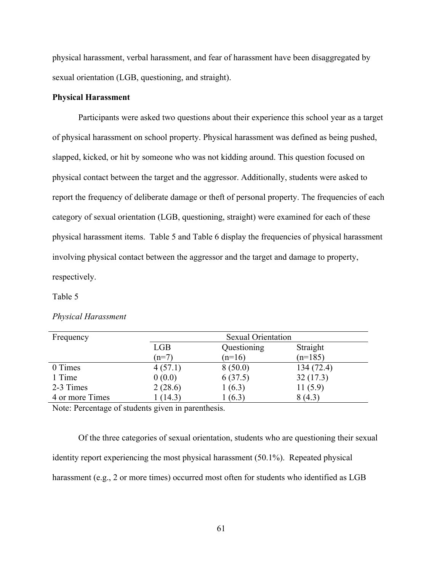physical harassment, verbal harassment, and fear of harassment have been disaggregated by sexual orientation (LGB, questioning, and straight).

# **Physical Harassment**

Participants were asked two questions about their experience this school year as a target of physical harassment on school property. Physical harassment was defined as being pushed, slapped, kicked, or hit by someone who was not kidding around. This question focused on physical contact between the target and the aggressor. Additionally, students were asked to report the frequency of deliberate damage or theft of personal property. The frequencies of each category of sexual orientation (LGB, questioning, straight) were examined for each of these physical harassment items. Table 5 and Table 6 display the frequencies of physical harassment involving physical contact between the aggressor and the target and damage to property, respectively.

#### Table 5

#### *Physical Harassment*

| Frequency       |            | <b>Sexual Orientation</b> |           |  |  |
|-----------------|------------|---------------------------|-----------|--|--|
|                 | <b>LGB</b> | Questioning<br>Straight   |           |  |  |
|                 | $(n=7)$    | $(n=16)$                  | $(n=185)$ |  |  |
| 0 Times         | 4(57.1)    | 8(50.0)                   | 134(72.4) |  |  |
| 1 Time          | 0(0.0)     | 6(37.5)                   | 32(17.3)  |  |  |
| 2-3 Times       | 2(28.6)    | 1(6.3)                    | 11(5.9)   |  |  |
| 4 or more Times | (14.3)     | (6.3)                     | 8(4.3)    |  |  |

Note: Percentage of students given in parenthesis.

Of the three categories of sexual orientation, students who are questioning their sexual identity report experiencing the most physical harassment (50.1%). Repeated physical harassment (e.g., 2 or more times) occurred most often for students who identified as LGB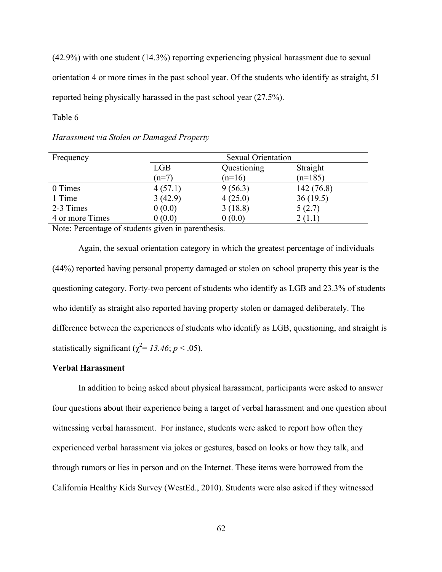(42.9%) with one student (14.3%) reporting experiencing physical harassment due to sexual orientation 4 or more times in the past school year. Of the students who identify as straight, 51 reported being physically harassed in the past school year (27.5%).

# Table 6

| Frequency       | <b>Sexual Orientation</b> |             |           |  |
|-----------------|---------------------------|-------------|-----------|--|
|                 | <b>LGB</b>                | Questioning | Straight  |  |
|                 | $(n=7)$                   | $(n=16)$    | $(n=185)$ |  |
| 0 Times         | 4(57.1)                   | 9(56.3)     | 142(76.8) |  |
| 1 Time          | 3(42.9)                   | 4(25.0)     | 36(19.5)  |  |
| 2-3 Times       | 0(0.0)                    | 3(18.8)     | 5(2.7)    |  |
| 4 or more Times | 0(0.0)                    | 0(0.0)      | 2(1.1)    |  |

# *Harassment via Stolen or Damaged Property*

Note: Percentage of students given in parenthesis.

Again, the sexual orientation category in which the greatest percentage of individuals (44%) reported having personal property damaged or stolen on school property this year is the questioning category. Forty-two percent of students who identify as LGB and 23.3% of students who identify as straight also reported having property stolen or damaged deliberately. The difference between the experiences of students who identify as LGB, questioning, and straight is statistically significant ( $\chi^2$ = 13.46; *p* < .05).

#### **Verbal Harassment**

In addition to being asked about physical harassment, participants were asked to answer four questions about their experience being a target of verbal harassment and one question about witnessing verbal harassment. For instance, students were asked to report how often they experienced verbal harassment via jokes or gestures, based on looks or how they talk, and through rumors or lies in person and on the Internet. These items were borrowed from the California Healthy Kids Survey (WestEd., 2010). Students were also asked if they witnessed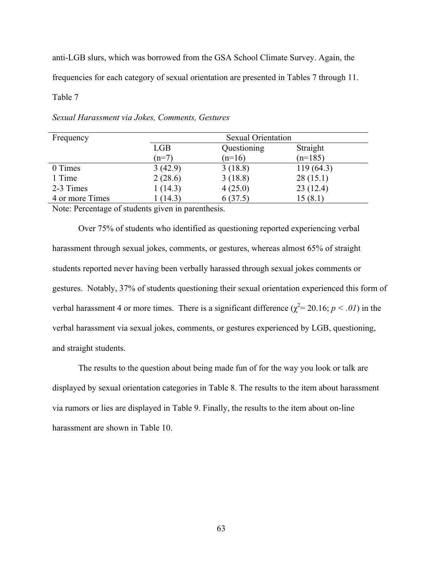anti-LGB slurs, which was borrowed from the GSA School Climate Survey. Again, the frequencies for each category of sexual orientation are presented in Tables 7 through 11.

Table 7

| Frequency       |         | <b>Sexual Orientation</b> |           |  |  |  |  |
|-----------------|---------|---------------------------|-----------|--|--|--|--|
|                 | LGB     | Questioning               | Straight  |  |  |  |  |
|                 | $(n=7)$ | $(n=16)$                  | $(n=185)$ |  |  |  |  |
| 0 Times         | 3(42.9) | 3(18.8)                   | 119(64.3) |  |  |  |  |
| 1 Time          | 2(28.6) | 3(18.8)                   | 28(15.1)  |  |  |  |  |
| 2-3 Times       | 1(14.3) | 4(25.0)                   | 23(12.4)  |  |  |  |  |
| 4 or more Times | (14.3)  | 6(37.5)                   | 15(8.1)   |  |  |  |  |

*Sexual Harassment via Jokes, Comments, Gestures*

Note: Percentage of students given in parenthesis.

Over 75% of students who identified as questioning reported experiencing verbal harassment through sexual jokes, comments, or gestures, whereas almost 65% of straight students reported never having been verbally harassed through sexual jokes comments or gestures. Notably, 37% of students questioning their sexual orientation experienced this form of verbal harassment 4 or more times. There is a significant difference  $(\chi^2 = 20.16; p < .01)$  in the verbal harassment via sexual jokes, comments, or gestures experienced by LGB, questioning, and straight students.

The results to the question about being made fun of for the way you look or talk are displayed by sexual orientation categories in Table 8. The results to the item about harassment via rumors or lies are displayed in Table 9. Finally, the results to the item about on-line harassment are shown in Table 10.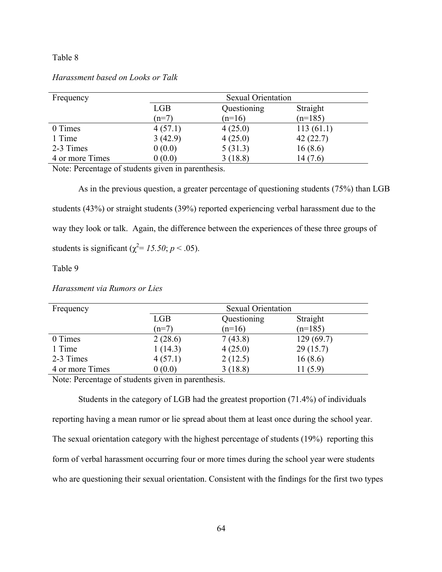## Table 8

| Frequency       |            | <b>Sexual Orientation</b> |           |  |  |  |
|-----------------|------------|---------------------------|-----------|--|--|--|
|                 | <b>LGB</b> | Questioning               | Straight  |  |  |  |
|                 | $(n=7)$    | $(n=16)$                  | $(n=185)$ |  |  |  |
| 0 Times         | 4(57.1)    | 4(25.0)                   | 113(61.1) |  |  |  |
| 1 Time          | 3(42.9)    | 4(25.0)                   | 42(22.7)  |  |  |  |
| 2-3 Times       | 0(0.0)     | 5(31.3)                   | 16(8.6)   |  |  |  |
| 4 or more Times | 0(0.0)     | 3(18.8)                   | 14(7.6)   |  |  |  |

## *Harassment based on Looks or Talk*

Note: Percentage of students given in parenthesis.

As in the previous question, a greater percentage of questioning students (75%) than LGB students (43%) or straight students (39%) reported experiencing verbal harassment due to the way they look or talk. Again, the difference between the experiences of these three groups of students is significant ( $\chi^2$ = 15.50; *p* < .05).

Table 9

| Frequency       | <b>Sexual Orientation</b> |             |           |
|-----------------|---------------------------|-------------|-----------|
|                 | <b>LGB</b>                | Questioning | Straight  |
|                 | $(n=7)$                   | $(n=16)$    | $(n=185)$ |
| 0 Times         | 2(28.6)                   | 7(43.8)     | 129(69.7) |
| 1 Time          | 1(14.3)                   | 4(25.0)     | 29(15.7)  |
| 2-3 Times       | 4(57.1)                   | 2(12.5)     | 16(8.6)   |
| 4 or more Times | 0(0.0)                    | 3(18.8)     | 11(5.9)   |

*Harassment via Rumors or Lies*

Note: Percentage of students given in parenthesis.

Students in the category of LGB had the greatest proportion (71.4%) of individuals reporting having a mean rumor or lie spread about them at least once during the school year. The sexual orientation category with the highest percentage of students (19%) reporting this form of verbal harassment occurring four or more times during the school year were students who are questioning their sexual orientation. Consistent with the findings for the first two types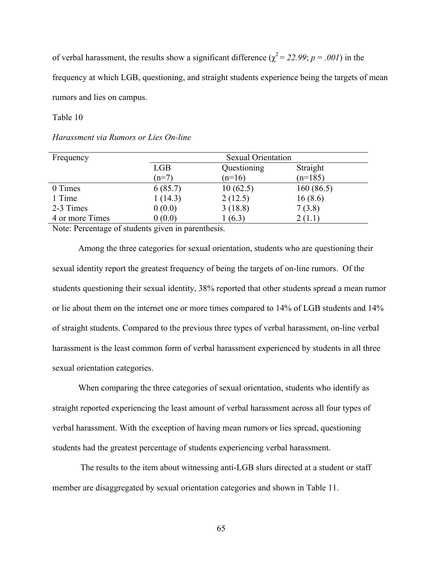of verbal harassment, the results show a significant difference ( $\chi^2 = 22.99$ ; *p* = *.001*) in the

frequency at which LGB, questioning, and straight students experience being the targets of mean rumors and lies on campus.

Table 10

#### *Harassment via Rumors or Lies On-line*

| Frequency       |            | <b>Sexual Orientation</b> |           |  |  |  |
|-----------------|------------|---------------------------|-----------|--|--|--|
|                 | <b>LGB</b> | Questioning               | Straight  |  |  |  |
|                 | $(n=7)$    | $(n=16)$                  | $(n=185)$ |  |  |  |
| 0 Times         | 6(85.7)    | 10(62.5)                  | 160(86.5) |  |  |  |
| 1 Time          | 1(14.3)    | 2(12.5)                   | 16(8.6)   |  |  |  |
| 2-3 Times       | 0(0.0)     | 3(18.8)                   | 7(3.8)    |  |  |  |
| 4 or more Times | 0(0.0)     | 1(6.3)                    | 2(1.1)    |  |  |  |

Note: Percentage of students given in parenthesis.

Among the three categories for sexual orientation, students who are questioning their sexual identity report the greatest frequency of being the targets of on-line rumors. Of the students questioning their sexual identity, 38% reported that other students spread a mean rumor or lie about them on the internet one or more times compared to 14% of LGB students and 14% of straight students. Compared to the previous three types of verbal harassment, on-line verbal harassment is the least common form of verbal harassment experienced by students in all three sexual orientation categories.

When comparing the three categories of sexual orientation, students who identify as straight reported experiencing the least amount of verbal harassment across all four types of verbal harassment. With the exception of having mean rumors or lies spread, questioning students had the greatest percentage of students experiencing verbal harassment.

The results to the item about witnessing anti-LGB slurs directed at a student or staff member are disaggregated by sexual orientation categories and shown in Table 11.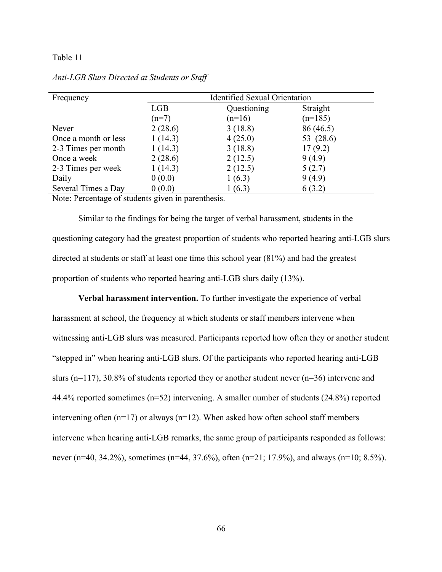#### Table 11

| Frequency            | <b>Identified Sexual Orientation</b> |             |           |  |  |
|----------------------|--------------------------------------|-------------|-----------|--|--|
|                      | <b>LGB</b>                           | Questioning | Straight  |  |  |
|                      | $(n=7)$                              | $(n=16)$    | $(n=185)$ |  |  |
| Never                | 2(28.6)                              | 3(18.8)     | 86 (46.5) |  |  |
| Once a month or less | 1(14.3)                              | 4(25.0)     | 53 (28.6) |  |  |
| 2-3 Times per month  | 1(14.3)                              | 3(18.8)     | 17(9.2)   |  |  |
| Once a week          | 2(28.6)                              | 2(12.5)     | 9(4.9)    |  |  |
| 2-3 Times per week   | 1(14.3)                              | 2(12.5)     | 5(2.7)    |  |  |
| Daily                | 0(0.0)                               | 1(6.3)      | 9(4.9)    |  |  |
| Several Times a Day  | 0(0.0)                               | 1(6.3)      | 6(3.2)    |  |  |

#### *Anti-LGB Slurs Directed at Students or Staff*

Note: Percentage of students given in parenthesis.

Similar to the findings for being the target of verbal harassment, students in the questioning category had the greatest proportion of students who reported hearing anti-LGB slurs directed at students or staff at least one time this school year (81%) and had the greatest proportion of students who reported hearing anti-LGB slurs daily (13%).

**Verbal harassment intervention.** To further investigate the experience of verbal harassment at school, the frequency at which students or staff members intervene when witnessing anti-LGB slurs was measured. Participants reported how often they or another student "stepped in" when hearing anti-LGB slurs. Of the participants who reported hearing anti-LGB slurs (n=117), 30.8% of students reported they or another student never (n=36) intervene and 44.4% reported sometimes (n=52) intervening. A smaller number of students (24.8%) reported intervening often  $(n=17)$  or always  $(n=12)$ . When asked how often school staff members intervene when hearing anti-LGB remarks, the same group of participants responded as follows: never (n=40, 34.2%), sometimes (n=44, 37.6%), often (n=21; 17.9%), and always (n=10; 8.5%).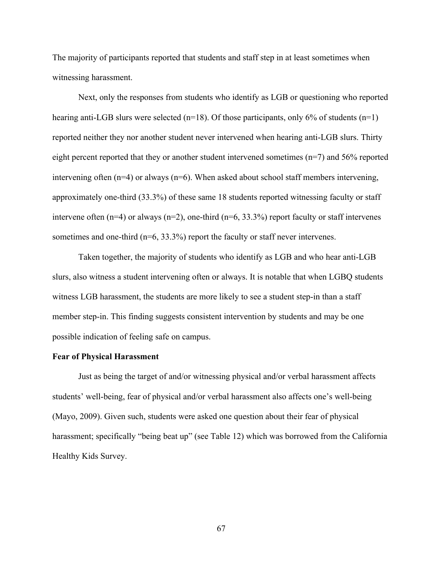The majority of participants reported that students and staff step in at least sometimes when witnessing harassment.

Next, only the responses from students who identify as LGB or questioning who reported hearing anti-LGB slurs were selected  $(n=18)$ . Of those participants, only 6% of students  $(n=1)$ reported neither they nor another student never intervened when hearing anti-LGB slurs. Thirty eight percent reported that they or another student intervened sometimes (n=7) and 56% reported intervening often (n=4) or always (n=6). When asked about school staff members intervening, approximately one-third (33.3%) of these same 18 students reported witnessing faculty or staff intervene often  $(n=4)$  or always  $(n=2)$ , one-third  $(n=6, 33.3%)$  report faculty or staff intervenes sometimes and one-third ( $n=6, 33.3\%$ ) report the faculty or staff never intervenes.

Taken together, the majority of students who identify as LGB and who hear anti-LGB slurs, also witness a student intervening often or always. It is notable that when LGBQ students witness LGB harassment, the students are more likely to see a student step-in than a staff member step-in. This finding suggests consistent intervention by students and may be one possible indication of feeling safe on campus.

## **Fear of Physical Harassment**

Just as being the target of and/or witnessing physical and/or verbal harassment affects students' well-being, fear of physical and/or verbal harassment also affects one's well-being (Mayo, 2009). Given such, students were asked one question about their fear of physical harassment; specifically "being beat up" (see Table 12) which was borrowed from the California Healthy Kids Survey.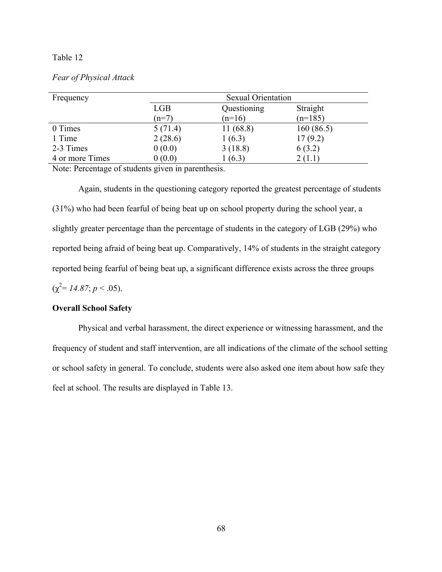## Table 12

## *Fear of Physical Attack*

| Frequency       | <b>Sexual Orientation</b> |             |           |  |  |  |
|-----------------|---------------------------|-------------|-----------|--|--|--|
|                 | <b>LGB</b>                | Questioning | Straight  |  |  |  |
|                 | $(n=7)$                   | $(n=16)$    | $(n=185)$ |  |  |  |
| 0 Times         | 5(71.4)                   | 11(68.8)    | 160(86.5) |  |  |  |
| 1 Time          | 2(28.6)                   | 1(6.3)      | 17(9.2)   |  |  |  |
| 2-3 Times       | 0(0.0)                    | 3(18.8)     | 6(3.2)    |  |  |  |
| 4 or more Times | 0(0.0)                    | (6.3)       | 2(1.1)    |  |  |  |

Note: Percentage of students given in parenthesis.

Again, students in the questioning category reported the greatest percentage of students (31%) who had been fearful of being beat up on school property during the school year, a slightly greater percentage than the percentage of students in the category of LGB (29%) who reported being afraid of being beat up. Comparatively, 14% of students in the straight category reported being fearful of being beat up, a significant difference exists across the three groups  $(\chi^2 = 14.87; p < .05).$ 

## **Overall School Safety**

Physical and verbal harassment, the direct experience or witnessing harassment, and the frequency of student and staff intervention, are all indications of the climate of the school setting or school safety in general. To conclude, students were also asked one item about how safe they feel at school. The results are displayed in Table 13.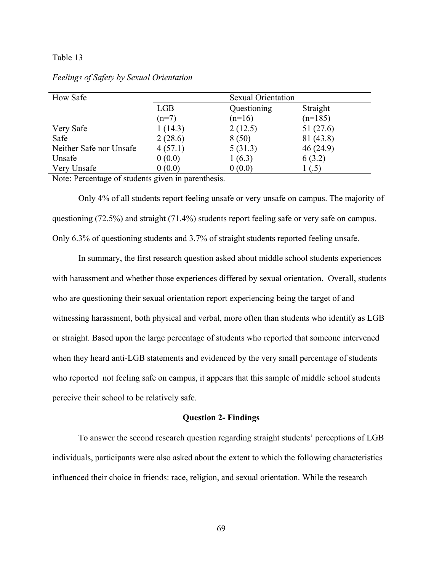#### Table 13

| <b>How Safe</b>         |            | <b>Sexual Orientation</b> |           |  |
|-------------------------|------------|---------------------------|-----------|--|
|                         | <b>LGB</b> | Questioning               | Straight  |  |
|                         | $(n=7)$    | $(n=16)$                  | $(n=185)$ |  |
| Very Safe               | 1(14.3)    | 2(12.5)                   | 51 (27.6) |  |
| Safe                    | 2(28.6)    | 8(50)                     | 81 (43.8) |  |
| Neither Safe nor Unsafe | 4(57.1)    | 5(31.3)                   | 46(24.9)  |  |
| Unsafe                  | 0(0.0)     | 1(6.3)                    | 6(3.2)    |  |
| Very Unsafe             | 0(0.0)     | 0(0.0)                    | 1(.5)     |  |

#### *Feelings of Safety by Sexual Orientation*

Note: Percentage of students given in parenthesis.

Only 4% of all students report feeling unsafe or very unsafe on campus. The majority of questioning (72.5%) and straight (71.4%) students report feeling safe or very safe on campus. Only 6.3% of questioning students and 3.7% of straight students reported feeling unsafe.

In summary, the first research question asked about middle school students experiences with harassment and whether those experiences differed by sexual orientation. Overall, students who are questioning their sexual orientation report experiencing being the target of and witnessing harassment, both physical and verbal, more often than students who identify as LGB or straight. Based upon the large percentage of students who reported that someone intervened when they heard anti-LGB statements and evidenced by the very small percentage of students who reported not feeling safe on campus, it appears that this sample of middle school students perceive their school to be relatively safe.

#### **Question 2- Findings**

To answer the second research question regarding straight students' perceptions of LGB individuals, participants were also asked about the extent to which the following characteristics influenced their choice in friends: race, religion, and sexual orientation. While the research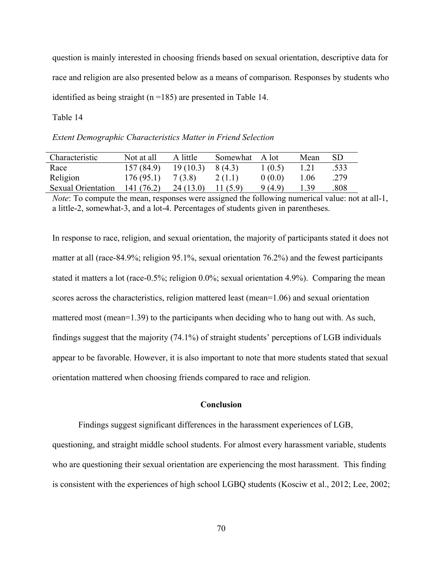question is mainly interested in choosing friends based on sexual orientation, descriptive data for race and religion are also presented below as a means of comparison. Responses by students who identified as being straight (n =185) are presented in Table 14.

Table 14

*Extent Demographic Characteristics Matter in Friend Selection*

| Characteristic            | Not at all | A little | Somewhat | - A lot | Mean | SD   |
|---------------------------|------------|----------|----------|---------|------|------|
| Race                      | 157(84.9)  | 19(10.3) | 8 (4.3)  | 1(0.5)  | 1.21 | .533 |
| Religion                  | 176(95.1)  | 7(3.8)   | 2(1.1)   | 0(0.0)  | 1.06 | .279 |
| <b>Sexual Orientation</b> | 141 (76.2) | 24(13.0) | (5.9)    | 9(4.9)  | .39  | .808 |

*Note*: To compute the mean, responses were assigned the following numerical value: not at all-1, a little-2, somewhat-3, and a lot-4. Percentages of students given in parentheses.

In response to race, religion, and sexual orientation, the majority of participants stated it does not matter at all (race-84.9%; religion 95.1%, sexual orientation 76.2%) and the fewest participants stated it matters a lot (race-0.5%; religion 0.0%; sexual orientation 4.9%). Comparing the mean scores across the characteristics, religion mattered least (mean=1.06) and sexual orientation mattered most (mean=1.39) to the participants when deciding who to hang out with. As such, findings suggest that the majority (74.1%) of straight students' perceptions of LGB individuals appear to be favorable. However, it is also important to note that more students stated that sexual orientation mattered when choosing friends compared to race and religion.

#### **Conclusion**

Findings suggest significant differences in the harassment experiences of LGB,

questioning, and straight middle school students. For almost every harassment variable, students who are questioning their sexual orientation are experiencing the most harassment. This finding is consistent with the experiences of high school LGBQ students (Kosciw et al., 2012; Lee, 2002;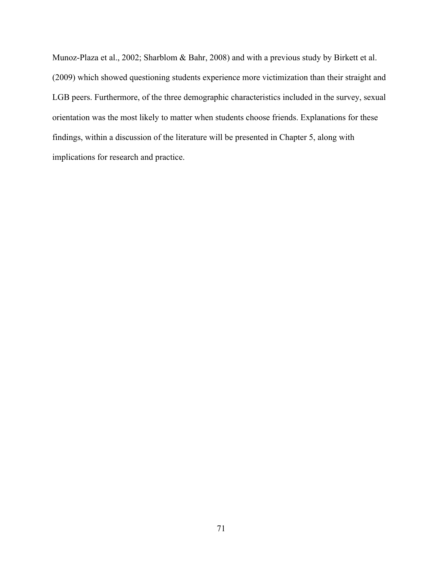Munoz-Plaza et al., 2002; Sharblom & Bahr, 2008) and with a previous study by Birkett et al. (2009) which showed questioning students experience more victimization than their straight and LGB peers. Furthermore, of the three demographic characteristics included in the survey, sexual orientation was the most likely to matter when students choose friends. Explanations for these findings, within a discussion of the literature will be presented in Chapter 5, along with implications for research and practice.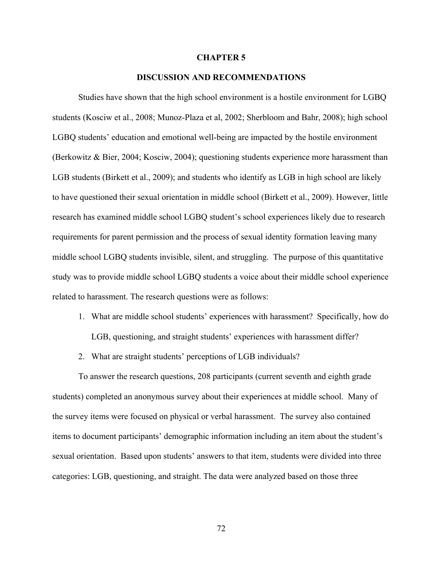#### **CHAPTER 5**

#### **DISCUSSION AND RECOMMENDATIONS**

Studies have shown that the high school environment is a hostile environment for LGBQ students (Kosciw et al., 2008; Munoz-Plaza et al, 2002; Sherbloom and Bahr, 2008); high school LGBQ students' education and emotional well-being are impacted by the hostile environment (Berkowitz & Bier, 2004; Kosciw, 2004); questioning students experience more harassment than LGB students (Birkett et al., 2009); and students who identify as LGB in high school are likely to have questioned their sexual orientation in middle school (Birkett et al., 2009). However, little research has examined middle school LGBQ student's school experiences likely due to research requirements for parent permission and the process of sexual identity formation leaving many middle school LGBQ students invisible, silent, and struggling. The purpose of this quantitative study was to provide middle school LGBQ students a voice about their middle school experience related to harassment. The research questions were as follows:

1. What are middle school students' experiences with harassment? Specifically, how do

LGB, questioning, and straight students' experiences with harassment differ?

2. What are straight students' perceptions of LGB individuals?

To answer the research questions, 208 participants (current seventh and eighth grade students) completed an anonymous survey about their experiences at middle school. Many of the survey items were focused on physical or verbal harassment. The survey also contained items to document participants' demographic information including an item about the student's sexual orientation. Based upon students' answers to that item, students were divided into three categories: LGB, questioning, and straight. The data were analyzed based on those three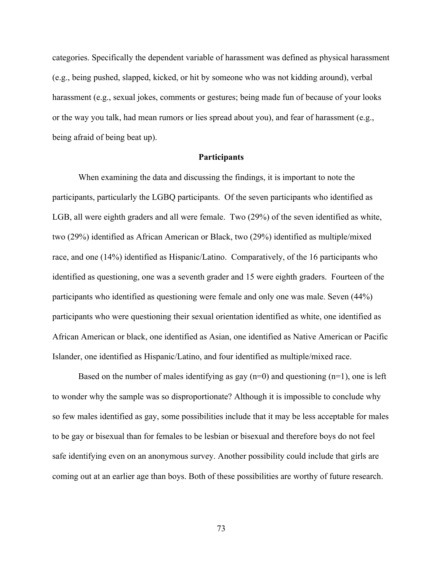categories. Specifically the dependent variable of harassment was defined as physical harassment (e.g., being pushed, slapped, kicked, or hit by someone who was not kidding around), verbal harassment (e.g., sexual jokes, comments or gestures; being made fun of because of your looks or the way you talk, had mean rumors or lies spread about you), and fear of harassment (e.g., being afraid of being beat up).

#### **Participants**

When examining the data and discussing the findings, it is important to note the participants, particularly the LGBQ participants. Of the seven participants who identified as LGB, all were eighth graders and all were female. Two (29%) of the seven identified as white, two (29%) identified as African American or Black, two (29%) identified as multiple/mixed race, and one (14%) identified as Hispanic/Latino. Comparatively, of the 16 participants who identified as questioning, one was a seventh grader and 15 were eighth graders. Fourteen of the participants who identified as questioning were female and only one was male. Seven (44%) participants who were questioning their sexual orientation identified as white, one identified as African American or black, one identified as Asian, one identified as Native American or Pacific Islander, one identified as Hispanic/Latino, and four identified as multiple/mixed race.

Based on the number of males identifying as gay  $(n=0)$  and questioning  $(n=1)$ , one is left to wonder why the sample was so disproportionate? Although it is impossible to conclude why so few males identified as gay, some possibilities include that it may be less acceptable for males to be gay or bisexual than for females to be lesbian or bisexual and therefore boys do not feel safe identifying even on an anonymous survey. Another possibility could include that girls are coming out at an earlier age than boys. Both of these possibilities are worthy of future research.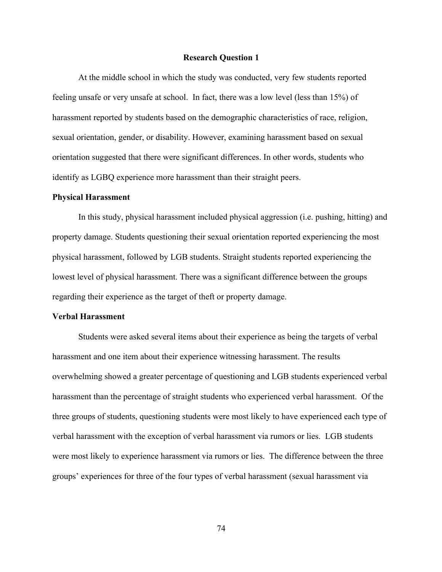#### **Research Question 1**

At the middle school in which the study was conducted, very few students reported feeling unsafe or very unsafe at school. In fact, there was a low level (less than 15%) of harassment reported by students based on the demographic characteristics of race, religion, sexual orientation, gender, or disability. However, examining harassment based on sexual orientation suggested that there were significant differences. In other words, students who identify as LGBQ experience more harassment than their straight peers.

#### **Physical Harassment**

In this study, physical harassment included physical aggression (i.e. pushing, hitting) and property damage. Students questioning their sexual orientation reported experiencing the most physical harassment, followed by LGB students. Straight students reported experiencing the lowest level of physical harassment. There was a significant difference between the groups regarding their experience as the target of theft or property damage.

#### **Verbal Harassment**

Students were asked several items about their experience as being the targets of verbal harassment and one item about their experience witnessing harassment. The results overwhelming showed a greater percentage of questioning and LGB students experienced verbal harassment than the percentage of straight students who experienced verbal harassment. Of the three groups of students, questioning students were most likely to have experienced each type of verbal harassment with the exception of verbal harassment via rumors or lies. LGB students were most likely to experience harassment via rumors or lies. The difference between the three groups' experiences for three of the four types of verbal harassment (sexual harassment via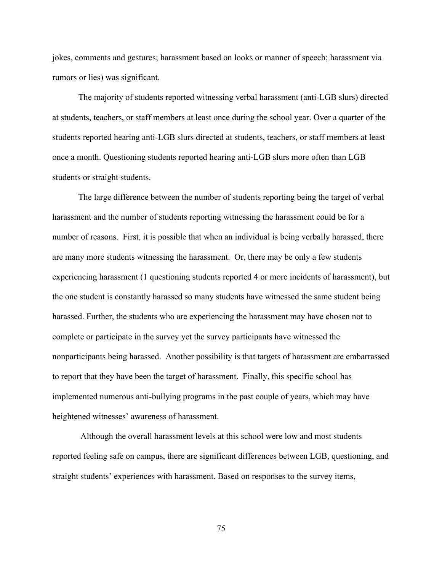jokes, comments and gestures; harassment based on looks or manner of speech; harassment via rumors or lies) was significant.

The majority of students reported witnessing verbal harassment (anti-LGB slurs) directed at students, teachers, or staff members at least once during the school year. Over a quarter of the students reported hearing anti-LGB slurs directed at students, teachers, or staff members at least once a month. Questioning students reported hearing anti-LGB slurs more often than LGB students or straight students.

The large difference between the number of students reporting being the target of verbal harassment and the number of students reporting witnessing the harassment could be for a number of reasons. First, it is possible that when an individual is being verbally harassed, there are many more students witnessing the harassment. Or, there may be only a few students experiencing harassment (1 questioning students reported 4 or more incidents of harassment), but the one student is constantly harassed so many students have witnessed the same student being harassed. Further, the students who are experiencing the harassment may have chosen not to complete or participate in the survey yet the survey participants have witnessed the nonparticipants being harassed. Another possibility is that targets of harassment are embarrassed to report that they have been the target of harassment. Finally, this specific school has implemented numerous anti-bullying programs in the past couple of years, which may have heightened witnesses' awareness of harassment.

Although the overall harassment levels at this school were low and most students reported feeling safe on campus, there are significant differences between LGB, questioning, and straight students' experiences with harassment. Based on responses to the survey items,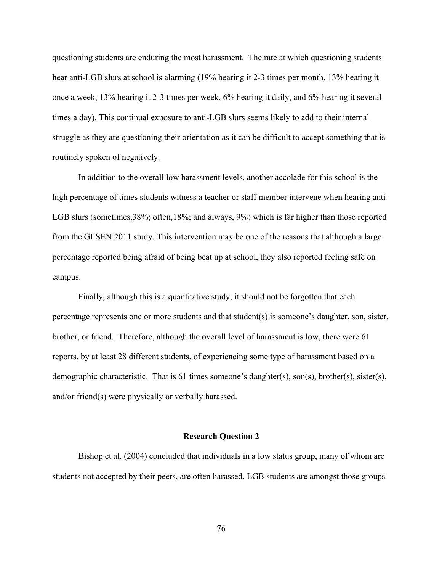questioning students are enduring the most harassment. The rate at which questioning students hear anti-LGB slurs at school is alarming (19% hearing it 2-3 times per month, 13% hearing it once a week, 13% hearing it 2-3 times per week, 6% hearing it daily, and 6% hearing it several times a day). This continual exposure to anti-LGB slurs seems likely to add to their internal struggle as they are questioning their orientation as it can be difficult to accept something that is routinely spoken of negatively.

In addition to the overall low harassment levels, another accolade for this school is the high percentage of times students witness a teacher or staff member intervene when hearing anti-LGB slurs (sometimes, 38%; often, 18%; and always, 9%) which is far higher than those reported from the GLSEN 2011 study. This intervention may be one of the reasons that although a large percentage reported being afraid of being beat up at school, they also reported feeling safe on campus.

Finally, although this is a quantitative study, it should not be forgotten that each percentage represents one or more students and that student(s) is someone's daughter, son, sister, brother, or friend. Therefore, although the overall level of harassment is low, there were 61 reports, by at least 28 different students, of experiencing some type of harassment based on a demographic characteristic. That is 61 times someone's daughter(s), son(s), brother(s), sister(s), and/or friend(s) were physically or verbally harassed.

#### **Research Question 2**

Bishop et al. (2004) concluded that individuals in a low status group, many of whom are students not accepted by their peers, are often harassed. LGB students are amongst those groups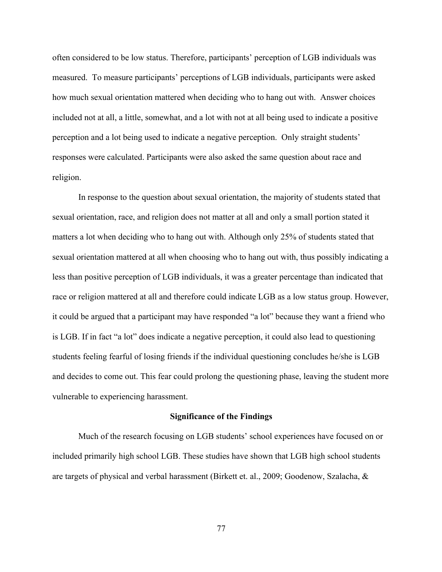often considered to be low status. Therefore, participants' perception of LGB individuals was measured. To measure participants' perceptions of LGB individuals, participants were asked how much sexual orientation mattered when deciding who to hang out with. Answer choices included not at all, a little, somewhat, and a lot with not at all being used to indicate a positive perception and a lot being used to indicate a negative perception. Only straight students' responses were calculated. Participants were also asked the same question about race and religion.

In response to the question about sexual orientation, the majority of students stated that sexual orientation, race, and religion does not matter at all and only a small portion stated it matters a lot when deciding who to hang out with. Although only 25% of students stated that sexual orientation mattered at all when choosing who to hang out with, thus possibly indicating a less than positive perception of LGB individuals, it was a greater percentage than indicated that race or religion mattered at all and therefore could indicate LGB as a low status group. However, it could be argued that a participant may have responded "a lot" because they want a friend who is LGB. If in fact "a lot" does indicate a negative perception, it could also lead to questioning students feeling fearful of losing friends if the individual questioning concludes he/she is LGB and decides to come out. This fear could prolong the questioning phase, leaving the student more vulnerable to experiencing harassment.

#### **Significance of the Findings**

Much of the research focusing on LGB students' school experiences have focused on or included primarily high school LGB. These studies have shown that LGB high school students are targets of physical and verbal harassment (Birkett et. al., 2009; Goodenow, Szalacha, &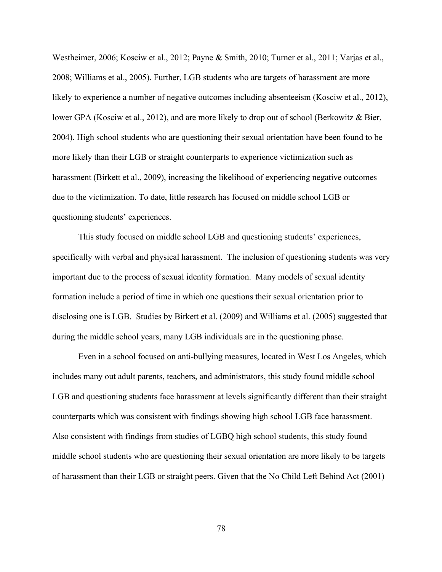Westheimer, 2006; Kosciw et al., 2012; Payne & Smith, 2010; Turner et al., 2011; Varjas et al., 2008; Williams et al., 2005). Further, LGB students who are targets of harassment are more likely to experience a number of negative outcomes including absenteeism (Kosciw et al., 2012), lower GPA (Kosciw et al., 2012), and are more likely to drop out of school (Berkowitz & Bier, 2004). High school students who are questioning their sexual orientation have been found to be more likely than their LGB or straight counterparts to experience victimization such as harassment (Birkett et al., 2009), increasing the likelihood of experiencing negative outcomes due to the victimization. To date, little research has focused on middle school LGB or questioning students' experiences.

This study focused on middle school LGB and questioning students' experiences, specifically with verbal and physical harassment. The inclusion of questioning students was very important due to the process of sexual identity formation. Many models of sexual identity formation include a period of time in which one questions their sexual orientation prior to disclosing one is LGB. Studies by Birkett et al. (2009) and Williams et al. (2005) suggested that during the middle school years, many LGB individuals are in the questioning phase.

Even in a school focused on anti-bullying measures, located in West Los Angeles, which includes many out adult parents, teachers, and administrators, this study found middle school LGB and questioning students face harassment at levels significantly different than their straight counterparts which was consistent with findings showing high school LGB face harassment. Also consistent with findings from studies of LGBQ high school students, this study found middle school students who are questioning their sexual orientation are more likely to be targets of harassment than their LGB or straight peers. Given that the No Child Left Behind Act (2001)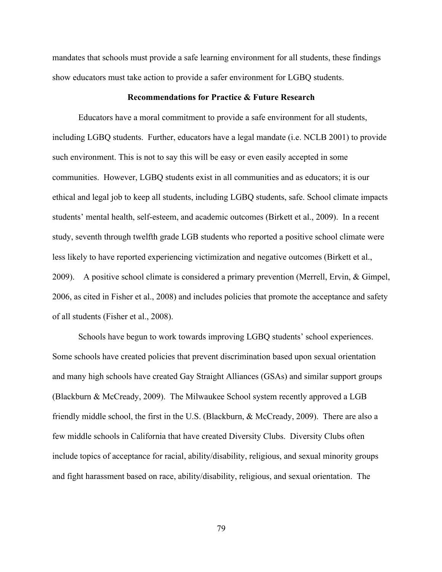mandates that schools must provide a safe learning environment for all students, these findings show educators must take action to provide a safer environment for LGBQ students.

#### **Recommendations for Practice & Future Research**

Educators have a moral commitment to provide a safe environment for all students, including LGBQ students. Further, educators have a legal mandate (i.e. NCLB 2001) to provide such environment. This is not to say this will be easy or even easily accepted in some communities. However, LGBQ students exist in all communities and as educators; it is our ethical and legal job to keep all students, including LGBQ students, safe. School climate impacts students' mental health, self-esteem, and academic outcomes (Birkett et al., 2009). In a recent study, seventh through twelfth grade LGB students who reported a positive school climate were less likely to have reported experiencing victimization and negative outcomes (Birkett et al., 2009). A positive school climate is considered a primary prevention (Merrell, Ervin, & Gimpel, 2006, as cited in Fisher et al., 2008) and includes policies that promote the acceptance and safety of all students (Fisher et al., 2008).

Schools have begun to work towards improving LGBQ students' school experiences. Some schools have created policies that prevent discrimination based upon sexual orientation and many high schools have created Gay Straight Alliances (GSAs) and similar support groups (Blackburn & McCready, 2009). The Milwaukee School system recently approved a LGB friendly middle school, the first in the U.S. (Blackburn, & McCready, 2009). There are also a few middle schools in California that have created Diversity Clubs. Diversity Clubs often include topics of acceptance for racial, ability/disability, religious, and sexual minority groups and fight harassment based on race, ability/disability, religious, and sexual orientation. The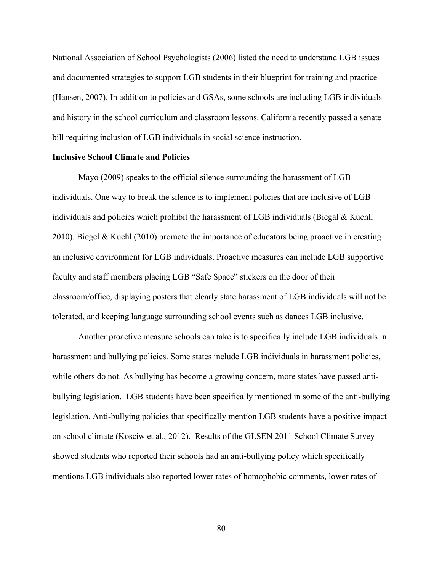National Association of School Psychologists (2006) listed the need to understand LGB issues and documented strategies to support LGB students in their blueprint for training and practice (Hansen, 2007). In addition to policies and GSAs, some schools are including LGB individuals and history in the school curriculum and classroom lessons. California recently passed a senate bill requiring inclusion of LGB individuals in social science instruction.

#### **Inclusive School Climate and Policies**

Mayo (2009) speaks to the official silence surrounding the harassment of LGB individuals. One way to break the silence is to implement policies that are inclusive of LGB individuals and policies which prohibit the harassment of LGB individuals (Biegal & Kuehl, 2010). Biegel & Kuehl (2010) promote the importance of educators being proactive in creating an inclusive environment for LGB individuals. Proactive measures can include LGB supportive faculty and staff members placing LGB "Safe Space" stickers on the door of their classroom/office, displaying posters that clearly state harassment of LGB individuals will not be tolerated, and keeping language surrounding school events such as dances LGB inclusive.

Another proactive measure schools can take is to specifically include LGB individuals in harassment and bullying policies. Some states include LGB individuals in harassment policies, while others do not. As bullying has become a growing concern, more states have passed antibullying legislation. LGB students have been specifically mentioned in some of the anti-bullying legislation. Anti-bullying policies that specifically mention LGB students have a positive impact on school climate (Kosciw et al., 2012). Results of the GLSEN 2011 School Climate Survey showed students who reported their schools had an anti-bullying policy which specifically mentions LGB individuals also reported lower rates of homophobic comments, lower rates of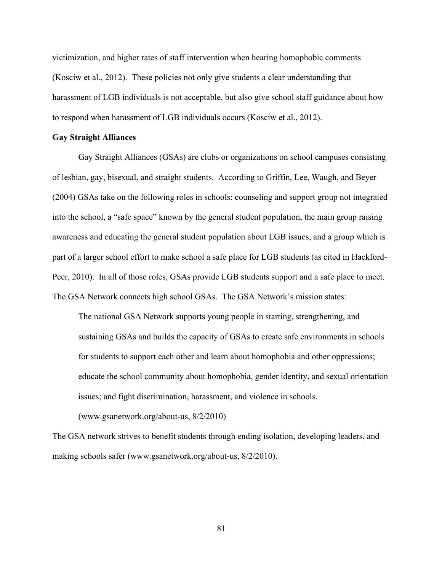victimization, and higher rates of staff intervention when hearing homophobic comments (Kosciw et al., 2012). These policies not only give students a clear understanding that harassment of LGB individuals is not acceptable, but also give school staff guidance about how to respond when harassment of LGB individuals occurs (Kosciw et al., 2012).

#### **Gay Straight Alliances**

Gay Straight Alliances (GSAs) are clubs or organizations on school campuses consisting of lesbian, gay, bisexual, and straight students. According to Griffin, Lee, Waugh, and Beyer (2004) GSAs take on the following roles in schools: counseling and support group not integrated into the school, a "safe space" known by the general student population, the main group raising awareness and educating the general student population about LGB issues, and a group which is part of a larger school effort to make school a safe place for LGB students (as cited in Hackford-Peer, 2010). In all of those roles, GSAs provide LGB students support and a safe place to meet. The GSA Network connects high school GSAs. The GSA Network's mission states:

The national GSA Network supports young people in starting, strengthening, and sustaining GSAs and builds the capacity of GSAs to create safe environments in schools for students to support each other and learn about homophobia and other oppressions; educate the school community about homophobia, gender identity, and sexual orientation issues; and fight discrimination, harassment, and violence in schools.

(www.gsanetwork.org/about-us, 8/2/2010)

The GSA network strives to benefit students through ending isolation, developing leaders, and making schools safer (www.gsanetwork.org/about-us, 8/2/2010).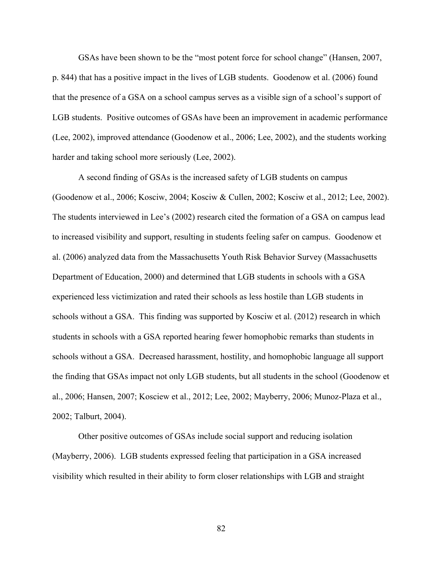GSAs have been shown to be the "most potent force for school change" (Hansen, 2007, p. 844) that has a positive impact in the lives of LGB students. Goodenow et al. (2006) found that the presence of a GSA on a school campus serves as a visible sign of a school's support of LGB students. Positive outcomes of GSAs have been an improvement in academic performance (Lee, 2002), improved attendance (Goodenow et al., 2006; Lee, 2002), and the students working harder and taking school more seriously (Lee, 2002).

A second finding of GSAs is the increased safety of LGB students on campus (Goodenow et al., 2006; Kosciw, 2004; Kosciw & Cullen, 2002; Kosciw et al., 2012; Lee, 2002). The students interviewed in Lee's (2002) research cited the formation of a GSA on campus lead to increased visibility and support, resulting in students feeling safer on campus. Goodenow et al. (2006) analyzed data from the Massachusetts Youth Risk Behavior Survey (Massachusetts Department of Education, 2000) and determined that LGB students in schools with a GSA experienced less victimization and rated their schools as less hostile than LGB students in schools without a GSA. This finding was supported by Kosciw et al. (2012) research in which students in schools with a GSA reported hearing fewer homophobic remarks than students in schools without a GSA. Decreased harassment, hostility, and homophobic language all support the finding that GSAs impact not only LGB students, but all students in the school (Goodenow et al., 2006; Hansen, 2007; Kosciew et al., 2012; Lee, 2002; Mayberry, 2006; Munoz-Plaza et al., 2002; Talburt, 2004).

Other positive outcomes of GSAs include social support and reducing isolation (Mayberry, 2006). LGB students expressed feeling that participation in a GSA increased visibility which resulted in their ability to form closer relationships with LGB and straight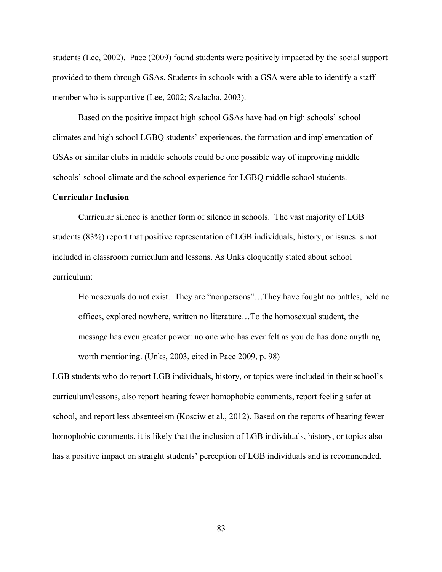students (Lee, 2002). Pace (2009) found students were positively impacted by the social support provided to them through GSAs. Students in schools with a GSA were able to identify a staff member who is supportive (Lee, 2002; Szalacha, 2003).

Based on the positive impact high school GSAs have had on high schools' school climates and high school LGBQ students' experiences, the formation and implementation of GSAs or similar clubs in middle schools could be one possible way of improving middle schools' school climate and the school experience for LGBQ middle school students.

#### **Curricular Inclusion**

Curricular silence is another form of silence in schools. The vast majority of LGB students (83%) report that positive representation of LGB individuals, history, or issues is not included in classroom curriculum and lessons. As Unks eloquently stated about school curriculum:

Homosexuals do not exist. They are "nonpersons"…They have fought no battles, held no offices, explored nowhere, written no literature…To the homosexual student, the message has even greater power: no one who has ever felt as you do has done anything worth mentioning. (Unks, 2003, cited in Pace 2009, p. 98)

LGB students who do report LGB individuals, history, or topics were included in their school's curriculum/lessons, also report hearing fewer homophobic comments, report feeling safer at school, and report less absenteeism (Kosciw et al., 2012). Based on the reports of hearing fewer homophobic comments, it is likely that the inclusion of LGB individuals, history, or topics also has a positive impact on straight students' perception of LGB individuals and is recommended.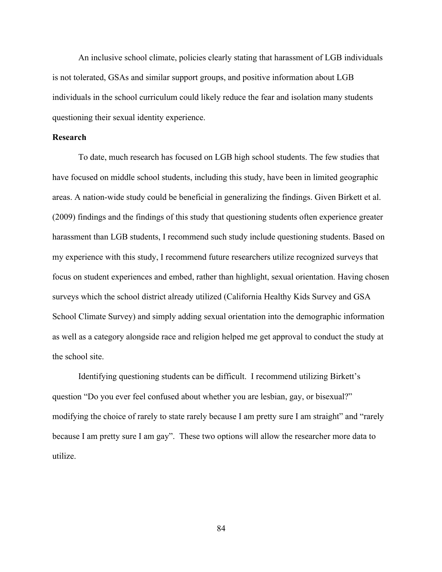An inclusive school climate, policies clearly stating that harassment of LGB individuals is not tolerated, GSAs and similar support groups, and positive information about LGB individuals in the school curriculum could likely reduce the fear and isolation many students questioning their sexual identity experience.

#### **Research**

To date, much research has focused on LGB high school students. The few studies that have focused on middle school students, including this study, have been in limited geographic areas. A nation-wide study could be beneficial in generalizing the findings. Given Birkett et al. (2009) findings and the findings of this study that questioning students often experience greater harassment than LGB students, I recommend such study include questioning students. Based on my experience with this study, I recommend future researchers utilize recognized surveys that focus on student experiences and embed, rather than highlight, sexual orientation. Having chosen surveys which the school district already utilized (California Healthy Kids Survey and GSA School Climate Survey) and simply adding sexual orientation into the demographic information as well as a category alongside race and religion helped me get approval to conduct the study at the school site.

Identifying questioning students can be difficult. I recommend utilizing Birkett's question "Do you ever feel confused about whether you are lesbian, gay, or bisexual?" modifying the choice of rarely to state rarely because I am pretty sure I am straight" and "rarely because I am pretty sure I am gay". These two options will allow the researcher more data to utilize.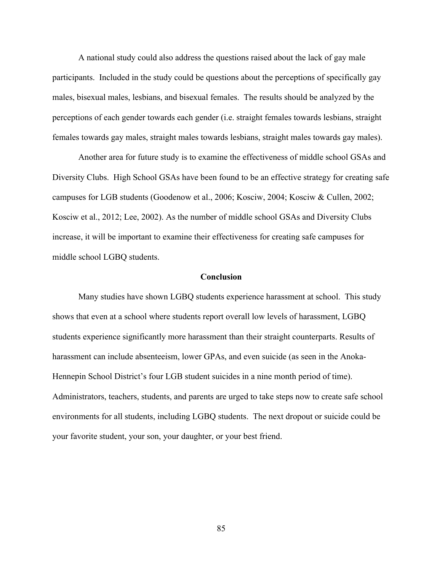A national study could also address the questions raised about the lack of gay male participants. Included in the study could be questions about the perceptions of specifically gay males, bisexual males, lesbians, and bisexual females. The results should be analyzed by the perceptions of each gender towards each gender (i.e. straight females towards lesbians, straight females towards gay males, straight males towards lesbians, straight males towards gay males).

Another area for future study is to examine the effectiveness of middle school GSAs and Diversity Clubs. High School GSAs have been found to be an effective strategy for creating safe campuses for LGB students (Goodenow et al., 2006; Kosciw, 2004; Kosciw & Cullen, 2002; Kosciw et al., 2012; Lee, 2002). As the number of middle school GSAs and Diversity Clubs increase, it will be important to examine their effectiveness for creating safe campuses for middle school LGBQ students.

#### **Conclusion**

Many studies have shown LGBQ students experience harassment at school. This study shows that even at a school where students report overall low levels of harassment, LGBQ students experience significantly more harassment than their straight counterparts. Results of harassment can include absenteeism, lower GPAs, and even suicide (as seen in the Anoka-Hennepin School District's four LGB student suicides in a nine month period of time). Administrators, teachers, students, and parents are urged to take steps now to create safe school environments for all students, including LGBQ students. The next dropout or suicide could be your favorite student, your son, your daughter, or your best friend.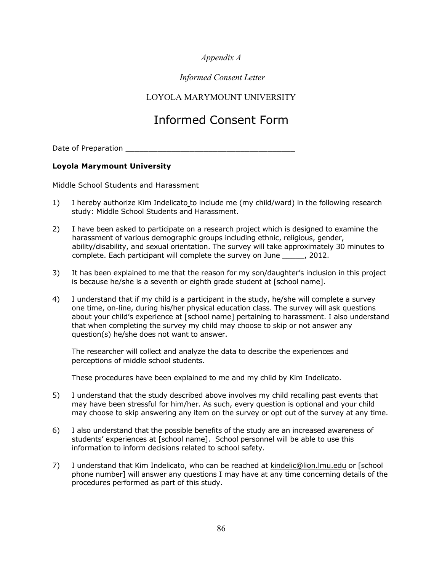# *Appendix A*

# *Informed Consent Letter*

# LOYOLA MARYMOUNT UNIVERSITY

# Informed Consent Form

Date of Preparation \_\_\_\_\_\_\_\_\_\_\_\_\_\_\_\_\_\_\_\_\_\_\_\_\_\_\_\_\_\_\_\_\_\_\_\_\_

#### **Loyola Marymount University**

Middle School Students and Harassment

- 1) I hereby authorize Kim Indelicato to include me (my child/ward) in the following research study: Middle School Students and Harassment.
- 2) I have been asked to participate on a research project which is designed to examine the harassment of various demographic groups including ethnic, religious, gender, ability/disability, and sexual orientation. The survey will take approximately 30 minutes to complete. Each participant will complete the survey on June \_\_\_\_\_, 2012.
- 3) It has been explained to me that the reason for my son/daughter's inclusion in this project is because he/she is a seventh or eighth grade student at [school name].
- 4) I understand that if my child is a participant in the study, he/she will complete a survey one time, on-line, during his/her physical education class. The survey will ask questions about your child's experience at [school name] pertaining to harassment. I also understand that when completing the survey my child may choose to skip or not answer any question(s) he/she does not want to answer.

The researcher will collect and analyze the data to describe the experiences and perceptions of middle school students.

These procedures have been explained to me and my child by Kim Indelicato.

- 5) I understand that the study described above involves my child recalling past events that may have been stressful for him/her. As such, every question is optional and your child may choose to skip answering any item on the survey or opt out of the survey at any time.
- 6) I also understand that the possible benefits of the study are an increased awareness of students' experiences at [school name]. School personnel will be able to use this information to inform decisions related to school safety.
- 7) I understand that Kim Indelicato, who can be reached at kindelic@lion.lmu.edu or [school phone number] will answer any questions I may have at any time concerning details of the procedures performed as part of this study.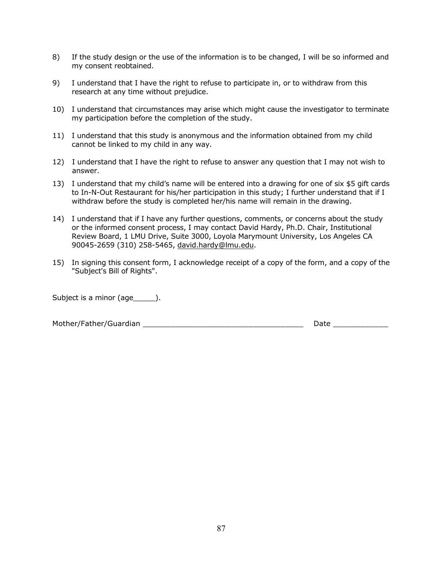- 8) If the study design or the use of the information is to be changed, I will be so informed and my consent reobtained.
- 9) I understand that I have the right to refuse to participate in, or to withdraw from this research at any time without prejudice.
- 10) I understand that circumstances may arise which might cause the investigator to terminate my participation before the completion of the study.
- 11) I understand that this study is anonymous and the information obtained from my child cannot be linked to my child in any way.
- 12) I understand that I have the right to refuse to answer any question that I may not wish to answer.
- 13) I understand that my child's name will be entered into a drawing for one of six \$5 gift cards to In-N-Out Restaurant for his/her participation in this study; I further understand that if I withdraw before the study is completed her/his name will remain in the drawing.
- 14) I understand that if I have any further questions, comments, or concerns about the study or the informed consent process, I may contact David Hardy, Ph.D. Chair, Institutional Review Board, 1 LMU Drive, Suite 3000, Loyola Marymount University, Los Angeles CA 90045-2659 (310) 258-5465, david.hardy@lmu.edu.
- 15) In signing this consent form, I acknowledge receipt of a copy of the form, and a copy of the "Subject's Bill of Rights".

Subject is a minor (age\_\_\_\_\_\_).

Mother/Father/Guardian \_\_\_\_\_\_\_\_\_\_\_\_\_\_\_\_\_\_\_\_\_\_\_\_\_\_\_\_\_\_\_\_\_\_\_ Date \_\_\_\_\_\_\_\_\_\_\_\_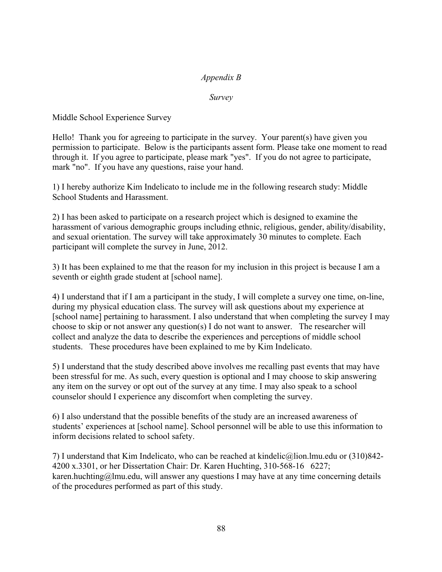# *Appendix B*

*Survey*

Middle School Experience Survey

Hello! Thank you for agreeing to participate in the survey. Your parent(s) have given you permission to participate. Below is the participants assent form. Please take one moment to read through it. If you agree to participate, please mark "yes". If you do not agree to participate, mark "no". If you have any questions, raise your hand.

1) I hereby authorize Kim Indelicato to include me in the following research study: Middle School Students and Harassment.

2) I has been asked to participate on a research project which is designed to examine the harassment of various demographic groups including ethnic, religious, gender, ability/disability, and sexual orientation. The survey will take approximately 30 minutes to complete. Each participant will complete the survey in June, 2012.

3) It has been explained to me that the reason for my inclusion in this project is because I am a seventh or eighth grade student at [school name].

4) I understand that if I am a participant in the study, I will complete a survey one time, on-line, during my physical education class. The survey will ask questions about my experience at [school name] pertaining to harassment. I also understand that when completing the survey I may choose to skip or not answer any question(s) I do not want to answer. The researcher will collect and analyze the data to describe the experiences and perceptions of middle school students. These procedures have been explained to me by Kim Indelicato.

5) I understand that the study described above involves me recalling past events that may have been stressful for me. As such, every question is optional and I may choose to skip answering any item on the survey or opt out of the survey at any time. I may also speak to a school counselor should I experience any discomfort when completing the survey.

6) I also understand that the possible benefits of the study are an increased awareness of students' experiences at [school name]. School personnel will be able to use this information to inform decisions related to school safety.

7) I understand that Kim Indelicato, who can be reached at kindelic@lion.lmu.edu or (310)842- 4200 x.3301, or her Dissertation Chair: Dr. Karen Huchting, 310-568-16 6227; karen.huchting@lmu.edu, will answer any questions I may have at any time concerning details of the procedures performed as part of this study.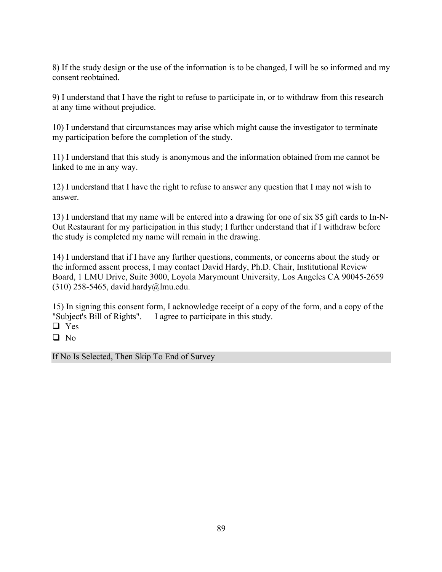8) If the study design or the use of the information is to be changed, I will be so informed and my consent reobtained.

9) I understand that I have the right to refuse to participate in, or to withdraw from this research at any time without prejudice.

10) I understand that circumstances may arise which might cause the investigator to terminate my participation before the completion of the study.

11) I understand that this study is anonymous and the information obtained from me cannot be linked to me in any way.

12) I understand that I have the right to refuse to answer any question that I may not wish to answer.

13) I understand that my name will be entered into a drawing for one of six \$5 gift cards to In-N-Out Restaurant for my participation in this study; I further understand that if I withdraw before the study is completed my name will remain in the drawing.

14) I understand that if I have any further questions, comments, or concerns about the study or the informed assent process, I may contact David Hardy, Ph.D. Chair, Institutional Review Board, 1 LMU Drive, Suite 3000, Loyola Marymount University, Los Angeles CA 90045-2659 (310) 258-5465, david.hardy@lmu.edu.

15) In signing this consent form, I acknowledge receipt of a copy of the form, and a copy of the "Subject's Bill of Rights". I agree to participate in this study.

□ Yes

 $\Box$  No

If No Is Selected, Then Skip To End of Survey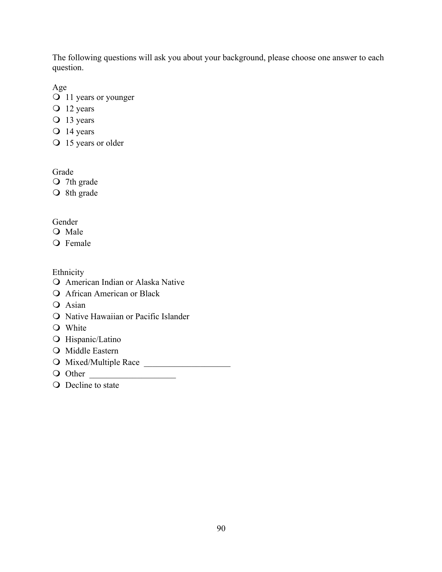The following questions will ask you about your background, please choose one answer to each question.

Age

- O 11 years or younger
- $\overline{O}$  12 years
- O 13 years
- $\bigcirc$  14 years
- O 15 years or older

Grade

- O 7th grade
- O 8th grade

Gender

- O Male
- O Female

Ethnicity

- O American Indian or Alaska Native
- **Q** African American or Black
- O Asian
- **Q** Native Hawaiian or Pacific Islander
- **O** White
- **O** Hispanic/Latino
- **O** Middle Eastern
- O Mixed/Multiple Race
- $\bigcirc$  Other
- **O** Decline to state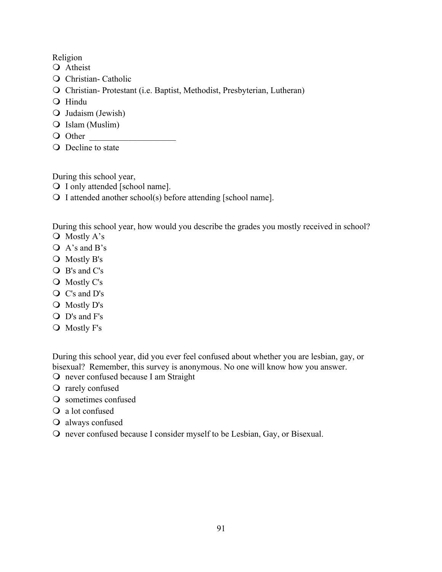Religion

- O Atheist
- $\overline{Q}$  Christian- Catholic
- $\Omega$  Christian- Protestant (i.e. Baptist, Methodist, Presbyterian, Lutheran)
- O Hindu
- $\bigcirc$  Judaism (Jewish)
- $\bigcirc$  Islam (Muslim)
- O Other
- **O** Decline to state

During this school year,

 $\bigcirc$  I only attended [school name].

 $\bigcirc$  I attended another school(s) before attending [school name].

During this school year, how would you describe the grades you mostly received in school? O Mostly A's

- $\overline{Q}$  A's and B's
- 
- $\bigcirc$  Mostly B's
- $\bigcirc$  B's and C's O Mostly C's
- 
- $\bigcirc$  C's and D's
- O Mostly D's
- $\bigcirc$  D's and F's
- $\bigcirc$  Mostly F's

During this school year, did you ever feel confused about whether you are lesbian, gay, or bisexual? Remember, this survey is anonymous. No one will know how you answer.

- O never confused because I am Straight
- $\Omega$  rarely confused
- $\Omega$  sometimes confused
- $\overline{Q}$  a lot confused
- $\Omega$  always confused
- $\Omega$  never confused because I consider myself to be Lesbian, Gay, or Bisexual.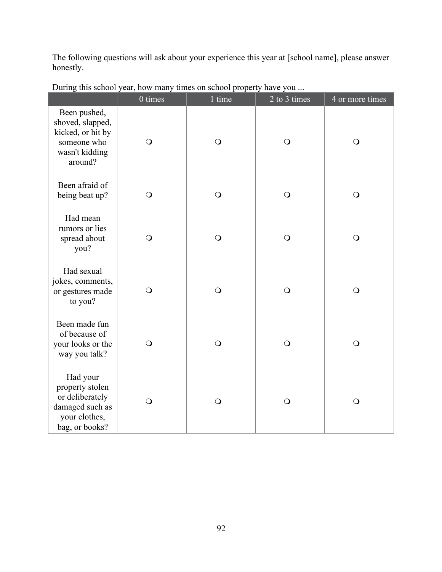The following questions will ask about your experience this year at [school name], please answer honestly.

|                                                                                                      | $0 \text{ times}$ | 1 time     | 2 to 3 times | 4 or more times |
|------------------------------------------------------------------------------------------------------|-------------------|------------|--------------|-----------------|
| Been pushed,<br>shoved, slapped,<br>kicked, or hit by<br>someone who<br>wasn't kidding<br>around?    | $\bigcirc$        | $\bigcirc$ | $\bigcirc$   | $\bigcirc$      |
| Been afraid of<br>being beat up?                                                                     | $\bigcirc$        | $\bigcirc$ | $\circ$      | $\bigcirc$      |
| Had mean<br>rumors or lies<br>spread about<br>you?                                                   | $\bigcirc$        | $\bigcirc$ | $\bigcirc$   | $\bigcirc$      |
| Had sexual<br>jokes, comments,<br>or gestures made<br>to you?                                        | $\bigcirc$        | $\bigcirc$ | $\bigcirc$   | $\bigcirc$      |
| Been made fun<br>of because of<br>your looks or the<br>way you talk?                                 | $\bigcirc$        | $\bigcirc$ | $\bigcirc$   | $\bigcirc$      |
| Had your<br>property stolen<br>or deliberately<br>damaged such as<br>your clothes,<br>bag, or books? | $\bigcirc$        | $\bigcirc$ | $\bigcirc$   | $\bigcirc$      |

During this school year, how many times on school property have you ...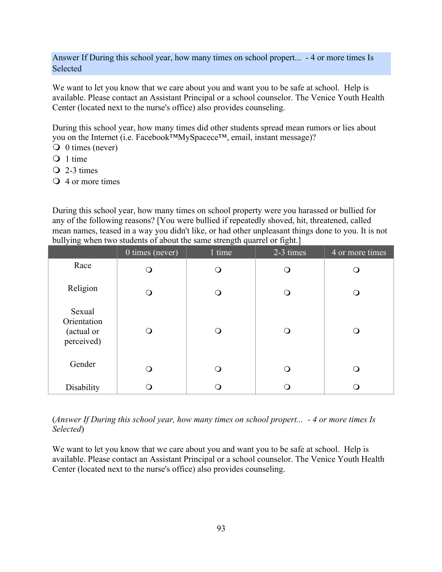Answer If During this school year, how many times on school propert... - 4 or more times Is Selected

We want to let you know that we care about you and want you to be safe at school. Help is available. Please contact an Assistant Principal or a school counselor. The Venice Youth Health Center (located next to the nurse's office) also provides counseling.

During this school year, how many times did other students spread mean rumors or lies about you on the Internet (i.e. Facebook™MySpacece™, email, instant message)?

- $\bigcirc$  0 times (never)
- $\bigcirc$  1 time
- $\overline{Q}$  2-3 times
- $\overline{Q}$  4 or more times

During this school year, how many times on school property were you harassed or bullied for any of the following reasons? [You were bullied if repeatedly shoved, hit, threatened, called mean names, teased in a way you didn't like, or had other unpleasant things done to you. It is not bullying when two students of about the same strength quarrel or fight.]

|                                                   | 0 times (never) | 1 time | 2-3 times | 4 or more times |
|---------------------------------------------------|-----------------|--------|-----------|-----------------|
| Race                                              | ∩               | Q      | ∩         | ( )             |
| Religion                                          | ∩               | Q      | ∩         | ∩               |
| Sexual<br>Orientation<br>(actual or<br>perceived) |                 | ∩      | ∩         |                 |
| Gender                                            | ∩               | ∩      |           | ∩               |
| Disability                                        |                 | Ω      |           | ∩               |

## (*Answer If During this school year, how many times on school propert... - 4 or more times Is Selected*)

We want to let you know that we care about you and want you to be safe at school. Help is available. Please contact an Assistant Principal or a school counselor. The Venice Youth Health Center (located next to the nurse's office) also provides counseling.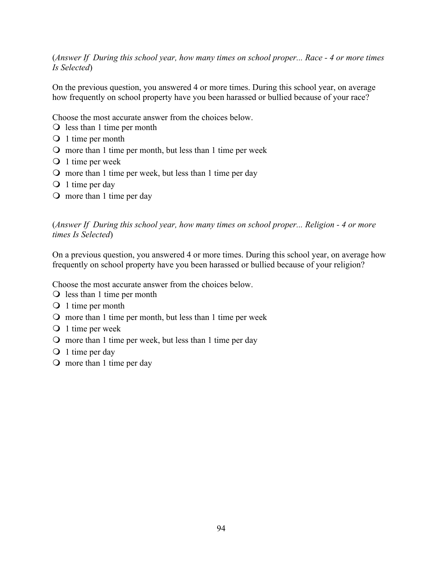## (*Answer If During this school year, how many times on school proper... Race - 4 or more times Is Selected*)

On the previous question, you answered 4 or more times. During this school year, on average how frequently on school property have you been harassed or bullied because of your race?

Choose the most accurate answer from the choices below.

- $\bigcirc$  less than 1 time per month
- $\bigcirc$  1 time per month
- $\Omega$  more than 1 time per month, but less than 1 time per week
- $\bigcirc$  1 time per week
- $\Omega$  more than 1 time per week, but less than 1 time per day
- $\bigcirc$  1 time per day
- $\Omega$  more than 1 time per day

(*Answer If During this school year, how many times on school proper... Religion - 4 or more times Is Selected*)

On a previous question, you answered 4 or more times. During this school year, on average how frequently on school property have you been harassed or bullied because of your religion?

Choose the most accurate answer from the choices below.

- $\bigcirc$  less than 1 time per month
- O 1 time per month
- $\Omega$  more than 1 time per month, but less than 1 time per week
- $\bigcirc$  1 time per week
- $\Omega$  more than 1 time per week, but less than 1 time per day
- $\bigcirc$  1 time per day
- $\Omega$  more than 1 time per day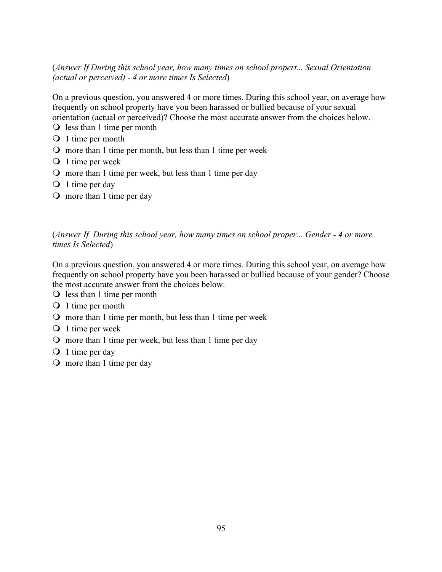# (*Answer If During this school year, how many times on school propert... Sexual Orientation (actual or perceived) - 4 or more times Is Selected*)

On a previous question, you answered 4 or more times. During this school year, on average how frequently on school property have you been harassed or bullied because of your sexual orientation (actual or perceived)? Choose the most accurate answer from the choices below.

- $\bigcirc$  less than 1 time per month
- O 1 time per month
- $\Omega$  more than 1 time per month, but less than 1 time per week
- $\bigcirc$  1 time per week
- $\Omega$  more than 1 time per week, but less than 1 time per day
- $\bigcirc$  1 time per day
- $\Omega$  more than 1 time per day

(*Answer If During this school year, how many times on school proper... Gender - 4 or more times Is Selected*)

On a previous question, you answered 4 or more times. During this school year, on average how frequently on school property have you been harassed or bullied because of your gender? Choose the most accurate answer from the choices below.

- $\bigcirc$  less than 1 time per month
- $\bigcirc$  1 time per month
- $\Omega$  more than 1 time per month, but less than 1 time per week
- O 1 time per week
- $\Omega$  more than 1 time per week, but less than 1 time per day
- $\bigcirc$  1 time per day
- $\circ$  more than 1 time per day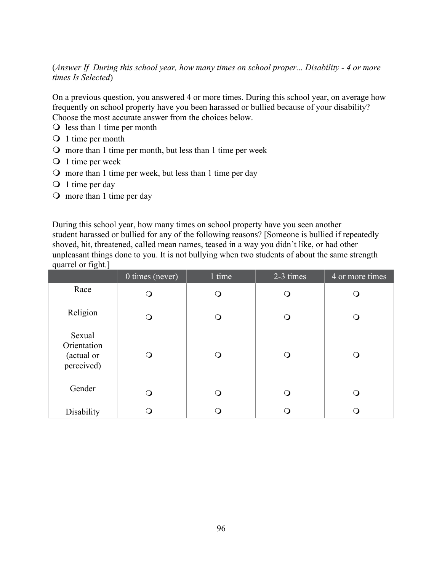(*Answer If During this school year, how many times on school proper... Disability - 4 or more times Is Selected*)

On a previous question, you answered 4 or more times. During this school year, on average how frequently on school property have you been harassed or bullied because of your disability? Choose the most accurate answer from the choices below.

- $\bigcirc$  less than 1 time per month
- O 1 time per month
- $\Omega$  more than 1 time per month, but less than 1 time per week
- $\bigcirc$  1 time per week
- $\Omega$  more than 1 time per week, but less than 1 time per day
- $\bigcirc$  1 time per day
- $\Omega$  more than 1 time per day

During this school year, how many times on school property have you seen another student harassed or bullied for any of the following reasons? [Someone is bullied if repeatedly shoved, hit, threatened, called mean names, teased in a way you didn't like, or had other unpleasant things done to you. It is not bullying when two students of about the same strength quarrel or fight.]

|                                                   | 0 times (never) | 1 time | 2-3 times | 4 or more times |
|---------------------------------------------------|-----------------|--------|-----------|-----------------|
| Race                                              |                 | ∩      | ∩         |                 |
| Religion                                          | ∩               | ∩      | ∩         | ◯               |
| Sexual<br>Orientation<br>(actual or<br>perceived) |                 | ∩      |           | ∩               |
| Gender                                            |                 |        |           |                 |
| Disability                                        |                 |        |           |                 |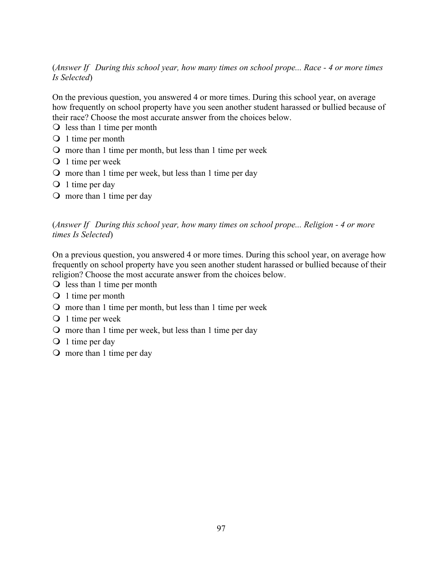# (*Answer If During this school year, how many times on school prope... Race - 4 or more times Is Selected*)

On the previous question, you answered 4 or more times. During this school year, on average how frequently on school property have you seen another student harassed or bullied because of their race? Choose the most accurate answer from the choices below.

- $\bigcirc$  less than 1 time per month
- O 1 time per month
- $\Omega$  more than 1 time per month, but less than 1 time per week
- $\bigcirc$  1 time per week
- $\Omega$  more than 1 time per week, but less than 1 time per day
- $\bigcirc$  1 time per day
- $\Omega$  more than 1 time per day

(*Answer If During this school year, how many times on school prope... Religion - 4 or more times Is Selected*)

On a previous question, you answered 4 or more times. During this school year, on average how frequently on school property have you seen another student harassed or bullied because of their religion? Choose the most accurate answer from the choices below.

- $\bigcirc$  less than 1 time per month
- $\bigcirc$  1 time per month
- $\Omega$  more than 1 time per month, but less than 1 time per week
- O 1 time per week
- $\Omega$  more than 1 time per week, but less than 1 time per day
- $\bigcirc$  1 time per day
- $\Omega$  more than 1 time per day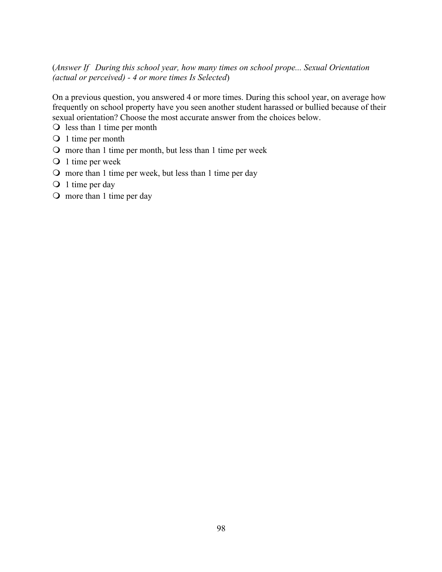## (*Answer If During this school year, how many times on school prope... Sexual Orientation (actual or perceived) - 4 or more times Is Selected*)

On a previous question, you answered 4 or more times. During this school year, on average how frequently on school property have you seen another student harassed or bullied because of their sexual orientation? Choose the most accurate answer from the choices below.

- $\bigcirc$  less than 1 time per month
- O 1 time per month
- $\Omega$  more than 1 time per month, but less than 1 time per week
- O 1 time per week
- $\overline{O}$  more than 1 time per week, but less than 1 time per day
- O 1 time per day
- $\circ$  more than 1 time per day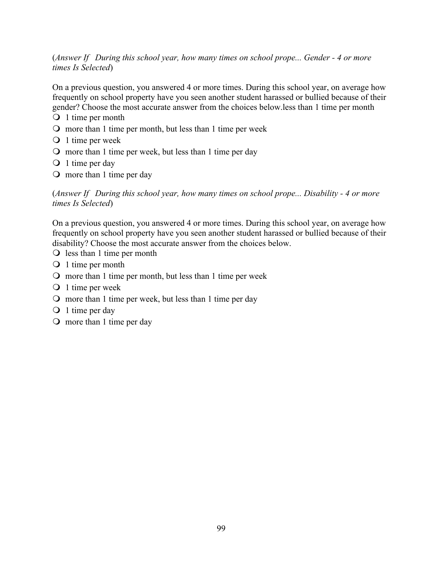(*Answer If During this school year, how many times on school prope... Gender - 4 or more times Is Selected*)

On a previous question, you answered 4 or more times. During this school year, on average how frequently on school property have you seen another student harassed or bullied because of their gender? Choose the most accurate answer from the choices below.less than 1 time per month

- $\bigcirc$  1 time per month
- $\Omega$  more than 1 time per month, but less than 1 time per week
- O 1 time per week
- $\Omega$  more than 1 time per week, but less than 1 time per day
- $\bigcirc$  1 time per day
- $\Omega$  more than 1 time per day

(*Answer If During this school year, how many times on school prope... Disability - 4 or more times Is Selected*)

On a previous question, you answered 4 or more times. During this school year, on average how frequently on school property have you seen another student harassed or bullied because of their disability? Choose the most accurate answer from the choices below.

- $\bigcirc$  less than 1 time per month
- $\bigcirc$  1 time per month
- $\Omega$  more than 1 time per month, but less than 1 time per week
- O 1 time per week
- $\Omega$  more than 1 time per week, but less than 1 time per day
- $\bigcirc$  1 time per day
- $\Omega$  more than 1 time per day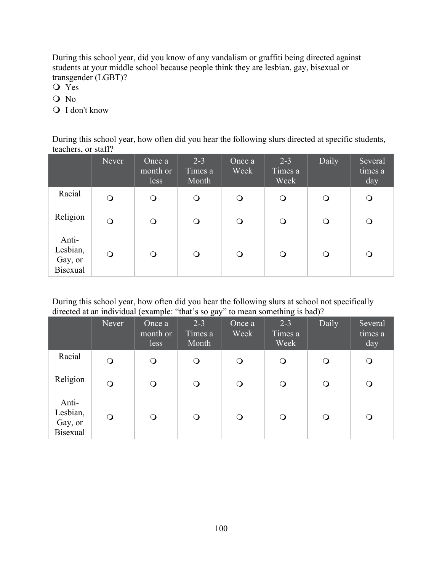During this school year, did you know of any vandalism or graffiti being directed against students at your middle school because people think they are lesbian, gay, bisexual or transgender (LGBT)?

- O Yes
- O No
- O I don't know

During this school year, how often did you hear the following slurs directed at specific students, teachers, or staff?

|                                                 | Never    | Once a<br>$\frac{1}{2}$ month or<br>less | $2 - 3$<br>Times a<br>Month | Once a<br>Week | $2 - 3$<br>Times a<br>Week | Daily      | Several<br>times a<br>day |
|-------------------------------------------------|----------|------------------------------------------|-----------------------------|----------------|----------------------------|------------|---------------------------|
| Racial                                          | $\circ$  | $\bigcirc$                               | $\bigcirc$                  | $\circ$        | $\bigcirc$                 | $\circ$    | $\bigcirc$                |
| Religion                                        | $\Omega$ | $\mathsf{O}$                             | $\bigcirc$                  | $\mathsf{O}$   | $\mathsf{O}$               | $\bigcirc$ | $\mathsf{O}$              |
| Anti-<br>Lesbian,<br>Gay, or<br><b>Bisexual</b> | $\Omega$ | $\mathsf{O}$                             | $\circ$                     | $\circ$        | $\circ$                    | $\bigcirc$ | $\Omega$                  |

During this school year, how often did you hear the following slurs at school not specifically directed at an individual (example: "that's so gay" to mean something is bad)?

|                                                 | Never    | Once a<br>month or<br>less | $2 - 3$<br>Times a<br>Month | Once $a_1$<br>Week | $2 - 3$<br>Times a<br>Week | Daily      | Several<br>times a<br>day |
|-------------------------------------------------|----------|----------------------------|-----------------------------|--------------------|----------------------------|------------|---------------------------|
| Racial                                          | $\Omega$ | $\bigcirc$                 | $\bigcirc$                  | $\Omega$           | $\mathsf{O}$               | $\bigcirc$ | $\bigcirc$                |
| Religion                                        | $\Omega$ | $\bigcirc$                 | O                           | $\Omega$           | $\mathsf{O}$               | $\circ$    | $\mathsf{O}$              |
| Anti-<br>Lesbian,<br>Gay, or<br><b>Bisexual</b> | $\Omega$ | O                          | O                           | Q                  | Q                          | O          | Q                         |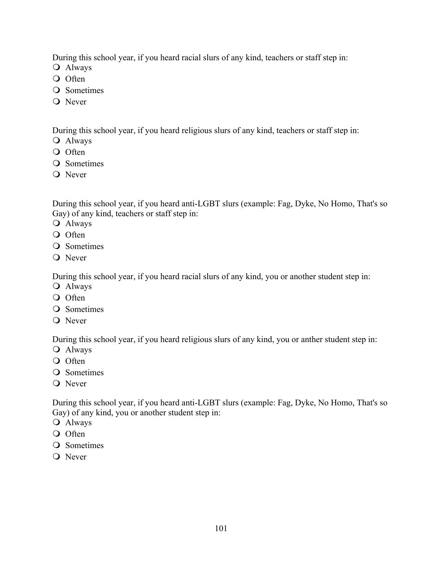During this school year, if you heard racial slurs of any kind, teachers or staff step in:

- O Always
- O Often
- O Sometimes
- O Never

During this school year, if you heard religious slurs of any kind, teachers or staff step in:

- O Always
- O Often
- **O** Sometimes
- O Never

During this school year, if you heard anti-LGBT slurs (example: Fag, Dyke, No Homo, That's so Gay) of any kind, teachers or staff step in:

- O Always
- O Often
- **O** Sometimes
- O Never

During this school year, if you heard racial slurs of any kind, you or another student step in:

- O Always
- O Often
- O Sometimes
- O Never

During this school year, if you heard religious slurs of any kind, you or anther student step in:

- O Always
- O Often
- **O** Sometimes
- O Never

During this school year, if you heard anti-LGBT slurs (example: Fag, Dyke, No Homo, That's so Gay) of any kind, you or another student step in:

- O Always
- O Often
- **O** Sometimes
- O Never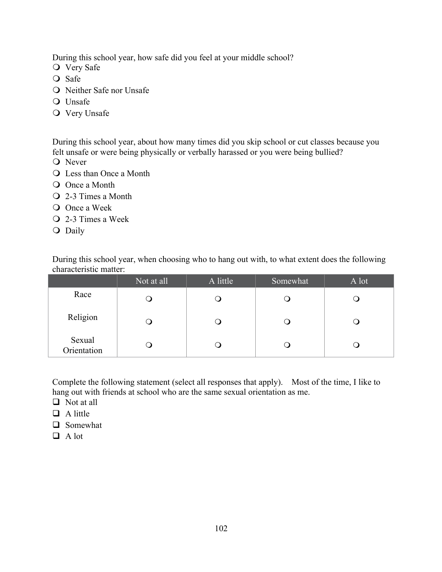During this school year, how safe did you feel at your middle school?

- O Very Safe
- $\overline{Q}$  Safe
- **O** Neither Safe nor Unsafe
- O Unsafe
- **O** Very Unsafe

During this school year, about how many times did you skip school or cut classes because you felt unsafe or were being physically or verbally harassed or you were being bullied?

- O Never
- **Q** Less than Once a Month
- O Once a Month
- $\overline{Q}$  2-3 Times a Month
- O Once a Week
- $\overline{Q}$  2-3 Times a Week
- O Daily

|                        |  | During this school year, when choosing who to hang out with, to what extent does the following |  |
|------------------------|--|------------------------------------------------------------------------------------------------|--|
| characteristic matter: |  |                                                                                                |  |
|                        |  |                                                                                                |  |

|                       | Not at all | A little | Somewhat | A lot |
|-----------------------|------------|----------|----------|-------|
| Race                  |            |          |          |       |
| Religion              |            |          |          |       |
| Sexual<br>Orientation |            |          |          |       |

Complete the following statement (select all responses that apply). Most of the time, I like to hang out with friends at school who are the same sexual orientation as me.

- $\Box$  Not at all
- $\Box$  A little
- **Q** Somewhat
- $\Box$  A lot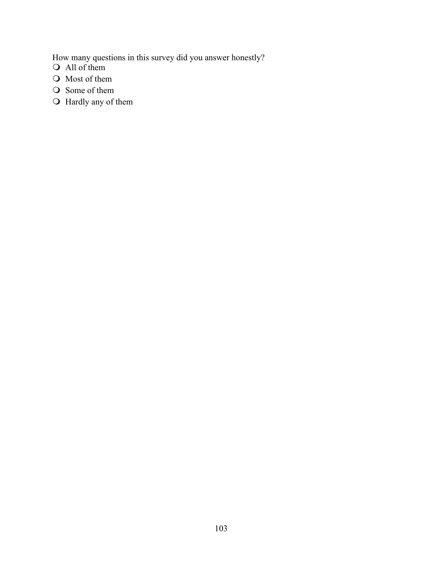How many questions in this survey did you answer honestly?

- $\bigcirc$  All of them
- $\bigcirc$  Most of them
- $\bigcirc$  Some of them
- $\bigcirc$  Hardly any of them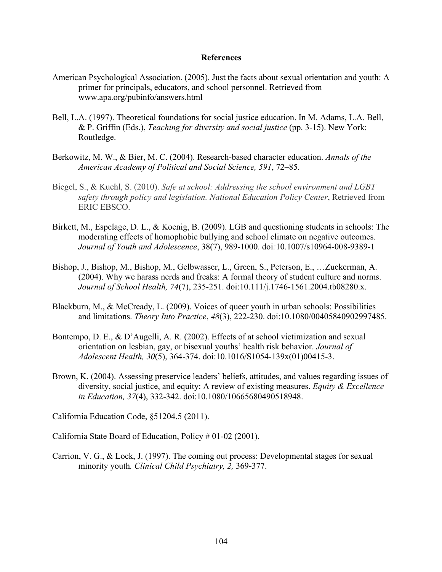## **References**

- American Psychological Association. (2005). Just the facts about sexual orientation and youth: A primer for principals, educators, and school personnel. Retrieved from www.apa.org/pubinfo/answers.html
- Bell, L.A. (1997). Theoretical foundations for social justice education. In M. Adams, L.A. Bell, & P. Griffin (Eds.), *Teaching for diversity and social justice* (pp. 3-15). New York: Routledge.
- Berkowitz, M. W., & Bier, M. C. (2004). Research-based character education. *Annals of the American Academy of Political and Social Science, 591*, 72–85.
- Biegel, S., & Kuehl, S. (2010). *Safe at school: Addressing the school environment and LGBT safety through policy and legislation. National Education Policy Center*, Retrieved from ERIC EBSCO.
- Birkett, M., Espelage, D. L., & Koenig, B. (2009). LGB and questioning students in schools: The moderating effects of homophobic bullying and school climate on negative outcomes. *Journal of Youth and Adolescence*, 38(7), 989-1000. doi*:*10.1007/s10964-008-9389-1
- Bishop, J., Bishop, M., Bishop, M., Gelbwasser, L., Green, S., Peterson, E., …Zuckerman, A. (2004). Why we harass nerds and freaks: A formal theory of student culture and norms. *Journal of School Health, 74*(7), 235-251. doi:10.111/j.1746-1561.2004.tb08280.x.
- Blackburn, M., & McCready, L. (2009). Voices of queer youth in urban schools: Possibilities and limitations. *Theory Into Practice*, *48*(3), 222-230. doi:10.1080/00405840902997485.
- Bontempo, D. E., & D'Augelli, A. R. (2002). Effects of at school victimization and sexual orientation on lesbian, gay, or bisexual youths' health risk behavior. *Journal of Adolescent Health, 30*(5), 364-374. doi:10.1016/S1054-139x(01)00415-3.
- Brown, K. (2004). Assessing preservice leaders' beliefs, attitudes, and values regarding issues of diversity, social justice, and equity: A review of existing measures. *Equity & Excellence in Education, 37*(4), 332-342. doi:10.1080/10665680490518948.

California Education Code, §51204.5 (2011).

California State Board of Education, Policy # 01-02 (2001).

Carrion, V. G., & Lock, J. (1997). The coming out process: Developmental stages for sexual minority youth*. Clinical Child Psychiatry, 2,* 369-377.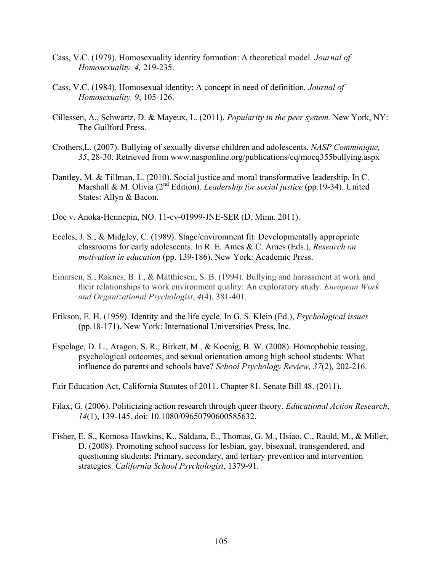- Cass, V.C. (1979). Homosexuality identity formation: A theoretical model*. Journal of Homosexuality, 4,* 219-235.
- Cass, V.C. (1984). Homosexual identity: A concept in need of definition*. Journal of Homosexuality, 9*, 105-126.
- Cillessen, A., Schwartz, D. & Mayeux, L. (2011). *Popularity in the peer system.* New York, NY: The Guilford Press.
- Crothers,L. (2007). Bullying of sexually diverse children and adolescents. *NASP Comminique, 35*, 28-30. Retrieved from www.nasponline.org/publications/cq/mocq355bullying.aspx
- Dantley, M. & Tillman, L. (2010). Social justice and moral transformative leadership. In C. Marshall & M. Olivia (2nd Edition). *Leadership for social justice* (pp.19-34). United States: Allyn & Bacon.
- Doe v. Anoka-Hennepin, NO. 11-cv-01999-JNE-SER (D. Minn. 2011).
- Eccles, J. S., & Midgley, C. (1989). Stage/environment fit: Developmentally appropriate classrooms for early adolescents. In R. E. Ames & C. Ames (Eds.), *Research on motivation in education* (pp. 139-186). New York: Academic Press.
- Einarsen, S., Raknes, B. I., & Matthiesen, S. B. (1994). Bullying and harassment at work and their relationships to work environment quality: An exploratory study. *European Work and Organizational Psychologist*, *4*(4), 381-401.
- Erikson, E. H. (1959). Identity and the life cycle. In G. S. Klein (Ed.), *Psychological issues*  (pp.18-171). New York: International Universities Press, Inc.
- Espelage, D. L., Aragon, S. R., Birkett, M., & Koenig, B. W. (2008). Homophobic teasing, psychological outcomes, and sexual orientation among high school students: What influence do parents and schools have? *School Psychology Review, 37*(2)*,* 202-216.
- Fair Education Act, California Statutes of 2011. Chapter 81. Senate Bill 48. (2011).
- Filax, G. (2006). Politicizing action research through queer theory. *Educational Action Research*, *14*(1), 139-145. doi: 10.1080/09650790600585632.
- Fisher, E. S., Komosa-Hawkins, K., Saldana, E., Thomas, G. M., Hsiao, C., Rauld, M., & Miller, D. (2008). Promoting school success for lesbian, gay, bisexual, transgendered, and questioning students: Primary, secondary, and tertiary prevention and intervention strategies. *California School Psychologist*, 1379-91.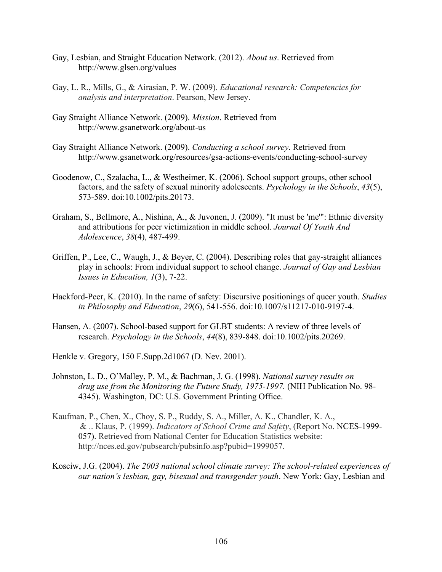- Gay, Lesbian, and Straight Education Network. (2012). *About us*. Retrieved from http://www.glsen.org/values
- Gay, L. R., Mills, G., & Airasian, P. W. (2009). *Educational research: Competencies for analysis and interpretation*. Pearson, New Jersey.
- Gay Straight Alliance Network. (2009). *Mission*. Retrieved from http://www.gsanetwork.org/about-us
- Gay Straight Alliance Network. (2009). *Conducting a school survey*. Retrieved from http://www.gsanetwork.org/resources/gsa-actions-events/conducting-school-survey
- Goodenow, C., Szalacha, L., & Westheimer, K. (2006). School support groups, other school factors, and the safety of sexual minority adolescents. *Psychology in the Schools*, *43*(5), 573-589. doi:10.1002/pits.20173.
- Graham, S., Bellmore, A., Nishina, A., & Juvonen, J. (2009). "It must be 'me'": Ethnic diversity and attributions for peer victimization in middle school. *Journal Of Youth And Adolescence*, *38*(4), 487-499.
- Griffen, P., Lee, C., Waugh, J., & Beyer, C. (2004). Describing roles that gay-straight alliances play in schools: From individual support to school change. *Journal of Gay and Lesbian Issues in Education, 1*(3), 7-22.
- Hackford-Peer, K. (2010). In the name of safety: Discursive positionings of queer youth. *Studies in Philosophy and Education*, *29*(6), 541-556. doi:10.1007/s11217-010-9197-4.
- Hansen, A. (2007). School-based support for GLBT students: A review of three levels of research. *Psychology in the Schools*, *44*(8), 839-848. doi:10.1002/pits.20269.
- Henkle v. Gregory, 150 F.Supp.2d1067 (D. Nev. 2001).
- Johnston, L. D., O'Malley, P. M., & Bachman, J. G. (1998). *National survey results on drug use from the Monitoring the Future Study, 1975-1997.* (NIH Publication No. 98- 4345). Washington, DC: U.S. Government Printing Office.
- Kaufman, P., Chen, X., Choy, S. P., Ruddy, S. A., Miller, A. K., Chandler, K. A., & .. Klaus, P. (1999). *Indicators of School Crime and Safety*, (Report No. NCES-1999- 057). Retrieved from National Center for Education Statistics website: http://nces.ed.gov/pubsearch/pubsinfo.asp?pubid=1999057.
- Kosciw, J.G. (2004). *The 2003 national school climate survey: The school-related experiences of our nation's lesbian, gay, bisexual and transgender youth*. New York: Gay, Lesbian and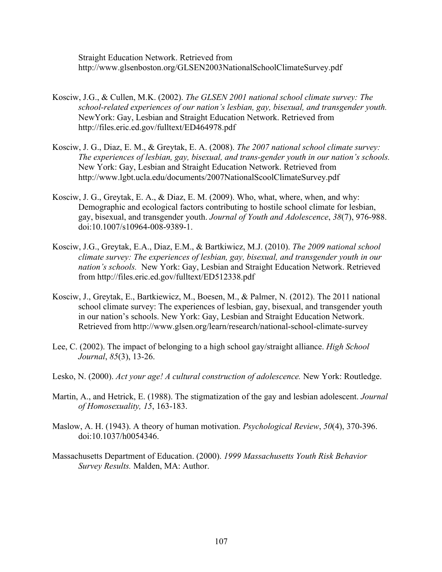Straight Education Network. Retrieved from http://www.glsenboston.org/GLSEN2003NationalSchoolClimateSurvey.pdf

- Kosciw, J.G., & Cullen, M.K. (2002). *The GLSEN 2001 national school climate survey: The school-related experiences of our nation's lesbian, gay, bisexual, and transgender youth.* NewYork: Gay, Lesbian and Straight Education Network. Retrieved from http://files.eric.ed.gov/fulltext/ED464978.pdf
- Kosciw, J. G., Diaz, E. M., & Greytak, E. A. (2008). *The 2007 national school climate survey: The experiences of lesbian, gay, bisexual, and trans-gender youth in our nation's schools.* New York: Gay, Lesbian and Straight Education Network. Retrieved from http://www.lgbt.ucla.edu/documents/2007NationalScoolClimateSurvey.pdf
- Kosciw, J. G., Greytak, E. A., & Diaz, E. M. (2009). Who, what, where, when, and why: Demographic and ecological factors contributing to hostile school climate for lesbian, gay, bisexual, and transgender youth. *Journal of Youth and Adolescence*, *38*(7), 976-988. doi:10.1007/s10964-008-9389-1.
- Kosciw, J.G., Greytak, E.A., Diaz, E.M., & Bartkiwicz, M.J. (2010). *The 2009 national school climate survey: The experiences of lesbian, gay, bisexual, and transgender youth in our nation's schools.* New York: Gay, Lesbian and Straight Education Network. Retrieved from http://files.eric.ed.gov/fulltext/ED512338.pdf
- Kosciw, J., Greytak, E., Bartkiewicz, M., Boesen, M., & Palmer, N. (2012). The 2011 national school climate survey: The experiences of lesbian, gay, bisexual, and transgender youth in our nation's schools. New York: Gay, Lesbian and Straight Education Network. Retrieved from http://www.glsen.org/learn/research/national-school-climate-survey
- Lee, C. (2002). The impact of belonging to a high school gay/straight alliance. *High School Journal*, *85*(3), 13-26.
- Lesko, N. (2000). *Act your age! A cultural construction of adolescence.* New York: Routledge.
- Martin, A., and Hetrick, E. (1988). The stigmatization of the gay and lesbian adolescent. *Journal of Homosexuality, 15*, 163-183.
- Maslow, A. H. (1943). A theory of human motivation. *Psychological Review*, *50*(4), 370-396. doi:10.1037/h0054346.
- Massachusetts Department of Education. (2000). *1999 Massachusetts Youth Risk Behavior Survey Results.* Malden, MA: Author.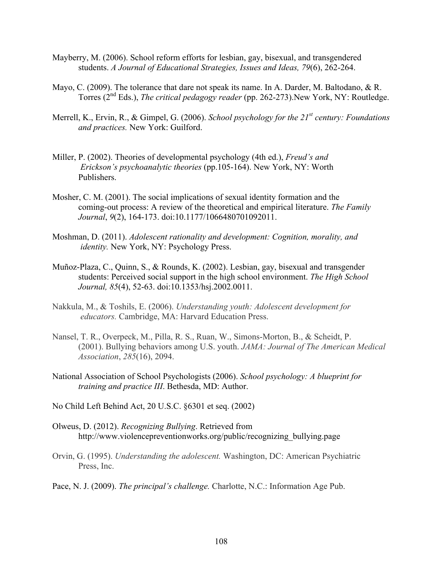- Mayberry, M. (2006). School reform efforts for lesbian, gay, bisexual, and transgendered students. *A Journal of Educational Strategies, Issues and Ideas, 79*(6), 262-264.
- Mayo, C. (2009). The tolerance that dare not speak its name. In A. Darder, M. Baltodano, & R. Torres (2nd Eds.), *The critical pedagogy reader* (pp. 262-273).New York, NY: Routledge.
- Merrell, K., Ervin, R., & Gimpel, G. (2006). *School psychology for the 21st century: Foundations and practices.* New York: Guilford.
- Miller, P. (2002). Theories of developmental psychology (4th ed.), *Freud's and Erickson's psychoanalytic theories* (pp.105-164). New York, NY: Worth Publishers.
- Mosher, C. M. (2001). The social implications of sexual identity formation and the coming-out process: A review of the theoretical and empirical literature. *The Family Journal*, *9*(2), 164-173. doi:10.1177/1066480701092011.
- Moshman, D. (2011). *Adolescent rationality and development: Cognition, morality, and identity.* New York, NY: Psychology Press.
- Muñoz-Plaza, C., Quinn, S., & Rounds, K. (2002). Lesbian, gay, bisexual and transgender students: Perceived social support in the high school environment. *The High School Journal, 85*(4), 52-63. doi:10.1353/hsj.2002.0011.
- Nakkula, M., & Toshils, E. (2006). *Understanding youth: Adolescent development for educators.* Cambridge, MA: Harvard Education Press.
- Nansel, T. R., Overpeck, M., Pilla, R. S., Ruan, W., Simons-Morton, B., & Scheidt, P. (2001). Bullying behaviors among U.S. youth. *JAMA: Journal of The American Medical Association*, *285*(16), 2094.
- National Association of School Psychologists (2006). *School psychology: A blueprint for training and practice III*. Bethesda, MD: Author.
- No Child Left Behind Act, 20 U.S.C. §6301 et seq. (2002)
- Olweus, D. (2012). *Recognizing Bullying*. Retrieved from http://www.violencepreventionworks.org/public/recognizing\_bullying.page
- Orvin, G. (1995). *Understanding the adolescent.* Washington, DC: American Psychiatric Press, Inc.
- Pace, N. J. (2009). *The principal's challenge.* Charlotte, N.C.: Information Age Pub.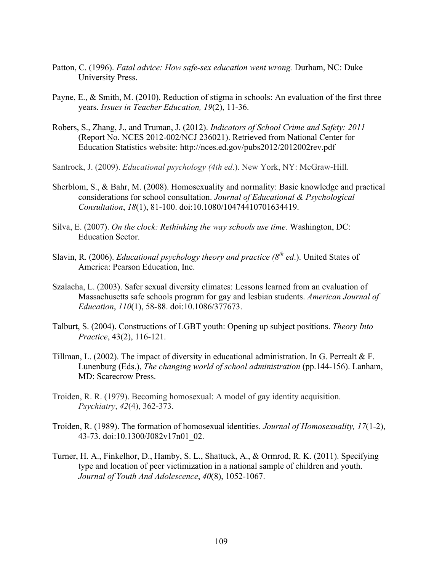- Patton, C. (1996). *Fatal advice: How safe-sex education went wrong.* Durham, NC: Duke University Press.
- Payne, E., & Smith, M. (2010). Reduction of stigma in schools: An evaluation of the first three years. *Issues in Teacher Education, 19*(2), 11-36.
- Robers, S., Zhang, J., and Truman, J. (2012). *Indicators of School Crime and Safety: 2011* (Report No. NCES 2012-002/NCJ 236021). Retrieved from National Center for Education Statistics website: http://nces.ed.gov/pubs2012/2012002rev.pdf
- Santrock, J. (2009). *Educational psychology (4th ed*.). New York, NY: McGraw-Hill.
- Sherblom, S., & Bahr, M. (2008). Homosexuality and normality: Basic knowledge and practical considerations for school consultation. *Journal of Educational & Psychological Consultation*, *18*(1), 81-100. doi:10.1080/10474410701634419.
- Silva, E. (2007). *On the clock: Rethinking the way schools use time.* Washington, DC: Education Sector.
- Slavin, R. (2006). *Educational psychology theory and practice (8<sup>th</sup> ed.)*. United States of America: Pearson Education, Inc.
- Szalacha, L. (2003). Safer sexual diversity climates: Lessons learned from an evaluation of Massachusetts safe schools program for gay and lesbian students. *American Journal of Education*, *110*(1), 58-88. doi:10.1086/377673.
- Talburt, S. (2004). Constructions of LGBT youth: Opening up subject positions. *Theory Into Practice*, 43(2), 116-121.
- Tillman, L. (2002). The impact of diversity in educational administration. In G. Perrealt & F. Lunenburg (Eds.), *The changing world of school administration* (pp.144-156). Lanham, MD: Scarecrow Press.
- Troiden, R. R. (1979). Becoming homosexual: A model of gay identity acquisition. *Psychiatry*, *42*(4), 362-373.
- Troiden, R. (1989). The formation of homosexual identities*. Journal of Homosexuality, 17*(1-2), 43-73. doi:10.1300/J082v17n01\_02.
- Turner, H. A., Finkelhor, D., Hamby, S. L., Shattuck, A., & Ormrod, R. K. (2011). Specifying type and location of peer victimization in a national sample of children and youth. *Journal of Youth And Adolescence*, *40*(8), 1052-1067.